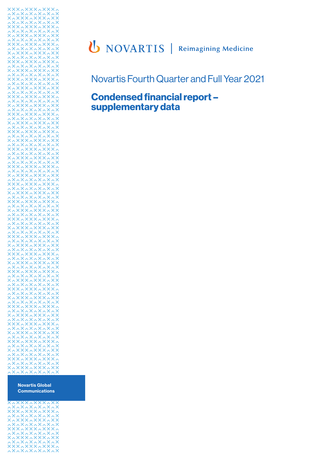

Novartis Fourth Quarter and Full Year 2021

## **Condensed financial report – supplementary data**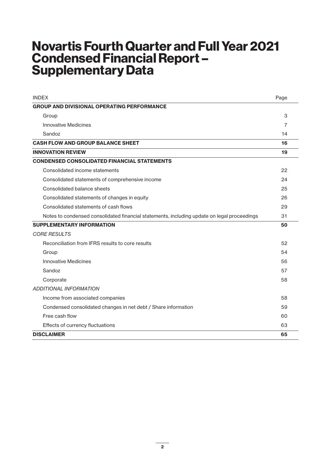# **Novartis Fourth Quarter and Full Year 2021 Condensed Financial Report – Supplementary Data**

| <b>INDEX</b>                                                                                | Page |
|---------------------------------------------------------------------------------------------|------|
| <b>GROUP AND DIVISIONAL OPERATING PERFORMANCE</b>                                           |      |
| Group                                                                                       | 3    |
| <b>Innovative Medicines</b>                                                                 | 7    |
| Sandoz                                                                                      | 14   |
| <b>CASH FLOW AND GROUP BALANCE SHEET</b>                                                    | 16   |
| <b>INNOVATION REVIEW</b>                                                                    | 19   |
| <b>CONDENSED CONSOLIDATED FINANCIAL STATEMENTS</b>                                          |      |
| Consolidated income statements                                                              | 22   |
| Consolidated statements of comprehensive income                                             | 24   |
| Consolidated balance sheets                                                                 | 25   |
| Consolidated statements of changes in equity                                                | 26   |
| Consolidated statements of cash flows                                                       | 29   |
| Notes to condensed consolidated financial statements, including update on legal proceedings | 31   |
| <b>SUPPLEMENTARY INFORMATION</b>                                                            | 50   |
| <b>CORE RESULTS</b>                                                                         |      |
| Reconciliation from IFRS results to core results                                            | 52   |
| Group                                                                                       | 54   |
| <b>Innovative Medicines</b>                                                                 | 56   |
| Sandoz                                                                                      | 57   |
| Corporate                                                                                   | 58   |
| <b>ADDITIONAL INFORMATION</b>                                                               |      |
| Income from associated companies                                                            | 58   |
| Condensed consolidated changes in net debt / Share information                              | 59   |
| Free cash flow                                                                              | 60   |
| Effects of currency fluctuations                                                            | 63   |
| <b>DISCLAIMER</b>                                                                           | 65   |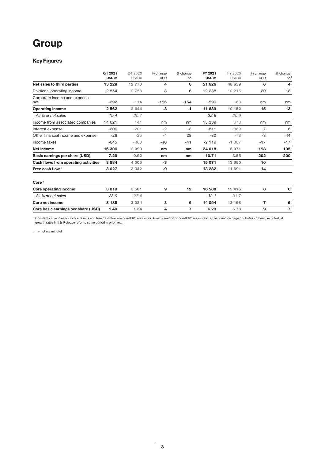# **Group**

### **Key Figures**

|                                      | Q4 2021<br>USD <sub>m</sub> | Q4 2020<br>USD <sub>m</sub> | % change<br><b>USD</b> | % change<br>CC | FY 2021<br>USD <sub>m</sub> | FY 2020<br>USD <sub>m</sub> | % change<br><b>USD</b> | % change<br>cc <sup>1</sup> |
|--------------------------------------|-----------------------------|-----------------------------|------------------------|----------------|-----------------------------|-----------------------------|------------------------|-----------------------------|
| Net sales to third parties           | 13 2 2 9                    | 12770                       | 4                      | 6              | 51 626                      | 48 659                      | 6                      | 4                           |
| Divisional operating income          | 2854                        | 2 7 5 8                     | 3                      | 6              | 12 288                      | 10 215                      | 20                     | 18                          |
| Corporate income and expense,<br>net | $-292$                      | $-114$                      | $-156$                 | $-154$         | $-599$                      | $-63$                       | nm                     | nm                          |
| <b>Operating income</b>              | 2 5 6 2                     | 2 6 4 4                     | $-3$                   | -1             | 11 689                      | 10 152                      | 15                     | 13                          |
| As % of net sales                    | 19.4                        | 20.7                        |                        |                | 22.6                        | 20.9                        |                        |                             |
| Income from associated companies     | 14 621                      | 141                         | nm                     | nm             | 15 339                      | 673                         | nm                     | nm                          |
| Interest expense                     | $-206$                      | $-201$                      | $-2$                   | -3             | $-811$                      | $-869$                      | $\overline{7}$         | 6                           |
| Other financial income and expense   | $-26$                       | $-25$                       | $-4$                   | 28             | $-80$                       | $-78$                       | $-3$                   | 44                          |
| Income taxes                         | $-645$                      | $-460$                      | $-40$                  | $-41$          | $-2119$                     | $-1807$                     | $-17$                  | $-17$                       |
| <b>Net income</b>                    | 16 306                      | 2 0 9 9                     | nm                     | nm             | 24 018                      | 8 0 7 1                     | 198                    | 195                         |
| Basic earnings per share (USD)       | 7.29                        | 0.92                        | nm                     | nm             | 10.71                       | 3.55                        | 202                    | 200                         |
| Cash flows from operating activities | 3884                        | 4 0 0 5                     | $-3$                   |                | 15 071                      | 13 650                      | 10                     |                             |
| Free cash flow <sup>1</sup>          | 3 0 2 7                     | 3 3 4 2                     | -9                     |                | 13 28 2                     | 11 691                      | 14                     |                             |
| Core <sup>1</sup>                    |                             |                             |                        |                |                             |                             |                        |                             |
| Core operating income                | 3819                        | 3501                        | 9                      | 12             | 16 588                      | 15 4 16                     | 8                      | 6                           |
| As % of net sales                    | 28.9                        | 27.4                        |                        |                | 32.1                        | 31.7                        |                        |                             |
| Core net income                      | 3 1 3 5                     | 3 0 3 4                     | 3                      | 6              | 14 094                      | 13 158                      | $\overline{7}$         | 5                           |
| Core basic earnings per share (USD)  | 1.40                        | 1.34                        | 4                      | 7              | 6.29                        | 5.78                        | 9                      | $\overline{7}$              |

<sup>1</sup> Constant currencies (cc), core results and free cash flow are non-IFRS measures. An explanation of non-IFRS measures can be found on page 50. Unless otherwise noted, all growth rates in this Release refer to same period in prior year.

nm = not meaningful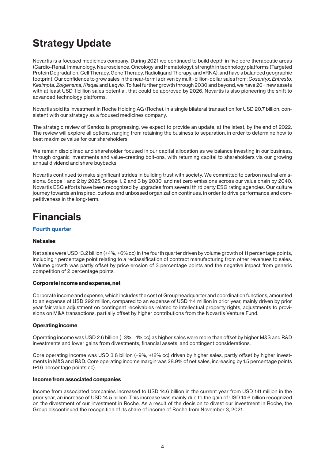# **Strategy Update**

Novartis is a focused medicines company. During 2021 we continued to build depth in five core therapeutic areas (Cardio-Renal, Immunology, Neuroscience, Oncology and Hematology), strength in technology platforms (Targeted Protein Degradation, Cell Therapy, Gene Therapy, Radioligand Therapy, and xRNA), and have a balanced geographic footprint. Our confidence to grow sales in the near-term is driven by multi-billion-dollar sales from: *Cosentyx*, *Entresto, Kesimpta, Zolgensma, Kisqali* and *Leqvio.* To fuel further growth through 2030 and beyond, we have 20+ new assets with at least USD 1 billion sales potential, that could be approved by 2026. Novartis is also pioneering the shift to advanced technology platforms.

Novartis sold its investment in Roche Holding AG (Roche), in a single bilateral transaction for USD 20.7 billion, consistent with our strategy as a focused medicines company.

The strategic review of Sandoz is progressing, we expect to provide an update, at the latest, by the end of 2022. The review will explore all options, ranging from retaining the business to separation, in order to determine how to best maximize value for our shareholders.

We remain disciplined and shareholder focused in our capital allocation as we balance investing in our business, through organic investments and value-creating bolt-ons, with returning capital to shareholders via our growing annual dividend and share buybacks.

Novartis continued to make significant strides in building trust with society. We committed to carbon neutral emissions: Scope 1 and 2 by 2025, Scope 1, 2 and 3 by 2030, and net zero emissions across our value chain by 2040. Novartis ESG efforts have been recognized by upgrades from several third party ESG rating agencies. Our culture journey towards an inspired, curious and unbossed organization continues, in order to drive performance and competitiveness in the long-term.

# **Financials**

### **Fourth quarter**

### **Net sales**

Net sales were USD 13.2 billion (+4%, +6% cc) in the fourth quarter driven by volume growth of 11 percentage points, including 1 percentage point relating to a reclassification of contract manufacturing from other revenues to sales. Volume growth was partly offset by price erosion of 3 percentage points and the negative impact from generic competition of 2 percentage points.

### **Corporate income and expense, net**

Corporate income and expense, which includes the cost of Group headquarter and coordination functions, amounted to an expense of USD 292 million, compared to an expense of USD 114 million in prior year, mainly driven by prior year fair value adjustment on contingent receivables related to intellectual property rights, adjustments to provisions on M&A transactions, partially offset by higher contributions from the Novartis Venture Fund.

### **Operating income**

Operating income was USD 2.6 billion (–3%, –1% cc) as higher sales were more than offset by higher M&S and R&D investments and lower gains from divestments, financial assets, and contingent considerations.

Core operating income was USD 3.8 billion (+9%, +12% cc) driven by higher sales, partly offset by higher investments in M&S and R&D. Core operating income margin was 28.9% of net sales, increasing by 1.5 percentage points (+1.6 percentage points cc).

### **Income from associated companies**

Income from associated companies increased to USD 14.6 billion in the current year from USD 141 million in the prior year, an increase of USD 14.5 billion. This increase was mainly due to the gain of USD 14.6 billion recognized on the divestment of our investment in Roche. As a result of the decision to divest our investment in Roche, the Group discontinued the recognition of its share of income of Roche from November 3, 2021.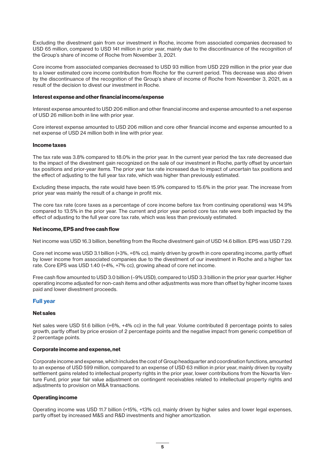Excluding the divestment gain from our investment in Roche, income from associated companies decreased to USD 65 million, compared to USD 141 million in prior year, mainly due to the discontinuance of the recognition of the Group's share of income of Roche from November 3, 2021.

Core income from associated companies decreased to USD 93 million from USD 229 million in the prior year due to a lower estimated core income contribution from Roche for the current period. This decrease was also driven by the discontinuance of the recognition of the Group's share of income of Roche from November 3, 2021, as a result of the decision to divest our investment in Roche.

### **Interest expense and other financial income/expense**

Interest expense amounted to USD 206 million and other financial income and expense amounted to a net expense of USD 26 million both in line with prior year.

Core interest expense amounted to USD 206 million and core other financial income and expense amounted to a net expense of USD 24 million both in line with prior year.

### **Income taxes**

The tax rate was 3.8% compared to 18.0% in the prior year. In the current year period the tax rate decreased due to the impact of the divestment gain recognized on the sale of our investment in Roche, partly offset by uncertain tax positions and prior-year items. The prior year tax rate increased due to impact of uncertain tax positions and the effect of adjusting to the full year tax rate, which was higher than previously estimated.

Excluding these impacts, the rate would have been 15.9% compared to 15.6% in the prior year. The increase from prior year was mainly the result of a change in profit mix.

The core tax rate (core taxes as a percentage of core income before tax from continuing operations) was 14.9% compared to 13.5% in the prior year. The current and prior year period core tax rate were both impacted by the effect of adjusting to the full year core tax rate, which was less than previously estimated.

### **Net income, EPS and free cash flow**

Net income was USD 16.3 billion, benefiting from the Roche divestment gain of USD 14.6 billion. EPS was USD 7.29.

Core net income was USD 3.1 billion (+3%, +6% cc), mainly driven by growth in core operating income, partly offset by lower income from associated companies due to the divestment of our investment in Roche and a higher tax rate. Core EPS was USD 1.40 (+4%, +7% cc), growing ahead of core net income.

Free cash flow amounted to USD 3.0 billion (–9% USD), compared to USD 3.3 billion in the prior year quarter. Higher operating income adjusted for non-cash items and other adjustments was more than offset by higher income taxes paid and lower divestment proceeds.

### **Full year**

#### **Net sales**

Net sales were USD 51.6 billion (+6%, +4% cc) in the full year. Volume contributed 8 percentage points to sales growth, partly offset by price erosion of 2 percentage points and the negative impact from generic competition of 2 percentage points.

### **Corporate income and expense, net**

Corporate income and expense, which includes the cost of Group headquarter and coordination functions, amounted to an expense of USD 599 million, compared to an expense of USD 63 million in prior year, mainly driven by royalty settlement gains related to intellectual property rights in the prior year, lower contributions from the Novartis Venture Fund, prior year fair value adjustment on contingent receivables related to intellectual property rights and adjustments to provision on M&A transactions.

### **Operating income**

Operating income was USD 11.7 billion (+15%, +13% cc), mainly driven by higher sales and lower legal expenses, partly offset by increased M&S and R&D investments and higher amortization.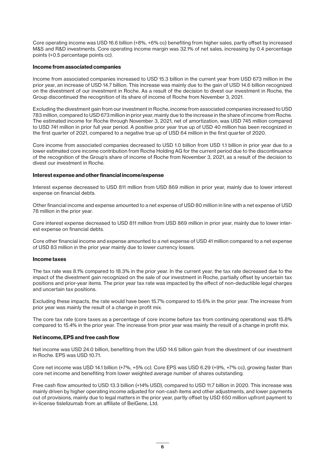Core operating income was USD 16.6 billion (+8%, +6% cc) benefiting from higher sales, partly offset by increased M&S and R&D investments. Core operating income margin was 32.1% of net sales, increasing by 0.4 percentage points (+0.5 percentage points cc).

### **Income from associated companies**

Income from associated companies increased to USD 15.3 billion in the current year from USD 673 million in the prior year, an increase of USD 14.7 billion. This increase was mainly due to the gain of USD 14.6 billion recognized on the divestment of our investment in Roche. As a result of the decision to divest our investment in Roche, the Group discontinued the recognition of its share of income of Roche from November 3, 2021.

Excluding the divestment gain from our investment in Roche, income from associated companies increased to USD 783 million, compared to USD 673 million in prior year, mainly due to the increase in the share of income from Roche. The estimated income for Roche through November 3, 2021, net of amortization, was USD 745 million compared to USD 741 million in prior full year period. A positive prior year true up of USD 40 million has been recognized in the first quarter of 2021, compared to a negative true up of USD 64 million in the first quarter of 2020.

Core income from associated companies decreased to USD 1.0 billion from USD 1.1 billion in prior year due to a lower estimated core income contribution from Roche Holding AG for the current period due to the discontinuance of the recognition of the Group's share of income of Roche from November 3, 2021, as a result of the decision to divest our investment in Roche.

### **Interest expense and other financial income/expense**

Interest expense decreased to USD 811 million from USD 869 million in prior year, mainly due to lower interest expense on financial debts.

Other financial income and expense amounted to a net expense of USD 80 million in line with a net expense of USD 78 million in the prior year.

Core interest expense decreased to USD 811 million from USD 869 million in prior year, mainly due to lower interest expense on financial debts.

Core other financial income and expense amounted to a net expense of USD 41 million compared to a net expense of USD 83 million in the prior year mainly due to lower currency losses.

#### **Income taxes**

The tax rate was 8.1% compared to 18.3% in the prior year. In the current year, the tax rate decreased due to the impact of the divestment gain recognized on the sale of our investment in Roche, partially offset by uncertain tax positions and prior-year items. The prior year tax rate was impacted by the effect of non-deductible legal charges and uncertain tax positions.

Excluding these impacts, the rate would have been 15.7% compared to 15.6% in the prior year. The increase from prior year was mainly the result of a change in profit mix.

The core tax rate (core taxes as a percentage of core income before tax from continuing operations) was 15.8% compared to 15.4% in the prior year. The increase from prior year was mainly the result of a change in profit mix.

#### **Net income, EPS and free cash flow**

Net income was USD 24.0 billion, benefiting from the USD 14.6 billion gain from the divestment of our investment in Roche. EPS was USD 10.71.

Core net income was USD 14.1 billion (+7%, +5% cc). Core EPS was USD 6.29 (+9%, +7% cc), growing faster than core net income and benefiting from lower weighted average number of shares outstanding.

Free cash flow amounted to USD 13.3 billion (+14% USD), compared to USD 11.7 billion in 2020. This increase was mainly driven by higher operating income adjusted for non-cash items and other adjustments, and lower payments out of provisions, mainly due to legal matters in the prior year, partly offset by USD 650 million upfront payment to in-license tislelizumab from an affiliate of BeiGene, Ltd.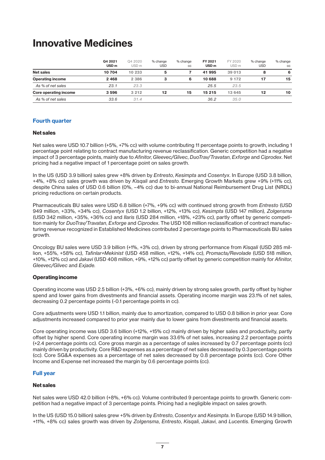## **Innovative Medicines**

|                              | Q4 2021<br>USD <sub>m</sub> | Q4 2020<br>USD <sub>m</sub> | % change<br><b>USD</b> | % change<br>CC | FY 2021<br>USD <sub>m</sub> | FY 2020<br>USD <sub>m</sub> | % change<br><b>USD</b> | % change<br>CC |
|------------------------------|-----------------------------|-----------------------------|------------------------|----------------|-----------------------------|-----------------------------|------------------------|----------------|
| <b>Net sales</b>             | 10 704                      | 10 233                      | 5                      |                | 41 995                      | 39 013                      | 8                      | 6              |
| <b>Operating income</b>      | 2 4 6 8                     | 2 3 8 6                     | 3                      | 6              | 10 688                      | 9 1 7 2                     | 17                     | 15             |
| As % of net sales            | 23.1                        | 23.3                        |                        |                | 25.5                        | 23.5                        |                        |                |
| <b>Core operating income</b> | 3596                        | 3 2 1 2                     | 12                     | 15             | 15 215                      | 13 645                      | 12                     | 10             |
| As % of net sales            | 33.6                        | 31.4                        |                        |                | 36.2                        | 35.0                        |                        |                |

### **Fourth quarter**

### **Net sales**

Net sales were USD 10.7 billion (+5%, +7% cc) with volume contributing 11 percentage points to growth, including 1 percentage point relating to contract manufacturing revenue reclassification. Generic competition had a negative impact of 3 percentage points, mainly due to *Afinitor*, *Gleevec/Glivec*, *DuoTrav/Travatan*, *Exforge* and *Ciprodex*. Net pricing had a negative impact of 1 percentage point on sales growth.

In the US (USD 3.9 billion) sales grew +8% driven by *Entresto*, *Kesimpta* and *Cosentyx*. In Europe (USD 3.8 billion, +4%, +8% cc) sales growth was driven by *Kisqali* and *Entresto*. Emerging Growth Markets grew +9% (+11% cc), despite China sales of USD 0.6 billion (0%, –4% cc) due to bi-annual National Reimbursement Drug List (NRDL) pricing reductions on certain products.

Pharmaceuticals BU sales were USD 6.8 billion (+7%, +9% cc) with continued strong growth from *Entresto* (USD 949 million, +33%, +34% cc), *Cosentyx* (USD 1.2 billion, +12%, +13% cc), *Kesimpta* (USD 147 million), *Zolgensma* (USD 342 million, +35%, +36% cc) and *Ilaris* (USD 284 million, +18%, +23% cc), partly offset by generic competition mainly for *DuoTrav/Travatan*, *Exforge* and *Ciprodex*. The USD 108 million reclassification of contract manufacturing revenue recognized in Established Medicines contributed 2 percentage points to Pharmaceuticals BU sales growth.

Oncology BU sales were USD 3.9 billion (+1%, +3% cc), driven by strong performance from *Kisqali* (USD 285 million, +55%, +58% cc), *Tafinlar+Mekinist* (USD 458 million, +12%, +14% cc), *Promacta/Revolade* (USD 518 million, +10%, +12% cc) and *Jakavi* (USD 408 million, +9%, +12% cc) partly offset by generic competition mainly for *Afinitor*, *Gleevec/Glivec* and *Exjade.*

### **Operating income**

Operating income was USD 2.5 billion (+3%, +6% cc), mainly driven by strong sales growth, partly offset by higher spend and lower gains from divestments and financial assets. Operating income margin was 23.1% of net sales, decreasing 0.2 percentage points (-0.1 percentage points in cc).

Core adjustments were USD 1.1 billion, mainly due to amortization, compared to USD 0.8 billion in prior year. Core adjustments increased compared to prior year mainly due to lower gains from divestments and financial assets.

Core operating income was USD 3.6 billion (+12%, +15% cc) mainly driven by higher sales and productivity, partly offset by higher spend. Core operating income margin was 33.6% of net sales, increasing 2.2 percentage points (+2.4 percentage points cc). Core gross margin as a percentage of sales increased by 0.7 percentage points (cc) mainly driven by productivity. Core R&D expenses as a percentage of net sales decreased by 0.3 percentage points (cc). Core SG&A expenses as a percentage of net sales decreased by 0.8 percentage points (cc). Core Other Income and Expense net increased the margin by 0.6 percentage points (cc).

### **Full year**

### **Net sales**

Net sales were USD 42.0 billion (+8%, +6% cc). Volume contributed 9 percentage points to growth. Generic competition had a negative impact of 3 percentage points. Pricing had a negligible impact on sales growth.

In the US (USD 15.0 billion) sales grew +5% driven by *Entresto*, *Cosentyx* and *Kesimpta*. In Europe (USD 14.9 billion, +11%, +8% cc) sales growth was driven by *Zolgensma*, *Entresto*, *Kisqali*, *Jakavi*, and *Lucentis*. Emerging Growth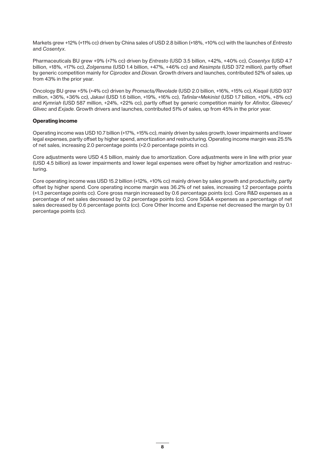Markets grew +12% (+11% cc) driven by China sales of USD 2.8 billion (+18%, +10% cc) with the launches of *Entresto* and *Cosentyx*.

Pharmaceuticals BU grew +9% (+7% cc) driven by *Entresto* (USD 3.5 billion, +42%, +40% cc), *Cosentyx* (USD 4.7 billion, +18%, +17% cc), *Zolgensma* (USD 1.4 billion, +47%, +46% cc) and *Kesimpta* (USD 372 million), partly offset by generic competition mainly for *Ciprodex* and *Diovan*. Growth drivers and launches, contributed 52% of sales, up from 43% in the prior year.

Oncology BU grew +5% (+4% cc) driven by *Promacta/Revolade* (USD 2.0 billion, +16%, +15% cc), *Kisqali* (USD 937 million, +36%, +36% cc), *Jakavi* (USD 1.6 billion, +19%, +16% cc), *Tafinlar+Mekinist* (USD 1.7 billion, +10%, +8% cc) and *Kymriah* (USD 587 million, +24%, +22% cc), partly offset by generic competition mainly for *Afinitor, Gleevec/ Glivec* and *Exjade*. Growth drivers and launches, contributed 51% of sales, up from 45% in the prior year.

### **Operating income**

Operating income was USD 10.7 billion (+17%, +15% cc), mainly driven by sales growth, lower impairments and lower legal expenses, partly offset by higher spend, amortization and restructuring. Operating income margin was 25.5% of net sales, increasing 2.0 percentage points (+2.0 percentage points in cc).

Core adjustments were USD 4.5 billion, mainly due to amortization. Core adjustments were in line with prior year (USD 4.5 billion) as lower impairments and lower legal expenses were offset by higher amortization and restructuring.

Core operating income was USD 15.2 billion (+12%, +10% cc) mainly driven by sales growth and productivity, partly offset by higher spend. Core operating income margin was 36.2% of net sales, increasing 1.2 percentage points (+1.3 percentage points cc). Core gross margin increased by 0.6 percentage points (cc). Core R&D expenses as a percentage of net sales decreased by 0.2 percentage points (cc). Core SG&A expenses as a percentage of net sales decreased by 0.6 percentage points (cc). Core Other Income and Expense net decreased the margin by 0.1 percentage points (cc).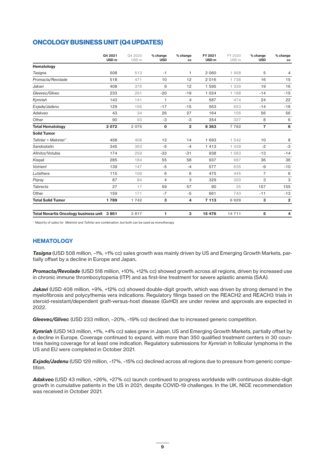## **ONCOLOGY BUSINESS UNIT (Q4 UPDATES)**

|                                            | Q4 2021<br>USD <sub>m</sub> | Q4 2020<br>USD <sub>m</sub> | % change<br><b>USD</b> | % change<br>cc | FY 2021<br>USD <sub>m</sub> | FY 2020<br>USD <sub>m</sub> | % change<br><b>USD</b> | % change<br>cc |
|--------------------------------------------|-----------------------------|-----------------------------|------------------------|----------------|-----------------------------|-----------------------------|------------------------|----------------|
| Hematology                                 |                             |                             |                        |                |                             |                             |                        |                |
| Tasigna                                    | 508                         | 513                         | $-1$                   | 1              | 2 0 6 0                     | 1958                        | 5                      | 4              |
| Promacta/Revolade                          | 518                         | 471                         | 10                     | 12             | 2016                        | 1738                        | 16                     | 15             |
| Jakavi                                     | 408                         | 376                         | 9                      | 12             | 1 5 9 5                     | 1 339                       | 19                     | 16             |
| Gleevec/Glivec                             | 233                         | 291                         | $-20$                  | $-19$          | 1 0 2 4                     | 1 188                       | $-14$                  | $-15$          |
| Kymriah                                    | 143                         | 141                         | $\mathbf{1}$           | $\overline{4}$ | 587                         | 474                         | 24                     | 22             |
| Exjade/Jadenu                              | 129                         | 156                         | $-17$                  | $-15$          | 563                         | 653                         | $-14$                  | $-16$          |
| Adakveo                                    | 43                          | 34                          | 26                     | 27             | 164                         | 105                         | 56                     | 56             |
| Other                                      | 90                          | 93                          | $-3$                   | $-3$           | 354                         | 327                         | 8                      | 6              |
| <b>Total Hematology</b>                    | 2072                        | 2 0 7 5                     | $\mathbf 0$            | $\overline{2}$ | 8 3 6 3                     | 7 7 8 2                     | $\overline{7}$         | 6              |
| <b>Solid Tumor</b>                         |                             |                             |                        |                |                             |                             |                        |                |
| Tafinlar + Mekinist <sup>1</sup>           | 458                         | 408                         | 12                     | 14             | 1 693                       | 1 542                       | 10                     | 8              |
| Sandostatin                                | 345                         | 363                         | $-5$                   | $-4$           | 1 4 1 3                     | 1 439                       | $-2$                   | -3             |
| Afinitor/Votubia                           | 174                         | 259                         | $-33$                  | $-31$          | 938                         | 1 0 8 3                     | $-13$                  | $-14$          |
| Kisgali                                    | 285                         | 184                         | 55                     | 58             | 937                         | 687                         | 36                     | 36             |
| Votrient                                   | 139                         | 147                         | $-5$                   | $-4$           | 577                         | 635                         | -9                     | $-10$          |
| Lutathera                                  | 115                         | 109                         | 6                      | 6              | 475                         | 445                         | $\overline{7}$         | 6              |
| Pigray                                     | 87                          | 84                          | 4                      | 3              | 329                         | 320                         | 3                      | 3              |
| Tabrecta                                   | 27                          | 17                          | 59                     | 57             | 90                          | 35                          | 157                    | 155            |
| Other                                      | 159                         | 171                         | $-7$                   | $-5$           | 661                         | 743                         | $-11$                  | $-13$          |
| <b>Total Solid Tumor</b>                   | 1789                        | 1 7 4 2                     | 3                      | 4              | 7 1 1 3                     | 6929                        | з                      | $\mathbf{2}$   |
| Total Novartis Oncology business unit 3861 |                             | 3817                        | 1                      | з              | 15 476                      | 14711                       | 5                      | 4              |

<sup>1</sup> Majority of sales for *Mekinist* and *Tafinlar* are combination, but both can be used as monotherapy

### **HEMATOLOGY**

*Tasigna* (USD 508 million, –1%, +1% cc) sales growth was mainly driven by US and Emerging Growth Markets, partially offset by a decline in Europe and Japan*.*

*Promacta/Revolade* (USD 518 million, +10%, +12% cc) showed growth across all regions, driven by increased use in chronic immune thrombocytopenia (ITP) and as first-line treatment for severe aplastic anemia (SAA).

Jakavi (USD 408 million, +9%, +12% cc) showed double-digit growth, which was driven by strong demand in the myelofibrosis and polycythemia vera indications. Regulatory filings based on the REACH2 and REACH3 trials in steroid-resistant/dependent graft-versus-host disease (GvHD) are under review and approvals are expected in 2022.

*Gleevec/Glivec* (USD 233 million, –20%, –19% cc) declined due to increased generic competition.

*Kymriah* (USD 143 million, +1%, +4% cc) sales grew in Japan, US and Emerging Growth Markets, partially offset by a decline in Europe. Coverage continued to expand, with more than 350 qualified treatment centers in 30 countries having coverage for at least one indication. Regulatory submissions for *Kymriah* in follicular lymphoma in the US and EU were completed in October 2021.

*Exjade/Jadenu* (USD 129 million, –17%, –15% cc) declined across all regions due to pressure from generic competition.

*Adakveo* (USD 43 million, +26%, +27% cc) launch continued to progress worldwide with continuous double-digit growth in cumulative patients in the US in 2021, despite COVID-19 challenges. In the UK, NICE recommendation was received in October 2021.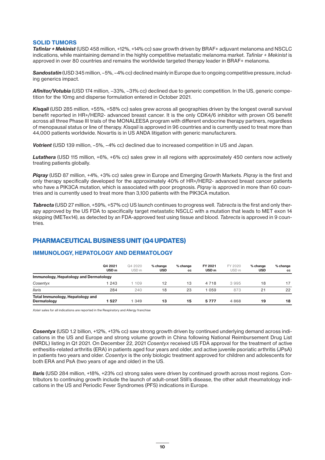### **SOLID TUMORS**

*Tafinlar + Mekinist* (USD 458 million, +12%, +14% cc) saw growth driven by BRAF+ adjuvant melanoma and NSCLC indications, while maintaining demand in the highly competitive metastatic melanoma market. *Tafinlar + Mekinist* is approved in over 80 countries and remains the worldwide targeted therapy leader in BRAF+ melanoma.

*Sandostatin* (USD 345 million, –5%, –4% cc) declined mainly in Europe due to ongoing competitive pressure, including generics impact.

*Afinitor/Votubia* (USD 174 million, –33%, –31% cc) declined due to generic competition. In the US, generic competition for the 10mg and disperse formulation entered in October 2021.

*Kisqali* (USD 285 million, +55%, +58% cc) sales grew across all geographies driven by the longest overall survival benefit reported in HR+/HER2- advanced breast cancer. It is the only CDK4/6 inhibitor with proven OS benefit across all three Phase III trials of the MONALEESA program with different endocrine therapy partners, regardless of menopausal status or line of therapy. *Kisqali* is approved in 96 countries and is currently used to treat more than 44,000 patients worldwide. Novartis is in US ANDA litigation with generic manufacturers.

*Votrient* (USD 139 million, –5%, –4% cc) declined due to increased competition in US and Japan.

*Lutathera* (USD 115 million, +6%, +6% cc) sales grew in all regions with approximately 450 centers now actively treating patients globally.

*Piqray* (USD 87 million, +4%, +3% cc) sales grew in Europe and Emerging Growth Markets. *Piqray* is the first and only therapy specifically developed for the approximately 40% of HR+/HER2- advanced breast cancer patients who have a PIK3CA mutation, which is associated with poor prognosis. *Piqray* is approved in more than 60 countries and is currently used to treat more than 3,100 patients with the PIK3CA mutation.

*Tabrecta* (USD 27 million, +59%, +57% cc) US launch continues to progress well. *Tabrecta* is the first and only therapy approved by the US FDA to specifically target metastatic NSCLC with a mutation that leads to MET exon 14 skipping (METex14), as detected by an FDA-approved test using tissue and blood. *Tabrecta* is approved in 9 countries.

### **PHARMACEUTICAL BUSINESS UNIT (Q4 UPDATES)**

### **IMMUNOLOGY, HEPATOLOGY AND DERMATOLOGY**

|                                                 | Q4 2021<br>USD <sub>m</sub> | Q4 2020<br>USD <sub>m</sub> | % change<br><b>USD</b> | % change<br>CC | FY 2021<br>USD <sub>m</sub> | FY 2020<br>USD <sub>m</sub> | % change<br><b>USD</b> | % change<br>CC |
|-------------------------------------------------|-----------------------------|-----------------------------|------------------------|----------------|-----------------------------|-----------------------------|------------------------|----------------|
| Immunology, Hepatology and Dermatology          |                             |                             |                        |                |                             |                             |                        |                |
| Cosentyx                                        | 243                         | 109                         | 12                     | 13             | 4 7 1 8                     | 3995                        | 18                     | 17             |
| <b>Ilaris</b>                                   | 284                         | 240                         | 18                     | 23             | 059                         | 873                         | 21                     | 22             |
| Total Immunology, Hepatology and<br>Dermatology | 527                         | 1 349                       | 13                     | 15             | 5 7 7 7                     | 4868                        | 19                     | 18             |

*Xolair* sales for all indications are reported in the Respiratory and Allergy franchise

*Cosentyx* (USD 1.2 billion, +12%, +13% cc) saw strong growth driven by continued underlying demand across indications in the US and Europe and strong volume growth in China following National Reimbursement Drug List (NRDL) listing in Q1 2021. On December 22, 2021 *Cosentyx* received US FDA approval for the treatment of active enthesitis-related arthritis (ERA) in patients aged four years and older, and active juvenile psoriatic arthritis (JPsA) in patients two years and older. *Cosentyx* is the only biologic treatment approved for children and adolescents for both ERA and PsA (two years of age and older) in the US.

*Ilaris* (USD 284 million, +18%, +23% cc) strong sales were driven by continued growth across most regions. Contributors to continuing growth include the launch of adult-onset Still's disease, the other adult rheumatology indications in the US and Periodic Fever Syndromes (PFS) indications in Europe.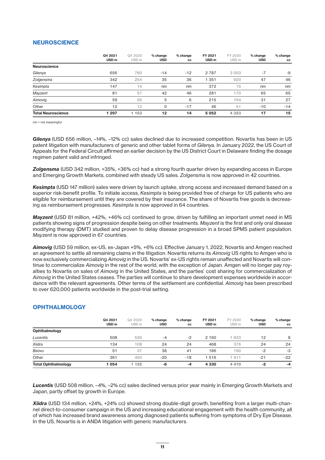### **NEUROSCIENCE**

|                           | Q4 2021<br>USD <sub>m</sub> | Q4 2020<br>USD <sub>m</sub> | % change<br><b>USD</b> | % change<br>cc | FY 2021<br>USD <sub>m</sub> | FY 2020<br>USD <sub>m</sub> | % change<br><b>USD</b> | % change<br>cc |
|---------------------------|-----------------------------|-----------------------------|------------------------|----------------|-----------------------------|-----------------------------|------------------------|----------------|
| <b>Neuroscience</b>       |                             |                             |                        |                |                             |                             |                        |                |
| Gilenya                   | 656                         | 760                         | $-14$                  | $-12$          | 2 7 8 7                     | 3 0 0 3                     | $-7$                   | -9             |
| Zolgensma                 | 342                         | 254                         | 35                     | 36             | 1 3 5 1                     | 920                         | 47                     | 46             |
| Kesimpta                  | 147                         | 14                          | nm                     | nm             | 372                         | 15                          | nm                     | nm             |
| Mayzent                   | 81                          | 57                          | 42                     | 46             | 281                         | 170                         | 65                     | 65             |
| Aimovig                   | 59                          | 56                          | 5                      | 6              | 215                         | 164                         | 31                     | 27             |
| Other                     | 12                          | 12                          | 0                      | $-17$          | 46                          | 51                          | $-10$                  | $-14$          |
| <b>Total Neuroscience</b> | 1 297                       | 1 1 5 3                     | $12 \,$                | 14             | 5 0 5 2                     | 4 3 2 3                     | 17                     | 15             |

nm = not meaningful

*Gilenya* (USD 656 million, –14%, –12% cc) sales declined due to increased competition. Novartis has been in US patent litigation with manufacturers of generic and other tablet forms of *Gilenya.* In January 2022, the US Court of Appeals for the Federal Circuit affirmed an earlier decision by the US District Court in Delaware finding the dosage regimen patent valid and infringed.

*Zolgensma* (USD 342 million, +35%, +36% cc) had a strong fourth quarter driven by expanding access in Europe and Emerging Growth Markets, combined with steady US sales. *Zolgensma* is now approved in 42 countries.

*Kesimpta* (USD 147 million) sales were driven by launch uptake, strong access and increased demand based on a superior risk-benefit profile. To initiate access, *Kesimpta* is being provided free of charge for US patients who are eligible for reimbursement until they are covered by their insurance. The share of Novartis free goods is decreasing as reimbursement progresses. *Kesimpta* is now approved in 64 countries.

*Mayzent* (USD 81 million, +42%, +46% cc) continued to grow, driven by fulfilling an important unmet need in MS patients showing signs of progression despite being on other treatments. *Mayzent* is the first and only oral disease modifying therapy (DMT) studied and proven to delay disease progression in a broad SPMS patient population. *Mayzent* is now approved in 67 countries.

*Aimovig* (USD 59 million, ex-US, ex-Japan +5%, +6% cc). Effective January 1, 2022, Novartis and Amgen reached an agreement to settle all remaining claims in the litigation. Novartis returns its *Aimovig* US rights to Amgen who is now exclusively commercializing *Aimovig* in the US. Novartis' ex-US rights remain unaffected and Novartis will continue to commercialize *Aimovig* in the rest of the world, with the exception of Japan. Amgen will no longer pay royalties to Novartis on sales of *Aimovig* in the United States, and the parties' cost sharing for commercialization of *Aimovig* in the United States ceases. The parties will continue to share development expenses worldwide in accordance with the relevant agreements. Other terms of the settlement are confidential. *Aimovig* has been prescribed to over 620,000 patients worldwide in the post-trial setting.

### **OPHTHALMOLOGY**

|                            | Q4 2021<br>USD <sub>m</sub> | Q4 2020<br>USD <sub>m</sub> | % change<br><b>USD</b> | % change<br>CC | FY 2021<br>USD <sub>m</sub> | FY 2020<br>USD <sub>m</sub> | % change<br><b>USD</b> | % change<br><b>CC</b> |
|----------------------------|-----------------------------|-----------------------------|------------------------|----------------|-----------------------------|-----------------------------|------------------------|-----------------------|
| Ophthalmology              |                             |                             |                        |                |                             |                             |                        |                       |
| Lucentis                   | 508                         | 530                         | $-4$                   | $-2$           | 2 1 6 0                     | 1933                        | 12                     | 8                     |
| Xiidra                     | 134                         | 108                         | 24                     | 24             | 468                         | 376                         | 24                     | 24                    |
| Beovu                      | 51                          | 37                          | 38                     | 41             | 186                         | 190                         | $-2$                   | -3                    |
| Other                      | 361                         | 450                         | $-20$                  | $-18$          | 1516                        | 1911                        | $-21$                  | $-22$                 |
| <b>Total Ophthalmology</b> | 1054                        | 125                         | -6                     | $-4$           | 4 3 3 0                     | 4 4 1 0                     | $-2$                   | -4                    |

*Lucentis* (USD 508 million, –4%, –2% cc) sales declined versus prior year mainly in Emerging Growth Markets and Japan, partly offset by growth in Europe.

*Xiidra* (USD 134 million, +24%, +24% cc) showed strong double-digit growth, benefiting from a larger multi-channel direct-to-consumer campaign in the US and increasing educational engagement with the health community, all of which has increased brand awareness among diagnosed patients suffering from symptoms of Dry Eye Disease. In the US, Novartis is in ANDA litigation with generic manufacturers.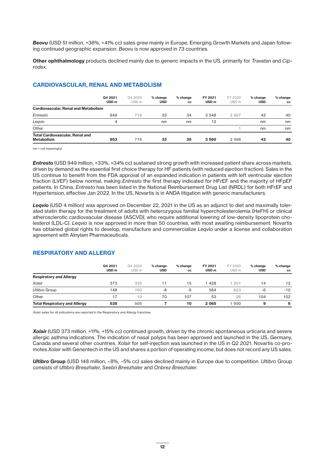*Beovu* (USD 51 million, +38%, +41% cc) sales grew mainly in Europe, Emerging Growth Markets and Japan following continued geographic expansion. *Beovu* is now approved in 73 countries.

**Other ophthalmology** products declined mainly due to generic impacts in the US, primarily for *Travatan* and *Ciprodex*.

### **CARDIOVASCULAR, RENAL AND METABOLISM**

|                                                             | Q4 2021<br>USD <sub>m</sub> | Q4 2020<br>USD <sub>m</sub> | % change<br><b>USD</b> | % change<br>CC | FY 2021<br>USD <sub>m</sub> | FY 2020<br>USD <sub>m</sub> | % change<br><b>USD</b> | % change<br><b>CC</b> |
|-------------------------------------------------------------|-----------------------------|-----------------------------|------------------------|----------------|-----------------------------|-----------------------------|------------------------|-----------------------|
| <b>Cardiovascular, Renal and Metabolism</b>                 |                             |                             |                        |                |                             |                             |                        |                       |
| Entresto                                                    | 949                         | 716                         | 33                     | 34             | 3 5 4 8                     | 2 4 9 7                     | 42                     | 40                    |
| Leqvio                                                      | 4                           |                             | nm                     | nm             | 12                          |                             | nm                     | nm                    |
| Other                                                       |                             |                             |                        |                |                             |                             | nm                     | nm                    |
| <b>Total Cardiovascular, Renal and</b><br><b>Metabolism</b> | 953                         | 716                         | 33                     | 35             | 3 5 6 0                     | 2 4 9 8                     | 43                     | 40                    |

nm = not meaningful

*Entresto* (USD 949 million, +33%, +34% cc) sustained strong growth with increased patient share across markets, driven by demand as the essential first choice therapy for HF patients (with reduced ejection fraction). Sales in the US continue to benefit from the FDA approval of an expanded indication in patients with left ventricular ejection fraction (LVEF) below normal, making *Entresto* the first therapy indicated for HFrEF and the majority of HFpEF patients. In China, *Entresto* has been listed in the National Reimbursement Drug List (NRDL) for both HFrEF and Hypertension, effective Jan 2022. In the US, Novartis is in ANDA litigation with generic manufacturers.

*Leqvio* (USD 4 million) was approved on December 22, 2021 in the US as an adjunct to diet and maximally tolerated statin therapy for the treatment of adults with heterozygous familial hypercholesterolemia (HeFH) or clinical atherosclerotic cardiovascular disease (ASCVD), who require additional lowering of low-density lipoprotein cholesterol (LDL-C). *Leqvio* is now approved in more than 50 countries, with most awaiting reimbursement. Novartis has obtained global rights to develop, manufacture and commercialize *Leqvio* under a license and collaboration agreement with Alnylam Pharmaceuticals.

|                                      | Q4 2021<br>USD <sub>m</sub> | Q4 2020<br>USD <sub>m</sub> | % change<br><b>USD</b> | % change<br><b>CC</b> | FY 2021<br>USD <sub>m</sub> | FY 2020<br>USD <sub>m</sub> | % change<br><b>USD</b> | % change<br><b>CC</b> |
|--------------------------------------|-----------------------------|-----------------------------|------------------------|-----------------------|-----------------------------|-----------------------------|------------------------|-----------------------|
| <b>Respiratory and Allergy</b>       |                             |                             |                        |                       |                             |                             |                        |                       |
| Xolair                               | 373                         | 335                         | 11                     | 15                    | 1428                        | 251                         | 14                     | 12                    |
| <b>Ultibro Group</b>                 | 148                         | 160                         | -8                     | $-5$                  | 584                         | 623                         | $-6$                   | $-10$                 |
| Other                                |                             | 10                          | 70                     | 107                   | 53                          | 26                          | 104                    | 102                   |
| <b>Total Respiratory and Allergy</b> | 538                         | 505                         |                        | 10                    | 2 0 6 5                     | 1 900                       | 9                      | 6                     |

### **RESPIRATORY AND ALLERGY**

*Xolair* sales for all indications are reported in the Respiratory and Allergy franchise

*Xolair* (USD 373 million, +11%, +15% cc) continued growth, driven by the chronic spontaneous urticaria and severe allergic asthma indications. The indication of nasal polyps has been approved and launched in the US, Germany, Canada and several other countries. *Xolair* for self-injection was launched in the US in Q2 2021. Novartis co-promotes *Xolair* with Genentech in the US and shares a portion of operating income, but does not record any US sales.

*Ultibro* **Group** (USD 148 million, –8%, –5% cc) sales declined mainly in Europe due to competition. *Ultibro* Group consists of *Ultibro Breezhaler*, *Seebri Breezhaler* and *Onbrez Breezhaler*.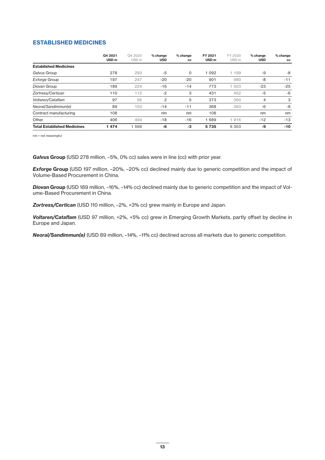### **ESTABLISHED MEDICINES**

|                                    | Q4 2021<br>USD <sub>m</sub> | Q4 2020<br>USD <sub>m</sub> | % change<br>USD | % change<br>CC | FY 2021<br>USD <sub>m</sub> | FY 2020<br>USD <sub>m</sub> | % change<br><b>USD</b> | % change<br><b>CC</b> |
|------------------------------------|-----------------------------|-----------------------------|-----------------|----------------|-----------------------------|-----------------------------|------------------------|-----------------------|
| <b>Established Medicines</b>       |                             |                             |                 |                |                             |                             |                        |                       |
| Galvus Group                       | 278                         | 293                         | -5              | 0              | 1 0 9 2                     | 1 199                       | -9                     | -8                    |
| <b>Exforge Group</b>               | 197                         | 247                         | $-20$           | $-20$          | 901                         | 980                         | $-8$                   | $-11$                 |
| Diovan Group                       | 189                         | 224                         | $-16$           | $-14$          | 773                         | 1 0 0 3                     | $-23$                  | $-25$                 |
| Zortress/Certican                  | 110                         | 112                         | $-2$            | 3              | 431                         | 452                         | $-5$                   | $-6$                  |
| Voltaren/Cataflam                  | 97                          | 95                          | 2               | 5              | 373                         | 360                         | 4                      | 3                     |
| Neoral/Sandimmun(e)                | 89                          | 103                         | $-14$           | $-11$          | 368                         | 393                         | $-6$                   | -8                    |
| Contract manufacturing             | 108                         |                             | nm              | nm             | 108                         |                             | nm                     | nm                    |
| Other                              | 406                         | 494                         | $-18$           | $-16$          | 1689                        | 1916                        | $-12$                  | $-13$                 |
| <b>Total Established Medicines</b> | 474                         | 568                         | -6              | $-3$           | 5 7 3 5                     | 6 3 0 3                     | -9                     | $-10$                 |

nm = not meaningful

Galvus Group (USD 278 million, -5%, 0% cc) sales were in line (cc) with prior year.

*Exforge* **Group** (USD 197 million, –20%, –20% cc) declined mainly due to generic competition and the impact of Volume-Based Procurement in China.

*Diovan* **Group** (USD 189 million, –16%, –14% cc) declined mainly due to generic competition and the impact of Volume-Based Procurement in China.

*Zortress/Certican* (USD 110 million, –2%, +3% cc) grew mainly in Europe and Japan.

*Voltaren/Cataflam* (USD 97 million, +2%, +5% cc) grew in Emerging Growth Markets, partly offset by decline in Europe and Japan*.*

*Neoral/Sandimmun(e)* (USD 89 million, –14%, –11% cc) declined across all markets due to generic competition.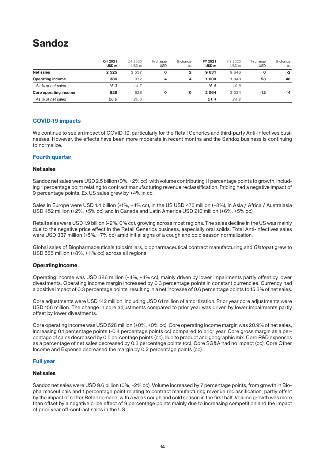# **Sandoz**

|                              | Q4 2021<br>USD <sub>m</sub> | Q4 2020<br>USD <sub>m</sub> | % change<br><b>USD</b> | % change<br>CC | FY 2021<br>USD <sub>m</sub> | FY 2020<br>USD <sub>m</sub> | % change<br><b>USD</b> | % change<br>CC |
|------------------------------|-----------------------------|-----------------------------|------------------------|----------------|-----------------------------|-----------------------------|------------------------|----------------|
| <b>Net sales</b>             | 2 5 2 5                     | 2 5 3 7                     | 0                      |                | 9631                        | 9 646                       |                        | $-2$           |
| <b>Operating income</b>      | 386                         | 372                         | 4                      | 4              | 600 ا                       | 1 043                       | 53                     | 48             |
| As % of net sales            | 15.3                        | 14.7                        |                        |                | 16.6                        | 10.8                        |                        |                |
| <b>Core operating income</b> | 528                         | 528                         | 0                      |                | 2 0 6 4                     | 2 3 3 4                     | $-12$                  | $-14$          |
| As % of net sales            | 20.9                        | 20.8                        |                        |                | 21.4                        | 24.2                        |                        |                |

### **COVID-19 impacts**

We continue to see an impact of COVID-19, particularly for the Retail Generics and third-party Anti-Infectives businesses. However, the effects have been more moderate in recent months and the Sandoz business is continuing to normalize.

### **Fourth quarter**

### **Net sales**

Sandoz net sales were USD 2.5 billion (0%, +2% cc), with volume contributing 11 percentage points to growth, including 1 percentage point relating to contract manufacturing revenue reclassification. Pricing had a negative impact of 9 percentage points. Ex US sales grew by +4% in cc.

Sales in Europe were USD 1.4 billion (+1%, +4% cc), in the US USD 475 million (–8%), in Asia / Africa / Australasia USD 452 million (+2%, +5% cc) and in Canada and Latin America USD 216 million (+6%, +5% cc).

Retail sales were USD 1.9 billion (–2%, 0% cc), growing across most regions. The sales decline in the US was mainly due to the negative price effect in the Retail Generics business, especially oral solids. Total Anti-Infectives sales were USD 337 million (+5%, +7% cc) amid initial signs of a cough and cold season normalization.

Global sales of Biopharmaceuticals (biosimilars, biopharmaceutical contract manufacturing and *Glatopa*) grew to USD 555 million (+8%, +11% cc) across all regions.

### **Operating income**

Operating income was USD 386 million (+4%, +4% cc), mainly driven by lower impairments partly offset by lower divestments. Operating income margin increased by 0.3 percentage points in constant currencies. Currency had a positive impact of 0.3 percentage points, resulting in a net increase of 0.6 percentage points to 15.3% of net sales.

Core adjustments were USD 142 million, including USD 61 million of amortization. Prior year core adjustments were USD 156 million. The change in core adjustments compared to prior year was driven by lower impairments partly offset by lower divestments.

Core operating income was USD 528 million (+0%, +0% cc). Core operating income margin was 20.9% of net sales, increasing 0.1 percentage points (-0.4 percentage points cc) compared to prior year. Core gross margin as a percentage of sales decreased by 0.5 percentage points (cc), due to product and geographic mix. Core R&D expenses as a percentage of net sales decreased by 0.3 percentage points (cc). Core SG&A had no impact (cc). Core Other Income and Expense decreased the margin by 0.2 percentage points (cc).

### **Full year**

### **Net sales**

Sandoz net sales were USD 9.6 billion (0%, –2% cc). Volume increased by 7 percentage points, from growth in Biopharmaceuticals and 1 percentage point relating to contract manufacturing revenue reclassification, partly offset by the impact of softer Retail demand, with a weak cough and cold season in the first half. Volume growth was more than offset by a negative price effect of 9 percentage points mainly due to increasing competition and the impact of prior year off-contract sales in the US.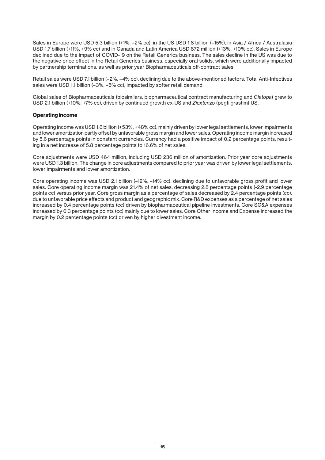Sales in Europe were USD 5.3 billion (+1%, –2% cc), in the US USD 1.8 billion (–15%), in Asia / Africa / Australasia USD 1.7 billion (+11%, +9% cc) and in Canada and Latin America USD 872 million (+13%, +10% cc). Sales in Europe declined due to the impact of COVID-19 on the Retail Generics business. The sales decline in the US was due to the negative price effect in the Retail Generics business, especially oral solids, which were additionally impacted by partnership terminations, as well as prior year Biopharmaceuticals off-contract sales.

Retail sales were USD 7.1 billion (–2%, –4% cc), declining due to the above-mentioned factors. Total Anti-Infectives sales were USD 1.1 billion (–3%, –5% cc), impacted by softer retail demand.

Global sales of Biopharmaceuticals (biosimilars, biopharmaceutical contract manufacturing and *Glatopa*) grew to USD 2.1 billion (+10%, +7% cc), driven by continued growth ex-US and *Ziextenzo* (pegfilgrastim) US.

### **Operating income**

Operating income was USD 1.6 billion (+53%, +48% cc), mainly driven by lower legal settlements, lower impairments and lower amortization partly offset by unfavorable gross margin and lower sales. Operating income margin increased by 5.6 percentage points in constant currencies. Currency had a positive impact of 0.2 percentage points, resulting in a net increase of 5.8 percentage points to 16.6% of net sales.

Core adjustments were USD 464 million, including USD 236 million of amortization. Prior year core adjustments were USD 1.3 billion. The change in core adjustments compared to prior year was driven by lower legal settlements, lower impairments and lower amortization.

Core operating income was USD 2.1 billion (–12%, –14% cc), declining due to unfavorable gross profit and lower sales. Core operating income margin was 21.4% of net sales, decreasing 2.8 percentage points (-2.9 percentage points cc) versus prior year. Core gross margin as a percentage of sales decreased by 2.4 percentage points (cc), due to unfavorable price effects and product and geographic mix. Core R&D expenses as a percentage of net sales increased by 0.4 percentage points (cc) driven by biopharmaceutical pipeline investments. Core SG&A expenses increased by 0.3 percentage points (cc) mainly due to lower sales. Core Other Income and Expense increased the margin by 0.2 percentage points (cc) driven by higher divestment income.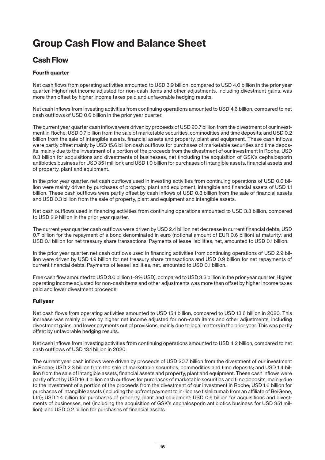# **Group Cash Flow and Balance Sheet**

## **Cash Flow**

### **Fourth quarter**

Net cash flows from operating activities amounted to USD 3.9 billion, compared to USD 4.0 billion in the prior year quarter. Higher net income adjusted for non-cash items and other adjustments, including divestment gains, was more than offset by higher income taxes paid and unfavorable hedging results.

Net cash inflows from investing activities from continuing operations amounted to USD 4.6 billion, compared to net cash outflows of USD 0.6 billion in the prior year quarter.

The current year quarter cash inflows were driven by proceeds of USD 20.7 billion from the divestment of our investment in Roche; USD 0.7 billion from the sale of marketable securities, commodities and time deposits; and USD 0.2 billion from the sale of intangible assets, financial assets and property, plant and equipment. These cash inflows were partly offset mainly by USD 15.6 billion cash outflows for purchases of marketable securities and time deposits, mainly due to the investment of a portion of the proceeds from the divestment of our investment in Roche; USD 0.3 billion for acquisitions and divestments of businesses, net (including the acquisition of GSK's cephalosporin antibiotics business for USD 351 million); and USD 1.0 billion for purchases of intangible assets, financial assets and of property, plant and equipment.

In the prior year quarter, net cash outflows used in investing activities from continuing operations of USD 0.6 billion were mainly driven by purchases of property, plant and equipment, intangible and financial assets of USD 1.1 billion. These cash outflows were partly offset by cash inflows of USD 0.3 billion from the sale of financial assets and USD 0.3 billion from the sale of property, plant and equipment and intangible assets.

Net cash outflows used in financing activities from continuing operations amounted to USD 3.3 billion, compared to USD 2.9 billion in the prior year quarter.

The current year quarter cash outflows were driven by USD 2.4 billion net decrease in current financial debts; USD 0.7 billion for the repayment of a bond denominated in euro (notional amount of EUR 0.6 billion) at maturity; and USD 0.1 billion for net treasury share transactions. Payments of lease liabilities, net, amounted to USD 0.1 billion.

In the prior year quarter, net cash outflows used in financing activities from continuing operations of USD 2.9 billion were driven by USD 1.9 billion for net treasury share transactions and USD 0.9 billion for net repayments of current financial debts. Payments of lease liabilities, net, amounted to USD 0.1 billion.

Free cash flow amounted to USD 3.0 billion (–9% USD), compared to USD 3.3 billion in the prior year quarter. Higher operating income adjusted for non-cash items and other adjustments was more than offset by higher income taxes paid and lower divestment proceeds.

### **Full year**

Net cash flows from operating activities amounted to USD 15.1 billion, compared to USD 13.6 billion in 2020. This increase was mainly driven by higher net income adjusted for non-cash items and other adjustments, including divestment gains, and lower payments out of provisions, mainly due to legal matters in the prior year. This was partly offset by unfavorable hedging results.

Net cash inflows from investing activities from continuing operations amounted to USD 4.2 billion, compared to net cash outflows of USD 13.1 billion in 2020.

The current year cash inflows were driven by proceeds of USD 20.7 billion from the divestment of our investment in Roche; USD 2.3 billion from the sale of marketable securities, commodities and time deposits; and USD 1.4 billion from the sale of intangible assets, financial assets and property, plant and equipment. These cash inflows were partly offset by USD 16.4 billion cash outflows for purchases of marketable securities and time deposits, mainly due to the investment of a portion of the proceeds from the divestment of our investment in Roche; USD 1.6 billion for purchases of intangible assets (including the upfront payment to in-license tislelizumab from an affiliate of BeiGene, Ltd); USD 1.4 billion for purchases of property, plant and equipment; USD 0.6 billion for acquisitions and divestments of businesses, net (including the acquisition of GSK's cephalosporin antibiotics business for USD 351 million); and USD 0.2 billion for purchases of financial assets.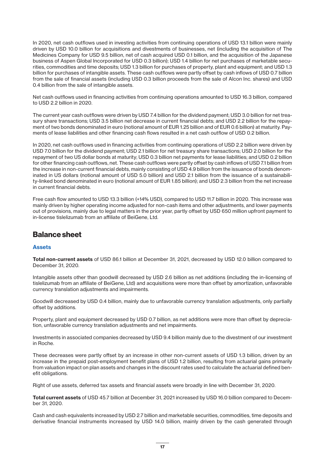In 2020, net cash outflows used in investing activities from continuing operations of USD 13.1 billion were mainly driven by USD 10.0 billion for acquisitions and divestments of businesses, net (including the acquisition of The Medicines Company for USD 9.5 billion, net of cash acquired USD 0.1 billion, and the acquisition of the Japanese business of Aspen Global Incorporated for USD 0.3 billion); USD 1.4 billion for net purchases of marketable securities, commodities and time deposits; USD 1.3 billion for purchases of property, plant and equipment; and USD 1.3 billion for purchases of intangible assets. These cash outflows were partly offset by cash inflows of USD 0.7 billion from the sale of financial assets (including USD 0.3 billion proceeds from the sale of Alcon Inc. shares) and USD 0.4 billion from the sale of intangible assets.

Net cash outflows used in financing activities from continuing operations amounted to USD 16.3 billion, compared to USD 2.2 billion in 2020.

The current year cash outflows were driven by USD 7.4 billion for the dividend payment; USD 3.0 billion for net treasury share transactions; USD 3.5 billion net decrease in current financial debts; and USD 2.2 billion for the repayment of two bonds denominated in euro (notional amount of EUR 1.25 billion and of EUR 0.6 billion) at maturity. Payments of lease liabilities and other financing cash flows resulted in a net cash outflow of USD 0.2 billion.

In 2020, net cash outflows used in financing activities from continuing operations of USD 2.2 billion were driven by USD 7.0 billion for the dividend payment; USD 2.1 billion for net treasury share transactions; USD 2.0 billion for the repayment of two US dollar bonds at maturity; USD 0.3 billion net payments for lease liabilities; and USD 0.2 billion for other financing cash outflows, net. These cash outflows were partly offset by cash inflows of USD 7.1 billion from the increase in non-current financial debts, mainly consisting of USD 4.9 billion from the issuance of bonds denominated in US dollars (notional amount of USD 5.0 billion) and USD 2.1 billion from the issuance of a sustainability-linked bond denominated in euro (notional amount of EUR 1.85 billion); and USD 2.3 billion from the net increase in current financial debts.

Free cash flow amounted to USD 13.3 billion (+14% USD), compared to USD 11.7 billion in 2020. This increase was mainly driven by higher operating income adjusted for non-cash items and other adjustments, and lower payments out of provisions, mainly due to legal matters in the prior year, partly offset by USD 650 million upfront payment to in-license tislelizumab from an affiliate of BeiGene, Ltd.

## **Balance sheet**

### **Assets**

**Total non-current assets** of USD 86.1 billion at December 31, 2021, decreased by USD 12.0 billion compared to December 31, 2020.

Intangible assets other than goodwill decreased by USD 2.6 billion as net additions (including the in-licensing of tislelizumab from an affiliate of BeiGene, Ltd) and acquisitions were more than offset by amortization, unfavorable currency translation adjustments and impairments.

Goodwill decreased by USD 0.4 billion, mainly due to unfavorable currency translation adjustments, only partially offset by additions.

Property, plant and equipment decreased by USD 0.7 billion, as net additions were more than offset by depreciation, unfavorable currency translation adjustments and net impairments.

Investments in associated companies decreased by USD 9.4 billion mainly due to the divestment of our investment in Roche.

These decreases were partly offset by an increase in other non-current assets of USD 1.3 billion, driven by an increase in the prepaid post-employment benefit plans of USD 1.2 billion, resulting from actuarial gains primarily from valuation impact on plan assets and changes in the discount rates used to calculate the actuarial defined benefit obligations.

Right of use assets, deferred tax assets and financial assets were broadly in line with December 31, 2020.

**Total current assets** of USD 45.7 billion at December 31, 2021 increased by USD 16.0 billion compared to December 31, 2020.

Cash and cash equivalents increased by USD 2.7 billion and marketable securities, commodities, time deposits and derivative financial instruments increased by USD 14.0 billion, mainly driven by the cash generated through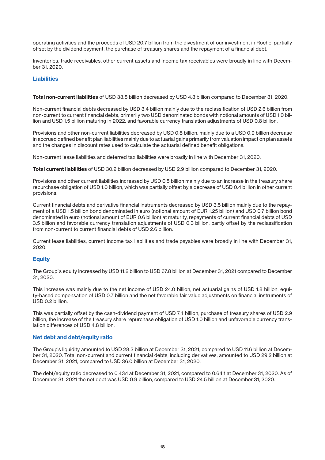operating activities and the proceeds of USD 20.7 billion from the divestment of our investment in Roche, partially offset by the dividend payment, the purchase of treasury shares and the repayment of a financial debt.

Inventories, trade receivables, other current assets and income tax receivables were broadly in line with December 31, 2020.

### **Liabilities**

**Total non-current liabilities** of USD 33.8 billion decreased by USD 4.3 billion compared to December 31, 2020.

Non-current financial debts decreased by USD 3.4 billion mainly due to the reclassification of USD 2.6 billion from non-current to current financial debts, primarily two USD denominated bonds with notional amounts of USD 1.0 billion and USD 1.5 billion maturing in 2022, and favorable currency translation adjustments of USD 0.8 billion.

Provisions and other non-current liabilities decreased by USD 0.8 billion, mainly due to a USD 0.9 billion decrease in accrued defined benefit plan liabilities mainly due to actuarial gains primarily from valuation impact on plan assets and the changes in discount rates used to calculate the actuarial defined benefit obligations.

Non-current lease liabilities and deferred tax liabilities were broadly in line with December 31, 2020.

**Total current liabilities** of USD 30.2 billion decreased by USD 2.9 billion compared to December 31, 2020.

Provisions and other current liabilities increased by USD 0.5 billion mainly due to an increase in the treasury share repurchase obligation of USD 1.0 billion, which was partially offset by a decrease of USD 0.4 billion in other current provisions.

Current financial debts and derivative financial instruments decreased by USD 3.5 billion mainly due to the repayment of a USD 1.5 billion bond denominated in euro (notional amount of EUR 1.25 billion) and USD 0.7 billion bond denominated in euro (notional amount of EUR 0.6 billion) at maturity, repayments of current financial debts of USD 3.5 billion and favorable currency translation adjustments of USD 0.3 billion, partly offset by the reclassification from non-current to current financial debts of USD 2.6 billion.

Current lease liabilities, current income tax liabilities and trade payables were broadly in line with December 31, 2020.

#### **Equity**

The Group`s equity increased by USD 11.2 billion to USD 67.8 billion at December 31, 2021 compared to December 31, 2020.

This increase was mainly due to the net income of USD 24.0 billion, net actuarial gains of USD 1.8 billion, equity-based compensation of USD 0.7 billion and the net favorable fair value adjustments on financial instruments of USD 0.2 billion.

This was partially offset by the cash-dividend payment of USD 7.4 billion, purchase of treasury shares of USD 2.9 billion, the increase of the treasury share repurchase obligation of USD 1.0 billion and unfavorable currency translation differences of USD 4.8 billion.

### **Net debt and debt/equity ratio**

The Group's liquidity amounted to USD 28.3 billion at December 31, 2021, compared to USD 11.6 billion at December 31, 2020. Total non-current and current financial debts, including derivatives, amounted to USD 29.2 billion at December 31, 2021, compared to USD 36.0 billion at December 31, 2020.

The debt/equity ratio decreased to 0.43:1 at December 31, 2021, compared to 0.64:1 at December 31, 2020. As of December 31, 2021 the net debt was USD 0.9 billion, compared to USD 24.5 billion at December 31, 2020.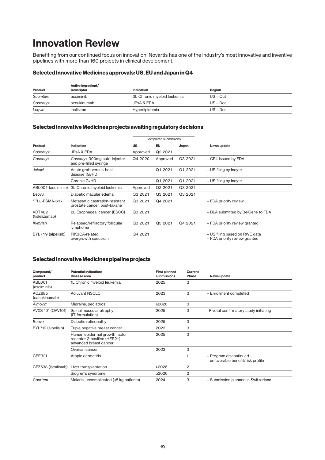# **Innovation Review**

Benefiting from our continued focus on innovation, Novartis has one of the industry's most innovative and inventive pipelines with more than 160 projects in clinical development.

### **Selected Innovative Medicines approvals: US, EU and Japan in Q4**

| Product  | Active ingredient/<br><b>Descriptor</b> | Indication                  | Region     |
|----------|-----------------------------------------|-----------------------------|------------|
| Scemblix | asciminib                               | 3L Chronic myeloid leukemia | $US - Oct$ |
| Cosentyx | secukinumab                             | JPsA & ERA                  | $US - Dec$ |
| Legvio   | inclisiran                              | Hyperlipidemia              | $US - Dec$ |

### **Selected Innovative Medicines projects awaiting regulatory decisions**

| Completed submissions           |                                                                 |           |                     |         |                                                                |  |  |  |  |  |
|---------------------------------|-----------------------------------------------------------------|-----------|---------------------|---------|----------------------------------------------------------------|--|--|--|--|--|
| Product                         | Indication                                                      | <b>US</b> | EU                  | Japan   | News update                                                    |  |  |  |  |  |
| Cosentyx                        | <b>JPsA &amp; ERA</b>                                           | Approved  | Q <sub>2</sub> 2021 |         |                                                                |  |  |  |  |  |
| Cosentyx                        | Cosentyx 300mg auto-injector<br>and pre-filled syringe          | Q4 2020   | Approved            | Q3 2021 | - CRL issued by FDA                                            |  |  |  |  |  |
| Jakavi                          | Acute graft-versus-host<br>disease (GvHD)                       |           | Q1 2021             | Q1 2021 | - US filing by Incyte                                          |  |  |  |  |  |
|                                 | Chronic GvHD                                                    |           | Q1 2021             | Q1 2021 | - US filing by Incyte                                          |  |  |  |  |  |
| ABL001 (asciminib)              | 3L Chronic myeloid leukemia                                     | Approved  | Q <sub>2</sub> 2021 | Q3 2021 |                                                                |  |  |  |  |  |
| Beovu                           | Diabetic macular edema                                          | Q3 2021   | Q3 2021             | Q3 2021 |                                                                |  |  |  |  |  |
| 177Lu-PSMA-617                  | Metastatic castration-resistant<br>prostate cancer, post-taxane | Q3 2021   | Q4 2021             |         | - FDA priority review                                          |  |  |  |  |  |
| <b>VDT482</b><br>(tislelizumab) | 2L Esophageal cancer (ESCC)                                     | Q3 2021   |                     |         | - BLA submitted by BeiGene to FDA                              |  |  |  |  |  |
| Kymriah                         | Relapsed/refractory follicular<br>lymphoma                      | Q3 2021   | Q3 2021             | Q4 2021 | - FDA priority review granted                                  |  |  |  |  |  |
| BYL719 (alpelisib)              | PIK3CA-related<br>overgrowth spectrum                           | Q4 2021   |                     |         | - US filing based on RWE data<br>- FDA priority review granted |  |  |  |  |  |

### **Selected Innovative Medicines pipeline projects**

| Compound/<br>product    | <b>Potential indication/</b><br>Disease area                                           | <b>First planned</b><br>submissions | Current<br><b>Phase</b> | News update                                                |
|-------------------------|----------------------------------------------------------------------------------------|-------------------------------------|-------------------------|------------------------------------------------------------|
| ABLO01<br>(asciminib)   | 1L Chronic myeloid leukemia                                                            | 2025                                | 3                       |                                                            |
| ACZ885<br>(canakinumab) | <b>Adjuvant NSCLC</b>                                                                  | 2023                                | 3                       | - Enrollment completed                                     |
| Aimovig                 | Migraine, pediatrics                                                                   | ≥2026                               | 3                       |                                                            |
| AVXS-101 (OAV101)       | Spinal muscular atrophy<br>(IT formulation)                                            | 2025                                | 3                       | -Pivotal confirmatory study initiating                     |
| Beovu                   | Diabetic retinopathy                                                                   | 2025                                | 3                       |                                                            |
| BYL719 (alpelisib)      | Triple negative breast cancer                                                          | 2023                                | 3                       |                                                            |
|                         | Human epidermal growth factor<br>receptor 2-positive (HER2+)<br>advanced breast cancer | 2025                                | 3                       |                                                            |
|                         | Ovarian cancer                                                                         | 2023                                | 3                       |                                                            |
| <b>CEE321</b>           | Atopic dermatitis                                                                      |                                     | 1                       | - Program discontinued<br>unfavorable benefit/risk profile |
| CFZ533 (iscalimab)      | Liver transplantation                                                                  | ≥2026                               | 2                       |                                                            |
|                         | Sjögren's syndrome                                                                     | ≥2026                               | 2                       |                                                            |
| Coartem                 | Malaria, uncomplicated (<5 kg patients)                                                | 2024                                | 3                       | - Submission planned in Switzerland                        |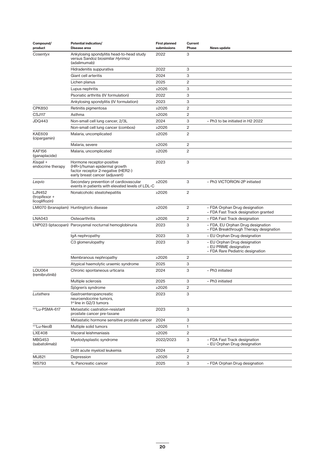| Compound/<br>product                             | Potential indication/<br>Disease area                                                                                             | <b>First planned</b><br>submissions | Current<br>Phase        | News update                                                                                |
|--------------------------------------------------|-----------------------------------------------------------------------------------------------------------------------------------|-------------------------------------|-------------------------|--------------------------------------------------------------------------------------------|
| Cosentyx                                         | Ankylosing spondylitis head-to-head study<br>versus Sandoz biosimilar Hyrimoz<br>(adalimumab)                                     | 2022                                | 3                       |                                                                                            |
|                                                  | Hidradenitis suppurativa                                                                                                          | 2022                                | 3                       |                                                                                            |
|                                                  | Giant cell arteritis                                                                                                              | 2024                                | 3                       |                                                                                            |
|                                                  | Lichen planus                                                                                                                     | 2025                                | $\overline{c}$          |                                                                                            |
|                                                  | Lupus nephritis                                                                                                                   | ≥2026                               | 3                       |                                                                                            |
|                                                  | Psoriatic arthritis (IV formulation)                                                                                              | 2022                                | 3                       |                                                                                            |
|                                                  | Ankylosing spondylitis (IV formulation)                                                                                           | 2023                                | 3                       |                                                                                            |
| <b>CPK850</b>                                    | Retinitis pigmentosa                                                                                                              | $\geq 2026$                         | 2                       |                                                                                            |
| CSJ117                                           | Asthma                                                                                                                            | ≥2026                               | $\mathbf{2}$            |                                                                                            |
| <b>JDQ443</b>                                    | Non-small cell lung cancer, 2/3L                                                                                                  | 2024                                | 3                       | - Ph3 to be initiated in H2 2022                                                           |
|                                                  | Non-small cell lung cancer (combos)                                                                                               | $\geq 2026$                         | $\overline{c}$          |                                                                                            |
| <b>KAE609</b><br>(cipargamin)                    | Malaria, uncomplicated                                                                                                            | ≥2026                               | $\overline{c}$          |                                                                                            |
|                                                  | Malaria, severe                                                                                                                   | ≥2026                               | $\overline{c}$          |                                                                                            |
| <b>KAF156</b><br>(ganaplacide)                   | Malaria, uncomplicated                                                                                                            | $\geq 2026$                         | $\overline{2}$          |                                                                                            |
| Kisgali +<br>endocrine therapy                   | Hormone receptor-positive<br>(HR+)/human epidermal growth<br>factor receptor 2-negative (HER2-)<br>early breast cancer (adjuvant) | 2023                                | 3                       |                                                                                            |
| Legvio                                           | Secondary prevention of cardiovascular<br>events in patients with elevated levels of LDL-C                                        | ≥2026                               | 3                       | - Ph3 VICTORION-2P initiated                                                               |
| <b>LJN452</b><br>(tropifexor +<br>licogliflozin) | Nonalcoholic steatohepatitis                                                                                                      | ≥2026                               | $\overline{c}$          |                                                                                            |
|                                                  | LMI070 (branaplam) Huntington's disease                                                                                           | $\geq 2026$                         | $\overline{c}$          | - FDA Orphan Drug designation<br>- FDA Fast Track designation granted                      |
| <b>LNA043</b>                                    | Osteoarthritis                                                                                                                    | ≥2026                               | 2                       | - FDA Fast Track designation                                                               |
|                                                  | LNP023 (iptacopan) Paroxysmal nocturnal hemoglobinuria                                                                            | 2023                                | 3                       | - FDA, EU Orphan Drug designation<br>- FDA Breakthrough Therapy designation                |
|                                                  | lgA nephropathy                                                                                                                   | 2023                                | З                       | - EU Orphan Drug designation                                                               |
|                                                  | C3 glomerulopathy                                                                                                                 | 2023                                | 3                       | - EU Orphan Drug designation<br>- EU PRIME designation<br>- FDA Rare Pediatric designation |
|                                                  | Membranous nephropathy                                                                                                            | $\geq 2026$                         | $\overline{2}$          |                                                                                            |
|                                                  | Atypical haemolytic uraemic syndrome                                                                                              | 2025                                | 3                       |                                                                                            |
| <b>LOU064</b><br>(remibrutinib)                  | Chronic spontaneous urticaria                                                                                                     | 2024                                | 3                       | - Ph3 initiated                                                                            |
|                                                  | Multiple sclerosis                                                                                                                | 2025                                | 3                       | - Ph3 initiated                                                                            |
|                                                  | Sjögren's syndrome                                                                                                                | ≥2026                               | $\overline{\mathbf{c}}$ |                                                                                            |
| Lutathera                                        | Gastroenteropancreatic<br>neuroendocrine tumors,<br>1 <sup>st</sup> line in G2/3 tumors                                           | 2023                                | З                       |                                                                                            |
| 177Lu-PSMA-617                                   | Metastatic castration-resistant<br>prostate cancer pre-taxane                                                                     | 2023                                | 3                       |                                                                                            |
|                                                  | Metastatic hormone sensitive prostate cancer                                                                                      | 2024                                | 3                       |                                                                                            |
| <sup>177</sup> Lu-NeoB                           | Multiple solid tumors                                                                                                             | ≥2026                               | 1                       |                                                                                            |
| <b>LXE408</b>                                    | Visceral leishmaniasis                                                                                                            | ≥2026                               | 2                       |                                                                                            |
| <b>MBG453</b><br>(sabatolimab)                   | Myelodysplastic syndrome                                                                                                          | 2022/2023                           | 3                       | - FDA Fast Track designation<br>- EU Orphan Drug designation                               |
|                                                  | Unfit acute myeloid leukemia                                                                                                      | 2024                                | 2                       |                                                                                            |
| <b>MIJ821</b>                                    | Depression                                                                                                                        | ≥2026                               | 2                       |                                                                                            |
| <b>NIS793</b>                                    | 1L Pancreatic cancer                                                                                                              | 2025                                | 3                       | - FDA Orphan Drug designation                                                              |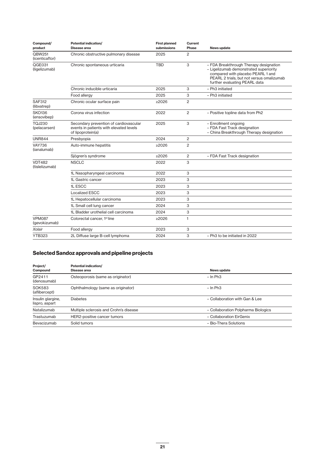| Compound/<br>product            | <b>Potential indication/</b><br>Disease area                                                           | <b>First planned</b><br>submissions | <b>Current</b><br>Phase | News update                                                                                                                                                                                         |
|---------------------------------|--------------------------------------------------------------------------------------------------------|-------------------------------------|-------------------------|-----------------------------------------------------------------------------------------------------------------------------------------------------------------------------------------------------|
| <b>QBW251</b><br>(icenticaftor) | Chronic obstructive pulmonary disease                                                                  | 2025                                | 2                       |                                                                                                                                                                                                     |
| QGE031<br>(ligelizumab)         | Chronic spontaneous urticaria                                                                          | <b>TBD</b>                          | 3                       | - FDA Breakthrough Therapy designation<br>- Ligelizumab demonstrated superiority<br>compared with placebo PEARL 1 and<br>PEARL 2 trials, but not versus omalizumab<br>further evaluating PEARL data |
|                                 | Chronic inducible urticaria                                                                            | 2025                                | 3                       | - Ph3 initiated                                                                                                                                                                                     |
|                                 | Food allergy                                                                                           | 2025                                | 3                       | - Ph3 initiated                                                                                                                                                                                     |
| <b>SAF312</b><br>(libvatrep)    | Chronic ocular surface pain                                                                            | >2026                               | $\overline{2}$          |                                                                                                                                                                                                     |
| <b>SKO136</b><br>(ensovibep)    | Corona virus infection                                                                                 | 2022                                | $\overline{2}$          | - Positive topline data from Ph2                                                                                                                                                                    |
| <b>TOJ230</b><br>(pelacarsen)   | Secondary prevention of cardiovascular<br>events in patients with elevated levels<br>of lipoprotein(a) | 2025                                | 3                       | - Enrollment ongoing<br>- FDA Fast Track designation<br>- China Breakthrough Therapy designation                                                                                                    |
| <b>UNR844</b>                   | Presbyopia                                                                                             | 2024                                | $\mathbf{2}$            |                                                                                                                                                                                                     |
| <b>VAY736</b><br>(ianalumab)    | Auto-immune hepatitis                                                                                  | >2026                               | $\overline{2}$          |                                                                                                                                                                                                     |
|                                 | Sjögren's syndrome                                                                                     | >2026                               | 2                       | - FDA Fast Track designation                                                                                                                                                                        |
| <b>VDT482</b><br>(tislelizumab) | <b>NSCLC</b>                                                                                           | 2022                                | 3                       |                                                                                                                                                                                                     |
|                                 | 1L Nasopharyngeal carcinoma                                                                            | 2022                                | 3                       |                                                                                                                                                                                                     |
|                                 | 1L Gastric cancer                                                                                      | 2023                                | 3                       |                                                                                                                                                                                                     |
|                                 | 1L ESCC                                                                                                | 2023                                | 3                       |                                                                                                                                                                                                     |
|                                 | Localized ESCC                                                                                         | 2023                                | 3                       |                                                                                                                                                                                                     |
|                                 | 1L Hepatocellular carcinoma                                                                            | 2023                                | 3                       |                                                                                                                                                                                                     |
|                                 | 1L Small cell lung cancer                                                                              | 2024                                | 3                       |                                                                                                                                                                                                     |
|                                 | 1L Bladder urothelial cell carcinoma                                                                   | 2024                                | 3                       |                                                                                                                                                                                                     |
| <b>VPM087</b><br>(gevokizumab)  | Colorectal cancer, 1 <sup>st</sup> line                                                                | $\geq 2026$                         | $\mathbf{1}$            |                                                                                                                                                                                                     |
| Xolair                          | Food allergy                                                                                           | 2023                                | 3                       |                                                                                                                                                                                                     |
| <b>YTB323</b>                   | 2L Diffuse large B-cell lymphoma                                                                       | 2024                                | 3                       | - Ph3 to be initiated in 2022                                                                                                                                                                       |

### **Selected Sandoz approvals and pipeline projects**

| Project/                            | Potential indication/                  |                                     |
|-------------------------------------|----------------------------------------|-------------------------------------|
| Compound                            | Disease area                           | News update                         |
| GP2411<br>(denosumab)               | Osteoporosis (same as originator)      | $-$ In Ph3                          |
| <b>SOK583</b><br>(aflibercept)      | Ophthalmology (same as originator)     | $-$ In Ph3                          |
| Insulin glargine,<br>lispro, aspart | <b>Diabetes</b>                        | - Collaboration with Gan & Lee      |
| Natalizumab                         | Multiple sclerosis and Crohn's disease | - Collaboration Polpharma Biologics |
| Trastuzumab                         | HER2-positive cancer tumors            | - Collaboration EirGenix            |
| Bevacizumab                         | Solid tumors                           | - Bio-Thera Solutions               |
|                                     |                                        |                                     |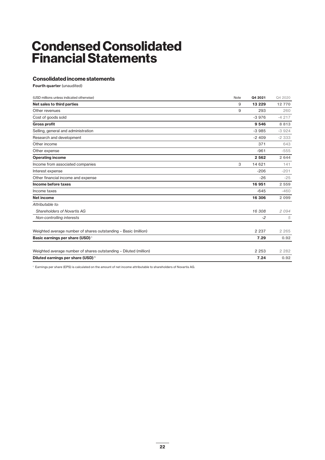# **Condensed Consolidated Financial Statements**

### **Consolidated income statements**

**Fourth quarter** (unaudited)

| (USD millions unless indicated otherwise)                         | Note | Q4 2021  | Q4 2020 |
|-------------------------------------------------------------------|------|----------|---------|
| Net sales to third parties                                        | 9    | 13 2 2 9 | 12770   |
| Other revenues                                                    | 9    | 293      | 260     |
| Cost of goods sold                                                |      | $-3976$  | $-4217$ |
| <b>Gross profit</b>                                               |      | 9 5 4 6  | 8813    |
| Selling, general and administration                               |      | $-3985$  | $-3924$ |
| Research and development                                          |      | $-2409$  | $-2333$ |
| Other income                                                      |      | 371      | 643     |
| Other expense                                                     |      | $-961$   | $-555$  |
| <b>Operating income</b>                                           |      | 2 5 6 2  | 2 6 4 4 |
| Income from associated companies                                  | З    | 14 621   | 141     |
| Interest expense                                                  |      | $-206$   | $-201$  |
| Other financial income and expense                                |      | $-26$    | $-25$   |
| Income before taxes                                               |      | 16 951   | 2 5 5 9 |
| Income taxes                                                      |      | $-645$   | $-460$  |
| <b>Net income</b>                                                 |      | 16 306   | 2 0 9 9 |
| Attributable to:                                                  |      |          |         |
| Shareholders of Novartis AG                                       |      | 16 308   | 2094    |
| Non-controlling interests                                         |      | $-2$     | 5       |
| Weighted average number of shares outstanding - Basic (million)   |      | 2 2 3 7  | 2 2 6 5 |
| Basic earnings per share (USD) <sup>1</sup>                       |      | 7.29     | 0.92    |
| Weighted average number of shares outstanding - Diluted (million) |      | 2 2 5 3  | 2 2 8 2 |
| Diluted earnings per share (USD) <sup>1</sup>                     |      | 7.24     | 0.92    |
|                                                                   |      |          |         |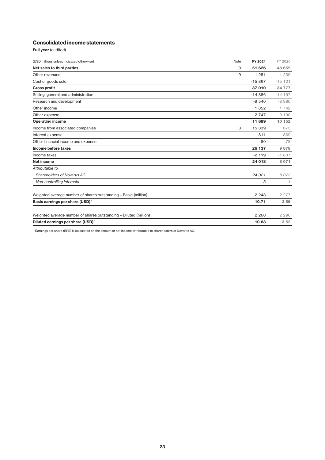### **Consolidated income statements**

**Full year** (audited)

| (USD millions unless indicated otherwise)                         | Note | FY 2021  | FY 2020   |
|-------------------------------------------------------------------|------|----------|-----------|
| Net sales to third parties                                        | 9    | 51 626   | 48 659    |
| Other revenues                                                    | 9    | 1 2 5 1  | 1 2 3 9   |
| Cost of goods sold                                                |      | $-15867$ | $-15$ 121 |
| <b>Gross profit</b>                                               |      | 37 010   | 34 777    |
| Selling, general and administration                               |      | $-14886$ | $-14$ 197 |
| Research and development                                          |      | $-9540$  | $-8980$   |
| Other income                                                      |      | 1852     | 1 7 4 2   |
| Other expense                                                     |      | $-2747$  | $-3190$   |
| <b>Operating income</b>                                           |      | 11 689   | 10 152    |
| Income from associated companies                                  | 3    | 15 339   | 673       |
| Interest expense                                                  |      | $-811$   | $-869$    |
| Other financial income and expense                                |      | $-80$    | $-78$     |
| Income before taxes                                               |      | 26 137   | 9878      |
| Income taxes                                                      |      | $-2119$  | $-1807$   |
| <b>Net income</b>                                                 |      | 24 018   | 8 0 7 1   |
| Attributable to:                                                  |      |          |           |
| Shareholders of Novartis AG                                       |      | 24 021   | 8 0 7 2   |
| Non-controlling interests                                         |      | $-3$     | $-1$      |
| Weighted average number of shares outstanding - Basic (million)   |      | 2 2 4 3  | 2 2 7 7   |
| Basic earnings per share (USD) <sup>1</sup>                       |      | 10.71    | 3.55      |
| Weighted average number of shares outstanding - Diluted (million) |      | 2 2 6 0  | 2 2 9 6   |
| Diluted earnings per share (USD) <sup>1</sup>                     |      | 10.63    | 3.52      |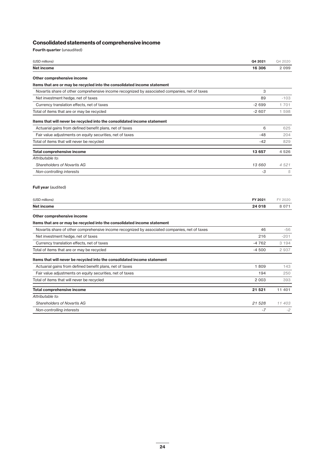### **Consolidated statements of comprehensive income**

**Fourth quarter** (unaudited)

| (USD millions)                                                                                | Q4 2021 | Q4 2020 |
|-----------------------------------------------------------------------------------------------|---------|---------|
| Net income                                                                                    | 16 306  | 2 0 9 9 |
| Other comprehensive income                                                                    |         |         |
| Items that are or may be recycled into the consolidated income statement                      |         |         |
| Novartis share of other comprehensive income recognized by associated companies, net of taxes | 3       |         |
| Net investment hedge, net of taxes                                                            | 89      | $-103$  |
| Currency translation effects, net of taxes                                                    | $-2699$ | 1701    |
| Total of items that are or may be recycled                                                    | $-2607$ | 1 5 9 8 |
| Items that will never be recycled into the consolidated income statement                      |         |         |
| Actuarial gains from defined benefit plans, net of taxes                                      | 6       | 625     |
| Fair value adjustments on equity securities, net of taxes                                     | $-48$   | 204     |
| Total of items that will never be recycled                                                    | $-42$   | 829     |
| <b>Total comprehensive income</b>                                                             | 13 657  | 4526    |
| Attributable to:                                                                              |         |         |
| Shareholders of Novartis AG                                                                   | 13 660  | 4 5 2 1 |
| Non-controlling interests                                                                     | $-3$    | 5       |
| (USD millions)                                                                                | FY 2021 | FY 2020 |
| Net income                                                                                    | 24 018  | 8 0 7 1 |
| Other comprehensive income                                                                    |         |         |
| Items that are or may be recycled into the consolidated income statement                      |         |         |
| Novartis share of other comprehensive income recognized by associated companies, net of taxes | 46      | $-56$   |
| Net investment hedge, net of taxes                                                            | 216     | $-201$  |
| Currency translation effects, net of taxes                                                    | $-4762$ | 3 1 9 4 |
| Total of items that are or may be recycled                                                    | $-4500$ | 2 9 3 7 |
| Items that will never be recycled into the consolidated income statement                      |         |         |
| Actuarial gains from defined benefit plans, net of taxes                                      | 1809    | 143     |
| Fair value adjustments on equity securities, net of taxes                                     | 194     | 250     |
| Total of items that will never be recycled                                                    | 2 0 0 3 | 393     |
| <b>Total comprehensive income</b>                                                             | 21 521  | 11 401  |
| Attributable to:                                                                              |         |         |
| <b>Shareholders of Novartis AG</b>                                                            | 21 528  | 11 403  |
| Non-controlling interests                                                                     | $-7$    | $-2$    |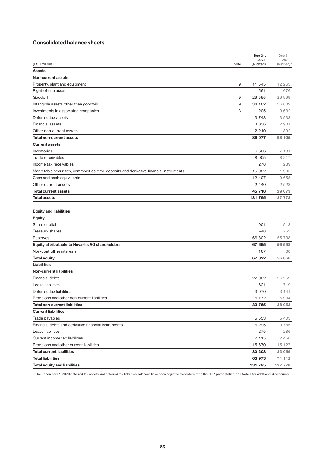### **Consolidated balance sheets**

|                                                                                        |      | Dec 31,<br>2021 | Dec 31,<br>2020 |
|----------------------------------------------------------------------------------------|------|-----------------|-----------------|
| (USD millions)                                                                         | Note | (audited)       | $(audited)^1$   |
| <b>Assets</b>                                                                          |      |                 |                 |
| <b>Non-current assets</b>                                                              |      |                 |                 |
| Property, plant and equipment                                                          | 9    | 11 545          | 12 263          |
| Right-of-use assets                                                                    |      | 1 5 6 1         | 1 676           |
| Goodwill                                                                               | 9    | 29 595          | 29 999          |
| Intangible assets other than goodwill                                                  | 9    | 34 182          | 36 809          |
| Investments in associated companies                                                    | 3    | 205             | 9632            |
| Deferred tax assets                                                                    |      | 3 7 4 3         | 3933            |
| <b>Financial assets</b>                                                                |      | 3 0 3 6         | 2 901           |
| Other non-current assets                                                               |      | 2 2 1 0         | 892             |
| <b>Total non-current assets</b>                                                        |      | 86 077          | 98 105          |
| <b>Current assets</b>                                                                  |      |                 |                 |
| Inventories                                                                            |      | 6 6 6 6         | 7 131           |
| Trade receivables                                                                      |      | 8 0 0 5         | 8 2 1 7         |
| Income tax receivables                                                                 |      | 278             | 239             |
| Marketable securities, commodities, time deposits and derivative financial instruments |      | 15 922          | 1 905           |
| Cash and cash equivalents                                                              |      | 12 407          | 9658            |
| Other current assets                                                                   |      | 2 4 4 0         | 2 5 2 3         |
| <b>Total current assets</b>                                                            |      | 45 718          | 29 673          |
| <b>Total assets</b>                                                                    |      | 131 795         | 127 778         |
| <b>Equity and liabilities</b><br><b>Equity</b>                                         |      |                 |                 |
| Share capital                                                                          |      | 901             | 913             |
| Treasury shares                                                                        |      | -48             | $-53$           |
| Reserves                                                                               |      | 66 802          | 55 738          |
| <b>Equity attributable to Novartis AG shareholders</b>                                 |      | 67 655          | 56 598          |
| Non-controlling interests                                                              |      | 167             | 68              |
| <b>Total equity</b>                                                                    |      | 67822           | 56 666          |
| <b>Liabilities</b>                                                                     |      |                 |                 |
| <b>Non-current liabilities</b>                                                         |      |                 |                 |
| <b>Financial debts</b>                                                                 |      | 22 902          | 26 259          |
| Lease liabilities                                                                      |      | 1 621           | 1 7 1 9         |
| Deferred tax liabilities                                                               |      | 3 0 7 0         | 3 141           |
| Provisions and other non-current liabilities                                           |      | 6 172           | 6934            |
| <b>Total non-current liabilities</b>                                                   |      | 33 765          | 38 053          |
| <b>Current liabilities</b>                                                             |      |                 |                 |
| Trade payables                                                                         |      | 5 5 5 3         | 5 4 0 3         |
| Financial debts and derivative financial instruments                                   |      | 6 2 9 5         | 9785            |
| Lease liabilities                                                                      |      | 275             | 286             |
| Current income tax liabilities                                                         |      | 2 4 1 5         | 2 458           |
| Provisions and other current liabilities                                               |      | 15 670          | 15 127          |
| <b>Total current liabilities</b>                                                       |      | 30 208          | 33 059          |
| <b>Total liabilities</b>                                                               |      | 63 973          | 71 112          |
| <b>Total equity and liabilities</b>                                                    |      | 131 795         | 127 778         |

<sup>1</sup> The December 31, 2020 deferred tax assets and deferred tax liabilities balances have been adjusted to conform with the 2021 presentation, see Note 4 for additional disclosures.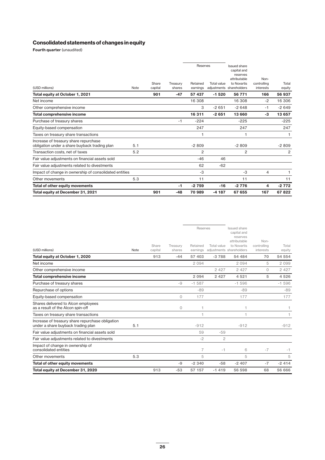### **Consolidated statements of changes in equity**

**Fourth quarter** (unaudited)

| (USD millions)                                                                         | Note | Share<br>capital | Treasury<br>shares | Reserves<br>Retained<br>earnings | Total value | <b>Issued share</b><br>capital and<br>reserves<br>attributable<br>to Novartis<br>adjustments shareholders | Non-<br>controlling<br>interests | Total<br>equity |
|----------------------------------------------------------------------------------------|------|------------------|--------------------|----------------------------------|-------------|-----------------------------------------------------------------------------------------------------------|----------------------------------|-----------------|
| Total equity at October 1, 2021                                                        |      | 901              | $-47$              | 57 437                           | $-1520$     | 56 771                                                                                                    | 166                              | 56 937          |
| Net income                                                                             |      |                  |                    | 16 308                           |             | 16 308                                                                                                    | $-2$                             | 16 306          |
| Other comprehensive income                                                             |      |                  |                    | 3                                | $-2651$     | $-2648$                                                                                                   | $-1$                             | $-2649$         |
| <b>Total comprehensive income</b>                                                      |      |                  |                    | 16311                            | $-2651$     | 13 660                                                                                                    | $-3$                             | 13 657          |
| Purchase of treasury shares                                                            |      |                  | $-1$               | $-224$                           |             | $-225$                                                                                                    |                                  | $-225$          |
| Equity-based compensation                                                              |      |                  |                    | 247                              |             | 247                                                                                                       |                                  | 247             |
| Taxes on treasury share transactions                                                   |      |                  |                    |                                  |             |                                                                                                           |                                  |                 |
| Increase of treasury share repurchase<br>obligation under a share buyback trading plan | 5.1  |                  |                    | $-2809$                          |             | $-2809$                                                                                                   |                                  | $-2809$         |
| Transaction costs, net of taxes                                                        | 5.2  |                  |                    | $\overline{2}$                   |             | $\overline{2}$                                                                                            |                                  | 2               |
| Fair value adjustments on financial assets sold                                        |      |                  |                    | $-46$                            | 46          |                                                                                                           |                                  |                 |
| Fair value adjustments related to divestments                                          |      |                  |                    | 62                               | $-62$       |                                                                                                           |                                  |                 |
| Impact of change in ownership of consolidated entities                                 |      |                  |                    | $-3$                             |             | $-3$                                                                                                      | 4                                |                 |
| Other movements                                                                        | 5.3  |                  |                    | 11                               |             | 11                                                                                                        |                                  | 11              |
| <b>Total of other equity movements</b>                                                 |      |                  | -1                 | $-2759$                          | $-16$       | $-2776$                                                                                                   | 4                                | $-2772$         |
| Total equity at December 31, 2021                                                      |      | 901              | $-48$              | 70 989                           | $-4187$     | 67 655                                                                                                    | 167                              | 67822           |

| (USD millions)                                                                         | Note | Share<br>capital | Treasurv<br>shares | Reserves<br>Retained<br>earnings | Total value    | Issued share<br>capital and<br>reserves<br>attributable<br>to Novartis<br>adjustments shareholders | Non-<br>controlling<br>interests | Total<br>equity |
|----------------------------------------------------------------------------------------|------|------------------|--------------------|----------------------------------|----------------|----------------------------------------------------------------------------------------------------|----------------------------------|-----------------|
| Total equity at October 1, 2020                                                        |      | 913              | $-44$              | 57 403                           | $-3788$        | 54 484                                                                                             | 70                               | 54 554          |
| Net income                                                                             |      |                  |                    | 2094                             |                | 2094                                                                                               | 5                                | 2 0 9 9         |
| Other comprehensive income                                                             |      |                  |                    |                                  | 2 4 2 7        | 2 4 2 7                                                                                            | $\Omega$                         | 2 4 2 7         |
| <b>Total comprehensive income</b>                                                      |      |                  |                    | 2 0 9 4                          | 2 4 2 7        | 4521                                                                                               | 5                                | 4526            |
| Purchase of treasury shares                                                            |      |                  | -9                 | $-1587$                          |                | $-1596$                                                                                            |                                  | $-1596$         |
| Repurchase of options                                                                  |      |                  |                    | $-89$                            |                | $-89$                                                                                              |                                  | $-89$           |
| Equity-based compensation                                                              |      |                  | $\Omega$           | 177                              |                | 177                                                                                                |                                  | 177             |
| Shares delivered to Alcon employees<br>as a result of the Alcon spin-off               |      |                  | $\circ$            | 1                                |                | 1                                                                                                  |                                  | 1               |
| Taxes on treasury share transactions                                                   |      |                  |                    | $\overline{1}$                   |                | 1                                                                                                  |                                  | 1               |
| Increase of treasury share repurchase obligation<br>under a share buyback trading plan | 5.1  |                  |                    | $-912$                           |                | $-912$                                                                                             |                                  | $-912$          |
| Fair value adjustments on financial assets sold                                        |      |                  |                    | 59                               | $-59$          |                                                                                                    |                                  |                 |
| Fair value adjustments related to divestments                                          |      |                  |                    | $-2$                             | $\overline{c}$ |                                                                                                    |                                  |                 |
| Impact of change in ownership of<br>consolidated entities                              |      |                  |                    | $\overline{7}$                   | $-1$           | 6                                                                                                  | $-7$                             | $-1$            |
| Other movements                                                                        | 5.3  |                  |                    | 5                                |                | 5                                                                                                  |                                  | 5               |
| <b>Total of other equity movements</b>                                                 |      |                  | $-9$               | $-2340$                          | $-58$          | $-2407$                                                                                            | $-7$                             | $-2414$         |
| Total equity at December 31, 2020                                                      |      | 913              | $-53$              | 57 157                           | $-1419$        | 56 598                                                                                             | 68                               | 56 666          |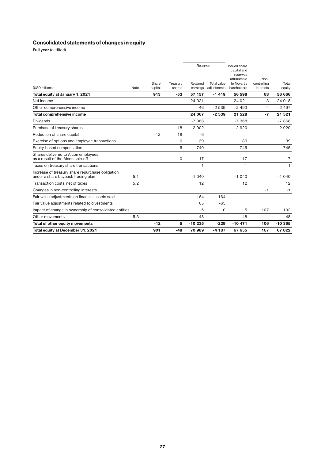## **Consolidated statements of changes in equity**

**Full year** (audited)

| Total equity at December 31, 2021                                                      |      | 901              | $-48$              | 70 989                           | $-4187$            | 67 655                                                                                                    | 167                              | 67822           |
|----------------------------------------------------------------------------------------|------|------------------|--------------------|----------------------------------|--------------------|-----------------------------------------------------------------------------------------------------------|----------------------------------|-----------------|
| Total of other equity movements                                                        |      | $-12$            | 5                  | $-10235$                         | $-229$             | $-10471$                                                                                                  | 106                              | $-10.365$       |
| Other movements                                                                        | 5.3  |                  |                    | 48                               |                    | 48                                                                                                        |                                  | 48              |
| Impact of change in ownership of consolidated entities                                 |      |                  |                    | $-5$                             | 0                  | $-5$                                                                                                      | 107                              | 102             |
| Fair value adjustments related to divestments                                          |      |                  |                    | 65                               | $-65$              |                                                                                                           |                                  |                 |
| Fair value adiustments on financial assets sold                                        |      |                  |                    | 164                              | $-164$             |                                                                                                           |                                  |                 |
| Changes in non-controlling interests                                                   |      |                  |                    |                                  |                    |                                                                                                           | $-1$                             | $-1$            |
| Transaction costs, net of taxes                                                        | 5.2  |                  |                    | 12                               |                    | 12                                                                                                        |                                  | 12              |
| Increase of treasury share repurchase obligation<br>under a share buyback trading plan | 5.1  |                  |                    | $-1040$                          |                    | $-1040$                                                                                                   |                                  | $-1040$         |
| Taxes on treasury share transactions                                                   |      |                  |                    | 1                                |                    | 1                                                                                                         |                                  | $\mathbf{1}$    |
| Shares delivered to Alcon employees<br>as a result of the Alcon spin-off               |      |                  | 0                  | 17                               |                    | 17                                                                                                        |                                  | 17              |
| Equity-based compensation                                                              |      |                  | 5                  | 740                              |                    | 745                                                                                                       |                                  | 745             |
| Exercise of options and employee transactions                                          |      |                  | 0                  | 39                               |                    | 39                                                                                                        |                                  | 39              |
| Reduction of share capital                                                             |      | $-12$            | 18                 | $-6$                             |                    |                                                                                                           |                                  |                 |
| Purchase of treasury shares                                                            |      |                  | $-18$              | $-2902$                          |                    | $-2920$                                                                                                   |                                  | $-2920$         |
| <b>Dividends</b>                                                                       |      |                  |                    | $-7.368$                         |                    | $-7368$                                                                                                   |                                  | $-7368$         |
| <b>Total comprehensive income</b>                                                      |      |                  |                    | 24 067                           | $-2539$            | 21 5 28                                                                                                   | $-7$                             | 21 5 21         |
| Other comprehensive income                                                             |      |                  |                    | 46                               | $-2539$            | $-2493$                                                                                                   | $-4$                             | $-2497$         |
| Net income                                                                             |      |                  |                    | 24 0 21                          |                    | 24 0 21                                                                                                   | $-3$                             | 24 018          |
| Total equity at January 1, 2021                                                        |      | 913              | $-53$              | 57 157                           | $-1419$            | 56 598                                                                                                    | 68                               | 56 666          |
| (USD millions)                                                                         | Note | Share<br>capital | Treasury<br>shares | Reserves<br>Retained<br>earnings | <b>Total value</b> | <b>Issued share</b><br>capital and<br>reserves<br>attributable<br>to Novartis<br>adjustments shareholders | Non-<br>controlling<br>interests | Total<br>equity |
|                                                                                        |      |                  |                    |                                  |                    |                                                                                                           |                                  |                 |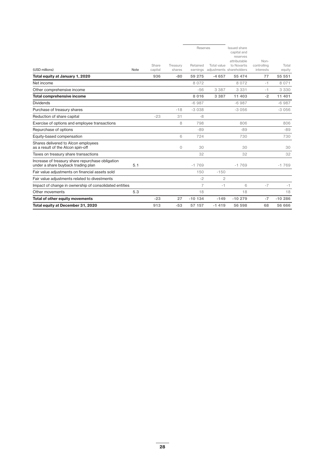| 5.1<br>Impact of change in ownership of consolidated entities<br>5.3 |                  |                    | 32<br>$-1769$<br>150<br>$-2$<br>$\overline{7}$<br>18 | $-150$<br>$\overline{c}$<br>$-1$ | 32<br>$-1769$<br>6<br>18                                               | $-7$                              | 32<br>$-1769$<br>$-1$<br>18 |
|----------------------------------------------------------------------|------------------|--------------------|------------------------------------------------------|----------------------------------|------------------------------------------------------------------------|-----------------------------------|-----------------------------|
|                                                                      |                  |                    |                                                      |                                  |                                                                        |                                   |                             |
|                                                                      |                  |                    |                                                      |                                  |                                                                        |                                   |                             |
|                                                                      |                  |                    |                                                      |                                  |                                                                        |                                   |                             |
|                                                                      |                  |                    |                                                      |                                  |                                                                        |                                   |                             |
|                                                                      |                  |                    |                                                      |                                  |                                                                        |                                   |                             |
|                                                                      |                  |                    |                                                      |                                  |                                                                        |                                   |                             |
|                                                                      |                  | 0                  | 30                                                   |                                  | 30                                                                     |                                   | 30                          |
|                                                                      |                  | 6                  | 724                                                  |                                  | 730                                                                    |                                   | 730                         |
|                                                                      |                  |                    | $-89$                                                |                                  | $-89$                                                                  |                                   | $-89$                       |
|                                                                      |                  | 8                  | 798                                                  |                                  | 806                                                                    |                                   | 806                         |
|                                                                      | $-23$            | 31                 | $-8$                                                 |                                  |                                                                        |                                   |                             |
|                                                                      |                  | $-18$              | $-3038$                                              |                                  | $-3056$                                                                |                                   | $-3056$                     |
|                                                                      |                  |                    | $-6987$                                              |                                  | $-6987$                                                                |                                   | $-6987$                     |
|                                                                      |                  |                    | 8016                                                 | 3 3 8 7                          | 11 403                                                                 | $-2$                              | 11 401                      |
|                                                                      |                  |                    | $-56$                                                | 3 3 8 7                          | 3 3 3 1                                                                | $-1$                              | 3 3 3 0                     |
|                                                                      |                  |                    | 8 0 7 2                                              |                                  | 8 0 7 2                                                                | $-1$                              | 8 0 7 1                     |
|                                                                      | 936              | $-80$              | 59 275                                               | $-4657$                          | 55 474                                                                 | 77                                | 55 551                      |
| Note                                                                 | Share<br>capital | Treasury<br>shares | Retained                                             | Total value                      | Issued share<br>capital and<br>reserves<br>attributable<br>to Novartis | Non-<br>controlling<br>interests  | Total<br>equity             |
|                                                                      |                  |                    |                                                      |                                  | Reserves                                                               | earnings adjustments shareholders |                             |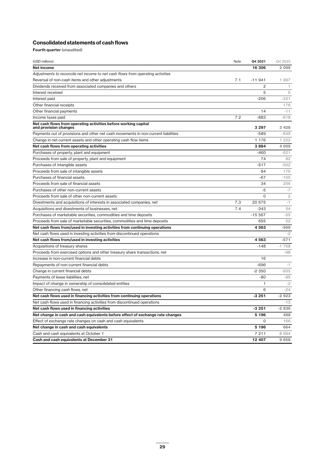### **Consolidated statements of cash flows**

**Fourth quarter** (unaudited)

| (USD millions)                                                                           | Note | Q4 2021     | Q4 2020        |
|------------------------------------------------------------------------------------------|------|-------------|----------------|
| Net income                                                                               |      | 16 306      | 2 0 9 9        |
| Adjustments to reconcile net income to net cash flows from operating activities          |      |             |                |
| Reversal of non-cash items and other adjustments                                         | 7.1  | $-11941$    | 1 997          |
| Dividends received from associated companies and others                                  |      | 2           | $\mathbf{1}$   |
| Interest received                                                                        |      | 5           | 5              |
| Interest paid                                                                            |      | $-206$      | $-221$         |
| Other financial receipts                                                                 |      |             | 176            |
| Other financial payments                                                                 |      | 14          | $-11$          |
| Income taxes paid                                                                        | 7.2  | $-883$      | $-618$         |
| Net cash flows from operating activities before working capital<br>and provision changes |      | 3 2 9 7     | 3 4 2 8        |
| Payments out of provisions and other net cash movements in non-current liabilities       |      | $-589$      | $-645$         |
| Change in net current assets and other operating cash flow items                         |      | 1 176       | 1 2 2 2        |
| Net cash flows from operating activities                                                 |      | 3884        | 4 0 0 5        |
| Purchases of property, plant and equipment                                               |      | $-460$      | $-521$         |
| Proceeds from sale of property, plant and equipment                                      |      | 74          | 82             |
| Purchases of intangible assets                                                           |      | $-517$      | $-502$         |
| Proceeds from sale of intangible assets                                                  |      | 84          | 176            |
| Purchases of financial assets                                                            |      | $-67$       | $-105$         |
| Proceeds from sale of financial assets                                                   |      | 34          | 256            |
| Purchases of other non-current assets                                                    |      | $-5$        | $-7$           |
| Proceeds from sale of other non-current assets                                           |      | $\mathbf 0$ | $\overline{c}$ |
| Divestments and acquisitions of interests in associated companies, net                   | 7.3  | 20 675      | $-1$           |
| Acquisitions and divestments of businesses, net                                          | 7.4  | $-343$      | 54             |
| Purchases of marketable securities, commodities and time deposits                        |      | $-15.567$   | $-55$          |
| Proceeds from sale of marketable securities, commodities and time deposits               |      | 655         | 52             |
| Net cash flows from/used in investing activities from continuing operations              |      | 4563        | $-569$         |
| Net cash flows used in investing activities from discontinued operations                 |      |             | $-2$           |
| Net cash flows from/used in investing activities                                         |      | 4563        | $-571$         |
| Acquisitions of treasury shares                                                          |      | $-148$      | $-1768$        |
| Proceeds from exercised options and other treasury share transactions, net               |      |             | $-98$          |
| Increase in non-current financial debts                                                  |      | 16          |                |
| Repayments of non-current financial debts                                                |      | $-696$      | $-1$           |
| Change in current financial debts                                                        |      | $-2350$     | $-935$         |
| Payments of lease liabilities, net                                                       |      | $-80$       | $-95$          |
| Impact of change in ownership of consolidated entities                                   |      | 1           | $-2$           |
| Other financing cash flows, net                                                          |      | 6           | $-24$          |
| Net cash flows used in financing activities from continuing operations                   |      | $-3251$     | $-2923$        |
| Net cash flows used in financing activities from discontinued operations                 |      |             | $-13$          |
| Net cash flows used in financing activities                                              |      | $-3251$     | $-2936$        |
| Net change in cash and cash equivalents before effect of exchange rate changes           |      | 5 1 9 6     | 498            |
| Effect of exchange rate changes on cash and cash equivalents                             |      | $\Omega$    | 166            |
| Net change in cash and cash equivalents                                                  |      | 5 196       | 664            |
| Cash and cash equivalents at October 1                                                   |      | 7 211       | 8994           |
| Cash and cash equivalents at December 31                                                 |      | 12 407      | 9658           |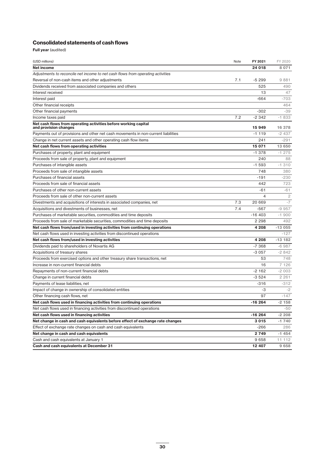### **Consolidated statements of cash flows**

**Full year** (audited)

| (USD millions)                                                                           | Note | FY 2021  | FY 2020  |
|------------------------------------------------------------------------------------------|------|----------|----------|
| <b>Net income</b>                                                                        |      | 24 018   | 8 0 7 1  |
| Adjustments to reconcile net income to net cash flows from operating activities          |      |          |          |
| Reversal of non-cash items and other adjustments                                         | 7.1  | $-5299$  | 9881     |
| Dividends received from associated companies and others                                  |      | 525      | 490      |
| Interest received                                                                        |      | 13       | 47       |
| Interest paid                                                                            |      | $-664$   | $-703$   |
| Other financial receipts                                                                 |      |          | 464      |
| Other financial payments                                                                 |      | $-302$   | $-39$    |
| Income taxes paid                                                                        | 7.2  | $-2342$  | $-1833$  |
| Net cash flows from operating activities before working capital<br>and provision changes |      | 15 949   | 16 378   |
| Payments out of provisions and other net cash movements in non-current liabilities       |      | $-1119$  | -2 437   |
| Change in net current assets and other operating cash flow items                         |      | 241      | $-291$   |
| Net cash flows from operating activities                                                 |      | 15 071   | 13 650   |
| Purchases of property, plant and equipment                                               |      | $-1.378$ | $-1275$  |
| Proceeds from sale of property, plant and equipment                                      |      | 240      | 88       |
| Purchases of intangible assets                                                           |      | $-1593$  | $-1.310$ |
| Proceeds from sale of intangible assets                                                  |      | 748      | 380      |
| Purchases of financial assets                                                            |      | $-191$   | $-230$   |
| Proceeds from sale of financial assets                                                   |      | 442      | 723      |
| Purchases of other non-current assets                                                    |      | $-61$    | -61      |
| Proceeds from sale of other non-current assets                                           |      | 4        | 2        |
| Divestments and acquisitions of interests in associated companies, net                   | 7.3  | 20 669   | $-7$     |
| Acquisitions and divestments of businesses, net                                          | 7.4  | $-567$   | $-9957$  |
| Purchases of marketable securities, commodities and time deposits                        |      | $-16403$ | $-1900$  |
| Proceeds from sale of marketable securities, commodities and time deposits               |      | 2 2 9 8  | 492      |
| Net cash flows from/used in investing activities from continuing operations              |      | 4 208    | $-13055$ |
| Net cash flows used in investing activities from discontinued operations                 |      |          | $-127$   |
| Net cash flows from/used in investing activities                                         |      | 4 208    | $-13182$ |
| Dividends paid to shareholders of Novartis AG                                            |      | $-7368$  | $-6987$  |
| Acquisitions of treasury shares                                                          |      | $-3057$  | $-2842$  |
| Proceeds from exercised options and other treasury share transactions, net               |      | 53       | 748      |
| Increase in non-current financial debts                                                  |      | 16       | 7 1 2 6  |
| Repayments of non-current financial debts                                                |      | $-2162$  | $-2003$  |
| Change in current financial debts                                                        |      | $-3524$  | 2 2 6 1  |
| Payments of lease liabilities, net                                                       |      | $-316$   | $-312$   |
| Impact of change in ownership of consolidated entities                                   |      | -3       | $-2$     |
| Other financing cash flows, net                                                          |      | 97       | $-147$   |
| Net cash flows used in financing activities from continuing operations                   |      | $-16264$ | $-2158$  |
| Net cash flows used in financing activities from discontinued operations                 |      |          | -50      |
| Net cash flows used in financing activities                                              |      | -16 264  | $-2208$  |
| Net change in cash and cash equivalents before effect of exchange rate changes           |      | 3015     | $-1740$  |
| Effect of exchange rate changes on cash and cash equivalents                             |      | $-266$   | 286      |
| Net change in cash and cash equivalents                                                  |      | 2 749    | -1 454   |
| Cash and cash equivalents at January 1                                                   |      | 9658     | 11 112   |
| Cash and cash equivalents at December 31                                                 |      | 12 407   | 9658     |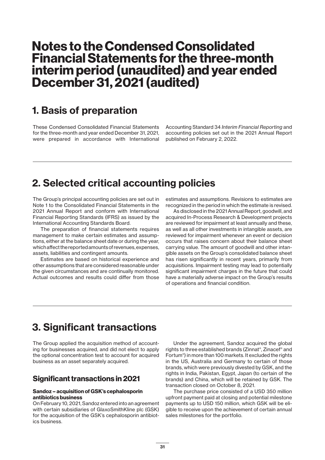# **Notes to the Condensed Consolidated Financial Statements for the three-month interim period (unaudited) and year ended December 31, 2021 (audited)**

## **1. Basis of preparation**

These Condensed Consolidated Financial Statements for the three-month and year ended December 31, 2021, were prepared in accordance with International

Accounting Standard 34 *Interim Financial Reporting* and accounting policies set out in the 2021 Annual Report published on February 2, 2022.

## **2. Selected critical accounting policies**

The Group's principal accounting policies are set out in Note 1 to the Consolidated Financial Statements in the 2021 Annual Report and conform with International Financial Reporting Standards (IFRS) as issued by the International Accounting Standards Board.

The preparation of financial statements requires management to make certain estimates and assumptions, either at the balance sheet date or during the year, which affect the reported amounts of revenues, expenses, assets, liabilities and contingent amounts.

Estimates are based on historical experience and other assumptions that are considered reasonable under the given circumstances and are continually monitored. Actual outcomes and results could differ from those

estimates and assumptions. Revisions to estimates are recognized in the period in which the estimate is revised.

As disclosed in the 2021 Annual Report, goodwill, and acquired In-Process Research & Development projects are reviewed for impairment at least annually and these, as well as all other investments in intangible assets, are reviewed for impairment whenever an event or decision occurs that raises concern about their balance sheet carrying value. The amount of goodwill and other intangible assets on the Group's consolidated balance sheet has risen significantly in recent years, primarily from acquisitions. Impairment testing may lead to potentially significant impairment charges in the future that could have a materially adverse impact on the Group's results of operations and financial condition.

## **3. Significant transactions**

The Group applied the acquisition method of accounting for businesses acquired, and did not elect to apply the optional concentration test to account for acquired business as an asset separately acquired.

## **Significant transactions in 2021**

### **Sandoz – acquisition of GSK's cephalosporin antibiotics business**

On February 10, 2021, Sandoz entered into an agreement with certain subsidiaries of GlaxoSmithKline plc (GSK) for the acquisition of the GSK's cephalosporin antibiotics business.

Under the agreement, Sandoz acquired the global rights to three established brands (Zinnat®, Zinacef® and Fortum®) in more than 100 markets. It excluded the rights in the US, Australia and Germany to certain of those brands, which were previously divested by GSK, and the rights in India, Pakistan, Egypt, Japan (to certain of the brands) and China, which will be retained by GSK. The transaction closed on October 8, 2021.

The purchase price consisted of a USD 350 million upfront payment paid at closing and potential milestone payments up to USD 150 million, which GSK will be eligible to receive upon the achievement of certain annual sales milestones for the portfolio.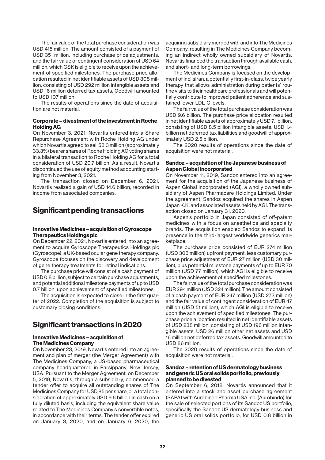The fair value of the total purchase consideration was USD 415 million. The amount consisted of a payment of USD 351 million, including purchase price adjustments, and the fair value of contingent consideration of USD 64 million, which GSK is eligible to receive upon the achievement of specified milestones. The purchase price allocation resulted in net identifiable assets of USD 308 million, consisting of USD 292 million intangible assets and USD 16 million deferred tax assets. Goodwill amounted to USD 107 million.

The results of operations since the date of acquisition are not material.

### **Corporate – divestment of the investment in Roche Holding AG**

On November 3, 2021, Novartis entered into a Share Repurchase Agreement with Roche Holding AG under which Novartis agreed to sell 53.3 million (approximately 33.3%) bearer shares of Roche Holding AG voting shares in a bilateral transaction to Roche Holding AG for a total consideration of USD 20.7 billion. As a result, Novartis discontinued the use of equity method accounting starting from November 3, 2021.

The transaction closed on December 6, 2021. Novartis realized a gain of USD 14.6 billion, recorded in income from associated companies.

## **Significant pending transactions**

### **Innovative Medicines – acquisition of Gyroscope Therapeutics Holdings plc**

On December 22, 2021, Novartis entered into an agreement to acquire Gyroscope Therapeutics Holdings plc (Gyroscope), a UK-based ocular gene therapy company. Gyroscope focuses on the discovery and development of gene therapy treatments for retinal indications.

The purchase price will consist of a cash payment of USD 0.8 billion, subject to certain purchase adjustments, and potential additional milestone payments of up to USD 0.7 billion, upon achievement of specified milestones.

The acquisition is expected to close in the first quarter of 2022. Completion of the acquisition is subject to customary closing conditions.

## **Significant transactions in 2020**

### **Innovative Medicines – acquisition of The Medicines Company**

On November 23, 2019, Novartis entered into an agreement and plan of merger (the Merger Agreement) with The Medicines Company, a US-based pharmaceutical company headquartered in Parsippany, New Jersey, USA. Pursuant to the Merger Agreement, on December 5, 2019, Novartis, through a subsidiary, commenced a tender offer to acquire all outstanding shares of The Medicines Company for USD 85 per share, or a total consideration of approximately USD 9.6 billion in cash on a fully diluted basis, including the equivalent share value related to The Medicines Company's convertible notes, in accordance with their terms. The tender offer expired on January 3, 2020, and on January 6, 2020, the

acquiring subsidiary merged with and into The Medicines Company, resulting in The Medicines Company becoming an indirect wholly owned subsidiary of Novartis. Novartis financed the transaction through available cash, and short- and long-term borrowings.

The Medicines Company is focused on the development of inclisiran, a potentially first-in-class, twice yearly therapy that allows administration during patients' routine visits to their healthcare professionals and will potentially contribute to improved patient adherence and sustained lower LDL-C levels.

The fair value of the total purchase consideration was USD 9.6 billion. The purchase price allocation resulted in net identifiable assets of approximately USD 7.1 billion, consisting of USD 8.5 billion intangible assets, USD 1.4 billion net deferred tax liabilities and goodwill of approximately USD 2.5 billion.

The 2020 results of operations since the date of acquisition were not material.

### **Sandoz – acquisition of the Japanese business of Aspen Global Incorporated**

On November 11, 2019, Sandoz entered into an agreement for the acquisition of the Japanese business of Aspen Global Incorporated (AGI), a wholly owned subsidiary of Aspen Pharmacare Holdings Limited. Under the agreement, Sandoz acquired the shares in Aspen Japan K.K. and associated assets held by AGI. The transaction closed on January 31, 2020.

Aspen's portfolio in Japan consisted of off-patent medicines with a focus on anesthetics and specialty brands. The acquisition enabled Sandoz to expand its presence in the third-largest worldwide generics marketplace

The purchase price consisted of EUR 274 million (USD 303 million) upfront payment, less customary purchase price adjustment of EUR 27 million (USD 30 million), plus potential milestone payments of up to EUR 70 million (USD 77 million), which AGI is eligible to receive upon the achievement of specified milestones.

The fair value of the total purchase consideration was EUR 294 million (USD 324 million). The amount consisted of a cash payment of EUR 247 million (USD 273 million) and the fair value of contingent consideration of EUR 47 million (USD 51 million), which AGI is eligible to receive upon the achievement of specified milestones. The purchase price allocation resulted in net identifiable assets of USD 238 million, consisting of USD 196 million intangible assets, USD 26 million other net assets and USD 16 million net deferred tax assets. Goodwill amounted to USD 86 million.

The 2020 results of operations since the date of acquisition were not material.

#### **Sandoz – retention of US dermatology business and generic US oral solids portfolio, previously planned to be divested**

On September 6, 2018, Novartis announced that it entered into a stock and asset purchase agreement (SAPA) with Aurobindo Pharma USA Inc. (Aurobindo) for the sale of selected portions of its Sandoz US portfolio, specifically the Sandoz US dermatology business and generic US oral solids portfolio, for USD 0.8 billion in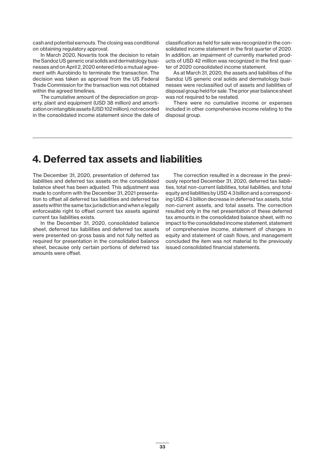cash and potential earnouts. The closing was conditional on obtaining regulatory approval.

In March 2020, Novartis took the decision to retain the Sandoz US generic oral solids and dermatology businesses and on April 2, 2020 entered into a mutual agreement with Aurobindo to terminate the transaction. The decision was taken as approval from the US Federal Trade Commission for the transaction was not obtained within the agreed timelines.

The cumulative amount of the depreciation on property, plant and equipment (USD 38 million) and amortization on intangible assets (USD 102 million), not recorded in the consolidated income statement since the date of classification as held for sale was recognized in the consolidated income statement in the first quarter of 2020. In addition, an impairment of currently marketed products of USD 42 million was recognized in the first quarter of 2020 consolidated income statement.

As at March 31, 2020, the assets and liabilities of the Sandoz US generic oral solids and dermatology businesses were reclassified out of assets and liabilities of disposal group held for sale. The prior year balance sheet was not required to be restated.

There were no cumulative income or expenses included in other comprehensive income relating to the disposal group.

## **4. Deferred tax assets and liabilities**

The December 31, 2020, presentation of deferred tax liabilities and deferred tax assets on the consolidated balance sheet has been adjusted. This adjustment was made to conform with the December 31, 2021 presentation to offset all deferred tax liabilities and deferred tax assets within the same tax jurisdiction and when a legally enforceable right to offset current tax assets against current tax liabilities exists.

In the December 31, 2020, consolidated balance sheet, deferred tax liabilities and deferred tax assets were presented on gross basis and not fully netted as required for presentation in the consolidated balance sheet, because only certain portions of deferred tax amounts were offset.

The correction resulted in a decrease in the previously reported December 31, 2020, deferred tax liabilities, total non-current liabilities, total liabilities, and total equity and liabilities by USD 4.3 billion and a corresponding USD 4.3 billion decrease in deferred tax assets, total non-current assets, and total assets. The correction resulted only in the net presentation of these deferred tax amounts in the consolidated balance sheet, with no impact to the consolidated income statement, statement of comprehensive income, statement of changes in equity and statement of cash flows, and management concluded the item was not material to the previously issued consolidated financial statements.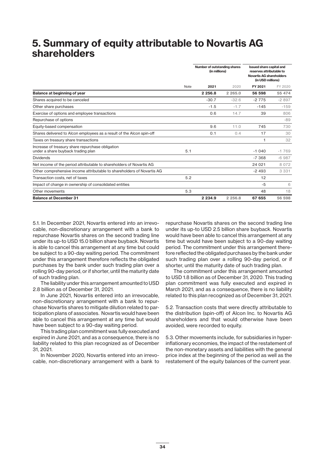## **5. Summary of equity attributable to Novartis AG shareholders**

|                                                                                        |      | Number of outstanding shares<br>(in millions) |             | Issued share capital and<br>reserves attributable to<br><b>Novartis AG shareholders</b><br>(in USD millions) |         |
|----------------------------------------------------------------------------------------|------|-----------------------------------------------|-------------|--------------------------------------------------------------------------------------------------------------|---------|
|                                                                                        | Note | 2021                                          | 2020        | FY 2021                                                                                                      | FY 2020 |
| Balance at beginning of year                                                           |      | 2 2 5 6.8                                     | 2 2 6 5 . 0 | 56 598                                                                                                       | 55 474  |
| Shares acquired to be canceled                                                         |      | $-30.7$                                       | $-32.6$     | $-2775$                                                                                                      | $-2897$ |
| Other share purchases                                                                  |      | $-1.5$                                        | $-1.7$      | $-145$                                                                                                       | $-159$  |
| Exercise of options and employee transactions                                          |      | 0.6                                           | 14.7        | 39                                                                                                           | 806     |
| Repurchase of options                                                                  |      |                                               |             |                                                                                                              | $-89$   |
| Equity-based compensation                                                              |      | 9.6                                           | 11.0        | 745                                                                                                          | 730     |
| Shares delivered to Alcon employees as a result of the Alcon spin-off                  |      | 0.1                                           | 0.4         | 17                                                                                                           | 30      |
| Taxes on treasury share transactions                                                   |      |                                               |             | $\overline{1}$                                                                                               | 32      |
| Increase of treasury share repurchase obligation<br>under a share buyback trading plan | 5.1  |                                               |             | $-1040$                                                                                                      | $-1769$ |
| <b>Dividends</b>                                                                       |      |                                               |             | $-7368$                                                                                                      | $-6987$ |
| Net income of the period attributable to shareholders of Novartis AG                   |      |                                               |             | 24 021                                                                                                       | 8 0 7 2 |
| Other comprehensive income attributable to shareholders of Novartis AG                 |      |                                               |             | $-2493$                                                                                                      | 3 3 3 1 |
| Transaction costs, net of taxes                                                        | 5.2  |                                               |             | 12                                                                                                           |         |
| Impact of change in ownership of consolidated entities                                 |      |                                               |             | $-5$                                                                                                         | 6       |
| Other movements                                                                        | 5.3  |                                               |             | 48                                                                                                           | 18      |
| <b>Balance at December 31</b>                                                          |      | 2 2 3 4 .9                                    | 2 2 5 6.8   | 67 655                                                                                                       | 56 598  |

5.1. In December 2021, Novartis entered into an irrevocable, non-discretionary arrangement with a bank to repurchase Novartis shares on the second trading line under its up-to USD 15.0 billion share buyback. Novartis is able to cancel this arrangement at any time but could be subject to a 90-day waiting period. The commitment under this arrangement therefore reflects the obligated purchases by the bank under such trading plan over a rolling 90-day period, or if shorter, until the maturity date of such trading plan.

The liability under this arrangement amounted to USD 2.8 billion as of December 31, 2021.

In June 2021, Novartis entered into an irrevocable, non-discretionary arrangement with a bank to repurchase Novartis shares to mitigate dilution related to participation plans of associates. Novartis would have been able to cancel this arrangement at any time but would have been subject to a 90-day waiting period.

This trading plan commitment was fully executed and expired in June 2021, and as a consequence, there is no liability related to this plan recognized as of December 31, 2021.

In November 2020, Novartis entered into an irrevocable, non-discretionary arrangement with a bank to

repurchase Novartis shares on the second trading line under its up-to USD 2.5 billion share buyback. Novartis would have been able to cancel this arrangement at any time but would have been subject to a 90-day waiting period. The commitment under this arrangement therefore reflected the obligated purchases by the bank under such trading plan over a rolling 90-day period, or if shorter, until the maturity date of such trading plan.

The commitment under this arrangement amounted to USD 1.8 billion as of December 31, 2020. This trading plan commitment was fully executed and expired in March 2021, and as a consequence, there is no liability related to this plan recognized as of December 31, 2021.

5.2. Transaction costs that were directly attributable to the distribution (spin-off) of Alcon Inc. to Novartis AG shareholders and that would otherwise have been avoided, were recorded to equity.

5.3. Other movements include, for subsidiaries in hyperinflationary economies, the impact of the restatement of the non-monetary assets and liabilities with the general price index at the beginning of the period as well as the restatement of the equity balances of the current year.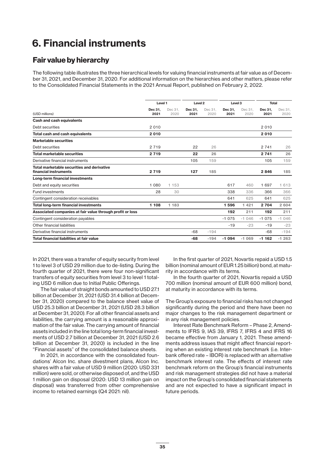## **6. Financial instruments**

### **Fair value by hierarchy**

The following table illustrates the three hierarchical levels for valuing financial instruments at fair value as of December 31, 2021, and December 31, 2020. For additional information on the hierarchies and other matters, please refer to the Consolidated Financial Statements in the 2021 Annual Report, published on February 2, 2022.

|                                                                     |                 | Level 1         |                 | Level <sub>2</sub> |                 | Level <sub>3</sub> |                 | <b>Total</b>    |
|---------------------------------------------------------------------|-----------------|-----------------|-----------------|--------------------|-----------------|--------------------|-----------------|-----------------|
| (USD millions)                                                      | Dec 31,<br>2021 | Dec 31.<br>2020 | Dec 31,<br>2021 | Dec 31.<br>2020    | Dec 31.<br>2021 | Dec 31.<br>2020    | Dec 31.<br>2021 | Dec 31,<br>2020 |
| <b>Cash and cash equivalents</b>                                    |                 |                 |                 |                    |                 |                    |                 |                 |
| Debt securities                                                     | 2 0 1 0         |                 |                 |                    |                 |                    | 2010            |                 |
| <b>Total cash and cash equivalents</b>                              | 2010            |                 |                 |                    |                 |                    | 2010            |                 |
| <b>Marketable securities</b>                                        |                 |                 |                 |                    |                 |                    |                 |                 |
| Debt securities                                                     | 2 7 1 9         |                 | 22              | 26                 |                 |                    | 2 7 4 1         | 26              |
| <b>Total marketable securities</b>                                  | 2 7 1 9         |                 | 22              | 26                 |                 |                    | 2 7 4 1         | 26              |
| Derivative financial instruments                                    |                 |                 | 105             | 159                |                 |                    | 105             | 159             |
| Total marketable securities and derivative<br>financial instruments | 2 7 1 9         |                 | 127             | 185                |                 |                    | 2846            | 185             |
| Long-term financial investments                                     |                 |                 |                 |                    |                 |                    |                 |                 |
| Debt and equity securities                                          | 1 0 8 0         | 1 153           |                 |                    | 617             | 460                | 1697            | 1613            |
| <b>Fund investments</b>                                             | 28              | 30              |                 |                    | 338             | 336                | 366             | 366             |
| Contingent consideration receivables                                |                 |                 |                 |                    | 641             | 625                | 641             | 625             |
| <b>Total long-term financial investments</b>                        | 1 108           | 1 1 8 3         |                 |                    | 1596            | 1421               | 2 7 0 4         | 2 604           |
| Associated companies at fair value through profit or loss           |                 |                 |                 |                    | 192             | 211                | 192             | 211             |
| Contingent consideration payables                                   |                 |                 |                 |                    | $-1075$         | $-1046$            | $-1075$         | $-1046$         |
| Other financial liabilities                                         |                 |                 |                 |                    | $-19$           | $-23$              | $-19$           | $-23$           |
| Derivative financial instruments                                    |                 |                 | -68             | $-194$             |                 |                    | $-68$           | $-194$          |
| Total financial liabilities at fair value                           |                 |                 | $-68$           | $-194$             | $-1094$         | $-1069$            | $-1162$         | $-1263$         |

In 2021, there was a transfer of equity security from level 1 to level 3 of USD 29 million due to de-listing. During the fourth quarter of 2021, there were four non-significant transfers of equity securities from level 3 to level 1 totaling USD 6 million due to Initial Public Offerings.

The fair value of straight bonds amounted to USD 27.1 billion at December 31, 2021 (USD 31.4 billion at December 31, 2020) compared to the balance sheet value of USD 25.3 billion at December 31, 2021 (USD 28.3 billion at December 31, 2020). For all other financial assets and liabilities, the carrying amount is a reasonable approximation of the fair value. The carrying amount of financial assets included in the line total long-term financial investments of USD 2.7 billion at December 31, 2021 (USD 2.6 billion at December 31, 2020) is included in the line "Financial assets" of the consolidated balance sheets.

In 2021, in accordance with the consolidated foundations' Alcon Inc. share divestment plans, Alcon Inc. shares with a fair value of USD 9 million (2020: USD 331 million) were sold, or otherwise disposed of, and the USD 1 million gain on disposal (2020: USD 13 million gain on disposal) was transferred from other comprehensive income to retained earnings (Q4 2021: nil).

In the first quarter of 2021, Novartis repaid a USD 1.5 billion (nominal amount of EUR 1.25 billion) bond, at maturity in accordance with its terms.

In the fourth quarter of 2021, Novartis repaid a USD 700 million (nominal amount of EUR 600 million) bond, at maturity in accordance with its terms.

The Group's exposure to financial risks has not changed significantly during the period and there have been no major changes to the risk management department or in any risk management policies.

Interest Rate Benchmark Reform – Phase 2, Amendments to IFRS 9, IAS 39, IFRS 7, IFRS 4 and IFRS 16 became effective from January 1, 2021. These amendments address issues that might affect financial reporting when an existing interest rate benchmark (i.e. Interbank offered rate – IBOR) is replaced with an alternative benchmark interest rate. The effects of interest rate benchmark reform on the Group's financial instruments and risk management strategies did not have a material impact on the Group's consolidated financial statements and are not expected to have a significant impact in future periods.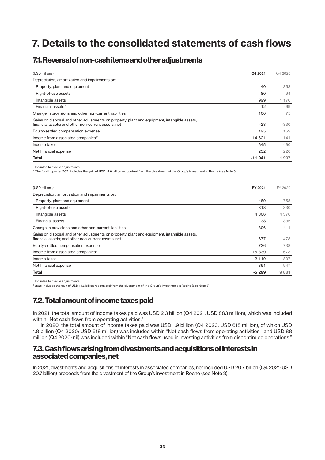# **7. Details to the consolidated statements of cash flows**

## **7.1. Reversal of non-cash items and other adjustments**

| (USD millions)                                                                                                                                      | Q4 2021  | Q4 2020 |
|-----------------------------------------------------------------------------------------------------------------------------------------------------|----------|---------|
| Depreciation, amortization and impairments on:                                                                                                      |          |         |
| Property, plant and equipment                                                                                                                       | 440      | 353     |
| Right-of-use assets                                                                                                                                 | 80       | 94      |
| Intangible assets                                                                                                                                   | 999      | 170     |
| Financial assets <sup>1</sup>                                                                                                                       | 12       | -69     |
| Change in provisions and other non-current liabilities                                                                                              | 100      | 75      |
| Gains on disposal and other adjustments on property, plant and equipment; intangible assets;<br>financial assets; and other non-current assets, net | $-23$    | $-330$  |
| Equity-settled compensation expense                                                                                                                 | 195      | 159     |
| Income from associated companies <sup>2</sup>                                                                                                       | $-14621$ | $-141$  |
| Income taxes                                                                                                                                        | 645      | 460     |
| Net financial expense                                                                                                                               | 232      | 226     |
| Total                                                                                                                                               | $-11941$ | 1 9 9 7 |

<sup>1</sup> Includes fair value adjustments

<sup>2</sup> The fourth quarter 2021 includes the gain of USD 14.6 billion recognized from the divestment of the Group's investment in Roche (see Note 3).

| (USD millions)                                                                                                                                      | FY 2021  | FY 2020 |
|-----------------------------------------------------------------------------------------------------------------------------------------------------|----------|---------|
| Depreciation, amortization and impairments on:                                                                                                      |          |         |
| Property, plant and equipment                                                                                                                       | 1489     | 1758    |
| Right-of-use assets                                                                                                                                 | 318      | 330     |
| Intangible assets                                                                                                                                   | 4 3 0 6  | 4 3 7 6 |
| Financial assets <sup>1</sup>                                                                                                                       | -38      | $-335$  |
| Change in provisions and other non-current liabilities                                                                                              | 896      | 411     |
| Gains on disposal and other adjustments on property, plant and equipment; intangible assets;<br>financial assets; and other non-current assets, net | $-677$   | $-478$  |
| Equity-settled compensation expense                                                                                                                 | 736      | 738     |
| Income from associated companies <sup>2</sup>                                                                                                       | $-15339$ | $-673$  |
| Income taxes                                                                                                                                        | 2 1 1 9  | 1807    |
| Net financial expense                                                                                                                               | 891      | 947     |
| <b>Total</b>                                                                                                                                        | $-5299$  | 9881    |

<sup>1</sup> Includes fair value adjustments

<sup>2</sup> 2021 includes the gain of USD 14.6 billion recognized from the divestment of the Group's investment in Roche (see Note 3).

## **7.2. Total amount of income taxes paid**

In 2021, the total amount of income taxes paid was USD 2.3 billion (Q4 2021: USD 883 million), which was included within "Net cash flows from operating activities."

In 2020, the total amount of income taxes paid was USD 1.9 billion (Q4 2020: USD 618 million), of which USD 1.8 billion (Q4 2020: USD 618 million) was included within "Net cash flows from operating activities," and USD 88 million (Q4 2020: nil) was included within "Net cash flows used in investing activities from discontinued operations."

### **7.3. Cash flows arising from divestments and acquisitions of interests in associated companies, net**

In 2021, divestments and acquisitions of interests in associated companies, net included USD 20.7 billion (Q4 2021: USD 20.7 billion) proceeds from the divestment of the Group's investment in Roche (see Note 3).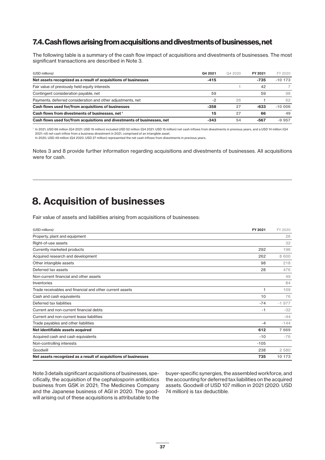## **7.4. Cash flows arising from acquisitions and divestments of businesses, net**

The following table is a summary of the cash flow impact of acquisitions and divestments of businesses. The most significant transactions are described in Note 3.

| (USD millions)                                                           | Q4 2021 | Q4 2020 | FY 2021 | FY 2020   |
|--------------------------------------------------------------------------|---------|---------|---------|-----------|
| Net assets recognized as a result of acquisitions of businesses          | $-415$  |         | $-735$  | $-10$ 173 |
| Fair value of previously held equity interests                           |         |         | 42      |           |
| Contingent consideration payable, net                                    | 59      |         | 59      | 98        |
| Payments, deferred consideration and other adjustments, net              | $-2$    | 26      |         | 62        |
| Cash flows used for/from acquisitions of businesses                      | $-358$  | 27      | $-633$  | $-10006$  |
| Cash flows from divestments of businesses, net <sup>1</sup>              | 15      | 27      | 66      | 49        |
| Cash flows used for/from acquisitions and divestments of businesses, net | $-343$  | 54      | $-567$  | $-9.957$  |

<sup>1</sup> In 2021, USD 66 million (Q4 2021: USD 15 million) included USD 52 million (Q4 2021: USD 15 million) net cash inflows from divestments in previous years, and a USD 14 million (Q4 2021: nil) net cash inflow from a business divestment in 2021, comprised of an intangible asset.

In 2020, USD 49 million (Q4 2020: USD 27 million) represented the net cash inflows from divestments in previous years.

Notes 3 and 8 provide further information regarding acquisitions and divestments of businesses. All acquisitions were for cash.

## **8. Acquisition of businesses**

Fair value of assets and liabilities arising from acquisitions of businesses:

| (USD millions)                                                  | FY 2021 | FY 2020 |
|-----------------------------------------------------------------|---------|---------|
| Property, plant and equipment                                   |         | 26      |
| Right-of-use assets                                             |         | 32      |
| Currently marketed products                                     | 292     | 196     |
| Acquired research and development                               | 262     | 8 600   |
| Other intangible assets                                         | 98      | 218     |
| Deferred tax assets                                             | 28      | 476     |
| Non-current financial and other assets                          |         | 49      |
| Inventories                                                     |         | 84      |
| Trade receivables and financial and other current assets        | 1       | 109     |
| Cash and cash equivalents                                       | 10      | 76      |
| Deferred tax liabilities                                        | $-74$   | $-1977$ |
| Current and non-current financial debts                         | $-1$    | $-32$   |
| Current and non-current lease liabilities                       |         | $-44$   |
| Trade payables and other liabilities                            | $-4$    | $-144$  |
| Net identifiable assets acquired                                | 612     | 7 6 6 9 |
| Acquired cash and cash equivalents                              | $-10$   | $-76$   |
| Non-controlling interests                                       | $-105$  |         |
| Goodwill                                                        | 238     | 2 5 8 0 |
| Net assets recognized as a result of acquisitions of businesses | 735     | 10 173  |

Note 3 details significant acquisitions of businesses, specifically, the acquisition of the cephalosporin antibiotics business from GSK in 2021; The Medicines Company and the Japanese business of AGI in 2020. The goodwill arising out of these acquisitions is attributable to the

buyer-specific synergies, the assembled workforce, and the accounting for deferred tax liabilities on the acquired assets. Goodwill of USD 107 million in 2021 (2020: USD 74 million) is tax deductible.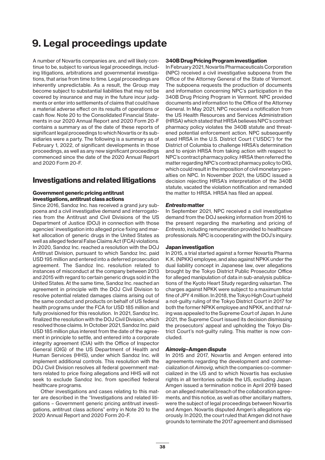## **9. Legal proceedings update**

A number of Novartis companies are, and will likely continue to be, subject to various legal proceedings, including litigations, arbitrations and governmental investigations, that arise from time to time. Legal proceedings are inherently unpredictable. As a result, the Group may become subject to substantial liabilities that may not be covered by insurance and may in the future incur judgments or enter into settlements of claims that could have a material adverse effect on its results of operations or cash flow. Note 20 to the Consolidated Financial Statements in our 2020 Annual Report and 2020 Form 20-F contains a summary as of the date of these reports of significant legal proceedings to which Novartis or its subsidiaries were a party. The following is a summary as of February 1, 2022, of significant developments in those proceedings, as well as any new significant proceedings commenced since the date of the 2020 Annual Report and 2020 Form 20-F.

### **Investigations and related litigations**

### **Government generic pricing antitrust investigations, antitrust class actions**

Since 2016, Sandoz Inc. has received a grand jury subpoena and a civil investigative demand and interrogatories from the Antitrust and Civil Divisions of the US Department of Justice (DOJ) in connection with those agencies' investigation into alleged price fixing and market allocation of generic drugs in the United States as well as alleged federal False Claims Act (FCA) violations. In 2020, Sandoz Inc. reached a resolution with the DOJ Antitrust Division, pursuant to which Sandoz Inc. paid USD 195 million and entered into a deferred prosecution agreement. The Sandoz Inc. resolution related to instances of misconduct at the company between 2013 and 2015 with regard to certain generic drugs sold in the United States. At the same time, Sandoz Inc. reached an agreement in principle with the DOJ Civil Division to resolve potential related damages claims arising out of the same conduct and products on behalf of US federal health programs under the FCA for USD 185 million and fully provisioned for this resolution. In 2021, Sandoz Inc. finalized the resolution with the DOJ Civil Division, which resolved those claims. In October 2021, Sandoz Inc. paid USD 185 million plus interest from the date of the agreement in principle to settle, and entered into a corporate integrity agreement (CIA) with the Office of Inspector General (OIG) of the US Department of Health and Human Services (HHS), under which Sandoz Inc. will implement additional controls. This resolution with the DOJ Civil Division resolves all federal government matters related to price fixing allegations and HHS will not seek to exclude Sandoz Inc. from specified federal healthcare programs.

Other investigations and cases relating to this matter are described in the "Investigations and related litigations – Government generic pricing antitrust investigations, antitrust class actions" entry in Note 20 to the 2020 Annual Report and 2020 Form 20-F.

### **340B Drug Pricing Program investigation**

In February 2021, Novartis Pharmaceuticals Corporation (NPC) received a civil investigative subpoena from the Office of the Attorney General of the State of Vermont. The subpoena requests the production of documents and information concerning NPC's participation in the 340B Drug Pricing Program in Vermont. NPC provided documents and information to the Office of the Attorney General. In May 2021, NPC received a notification from the US Health Resources and Services Administration (HRSA) which stated that HRSA believes NPC's contract pharmacy policy violates the 340B statute and threatened potential enforcement action. NPC subsequently sued HRSA in the U.S. District Court ("USDC") for the District of Columbia to challenge HRSA's determination and to enjoin HRSA from taking action with respect to NPC's contract pharmacy policy. HRSA then referred the matter regarding NPC's contract pharmacy policy to OIG, which could result in the imposition of civil monetary penalties on NPC. In November 2021, the USDC issued a decision rejecting HRSA's interpretation of the 340B statute, vacated the violation notification and remanded the matter to HRSA. HRSA has filed an appeal.

### *Entresto* **matter**

In September 2021, NPC received a civil investigative demand from the DOJ seeking information from 2016 to the present regarding the marketing and pricing of *Entresto*, including remuneration provided to healthcare professionals. NPC is cooperating with the DOJ's inquiry.

### **Japan investigation**

In 2015, a trial started against a former Novartis Pharma K.K. (NPKK) employee, and also against NPKK under the dual liability concept in Japanese law, over allegations brought by the Tokyo District Public Prosecutor Office for alleged manipulation of data in sub-analysis publications of the Kyoto Heart Study regarding valsartan. The charges against NPKK were subject to a maximum total fine of JPY 4 million. In 2018, the Tokyo High Court upheld a not-guilty ruling of the Tokyo District Court in 2017 for both the former NPKK employee and NPKK, and that ruling was appealed to the Supreme Court of Japan. In June 2021, the Supreme Court issued its decision dismissing the prosecutors' appeal and upholding the Tokyo District Court's not-guilty ruling. This matter is now concluded.

### *Aimovig***–Amgen dispute**

In 2015 and 2017, Novartis and Amgen entered into agreements regarding the development and commercialization of *Aimovig*, which the companies co-commercialized in the US and to which Novartis has exclusive rights in all territories outside the US, excluding Japan. Amgen issued a termination notice in April 2019 based on an alleged material breach of the collaboration agreements, and this notice, as well as other ancillary matters, were the subject of legal proceedings between Novartis and Amgen. Novartis disputed Amgen's allegations vigorously. In 2020, the court ruled that Amgen did not have grounds to terminate the 2017 agreement and dismissed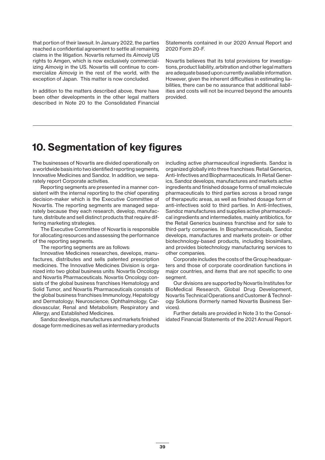that portion of their lawsuit. In January 2022, the parties reached a confidential agreement to settle all remaining claims in the litigation. Novartis returned its *Aimovig* US rights to Amgen, which is now exclusively commercializing *Aimovig* in the US. Novartis will continue to commercialize *Aimovig* in the rest of the world, with the exception of Japan. This matter is now concluded.

In addition to the matters described above, there have been other developments in the other legal matters described in Note 20 to the Consolidated Financial Statements contained in our 2020 Annual Report and 2020 Form 20-F.

Novartis believes that its total provisions for investigations, product liability, arbitration and other legal matters are adequate based upon currently available information. However, given the inherent difficulties in estimating liabilities, there can be no assurance that additional liabilities and costs will not be incurred beyond the amounts provided.

## **10. Segmentation of key figures**

The businesses of Novartis are divided operationally on a worldwide basis into two identified reporting segments, Innovative Medicines and Sandoz. In addition, we separately report Corporate activities.

Reporting segments are presented in a manner consistent with the internal reporting to the chief operating decision-maker which is the Executive Committee of Novartis. The reporting segments are managed separately because they each research, develop, manufacture, distribute and sell distinct products that require differing marketing strategies.

The Executive Committee of Novartis is responsible for allocating resources and assessing the performance of the reporting segments.

The reporting segments are as follows:

Innovative Medicines researches, develops, manufactures, distributes and sells patented prescription medicines. The Innovative Medicines Division is organized into two global business units: Novartis Oncology and Novartis Pharmaceuticals. Novartis Oncology consists of the global business franchises Hematology and Solid Tumor, and Novartis Pharmaceuticals consists of the global business franchises Immunology, Hepatology and Dermatology; Neuroscience; Ophthalmology; Cardiovascular, Renal and Metabolism; Respiratory and Allergy; and Established Medicines.

Sandoz develops, manufactures and markets finished dosage form medicines as well as intermediary products including active pharmaceutical ingredients. Sandoz is organized globally into three franchises: Retail Generics, Anti-Infectives and Biopharmaceuticals. In Retail Generics, Sandoz develops, manufactures and markets active ingredients and finished dosage forms of small molecule pharmaceuticals to third parties across a broad range of therapeutic areas, as well as finished dosage form of anti-infectives sold to third parties. In Anti-Infectives, Sandoz manufactures and supplies active pharmaceutical ingredients and intermediates, mainly antibiotics, for the Retail Generics business franchise and for sale to third-party companies. In Biopharmaceuticals, Sandoz develops, manufactures and markets protein- or other biotechnology-based products, including biosimilars, and provides biotechnology manufacturing services to other companies.

Corporate includes the costs of the Group headquarters and those of corporate coordination functions in major countries, and items that are not specific to one segment.

Our divisions are supported by Novartis Institutes for BioMedical Research, Global Drug Development, Novartis Technical Operations and Customer & Technology Solutions (formerly named Novartis Business Services).

Further details are provided in Note 3 to the Consolidated Financial Statements of the 2021 Annual Report.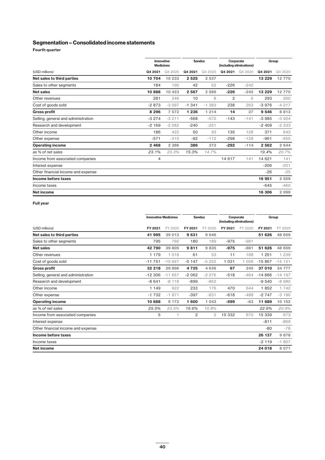### **Segmentation – Consolidated income statements**

**Fourth quarter**

|                                     |                | Innovative<br><b>Medicines</b> |          | Sandoz   |                | Corporate<br>(including eliminations) |          | Group   |  |
|-------------------------------------|----------------|--------------------------------|----------|----------|----------------|---------------------------------------|----------|---------|--|
| (USD millions)                      | Q4 2021        | Q4 2020                        | Q4 2021  | Q4 2020  | Q4 2021        | Q4 2020                               | Q4 2021  | Q4 2020 |  |
| Net sales to third parties          | 10 704         | 10 233                         | 2525     | 2 5 3 7  |                |                                       | 13 2 29  | 12770   |  |
| Sales to other segments             | 184            | 190                            | 42       | 52       | $-226$         | $-242$                                |          |         |  |
| <b>Net sales</b>                    | 10888          | 10 423                         | 2 5 6 7  | 2 5 8 9  | $-226$         | $-242$                                | 13 2 2 9 | 12770   |  |
| Other revenues                      | 281            | 246                            | 10       | 8        | $\overline{c}$ | 6                                     | 293      | 260     |  |
| Cost of goods sold                  | $-2873$        | $-3097$                        | $-1.341$ | $-1.383$ | 238            | 263                                   | $-3976$  | $-4217$ |  |
| <b>Gross profit</b>                 | 8 2 9 6        | 7572                           | 1 2 3 6  | 1 2 1 4  | 14             | 27                                    | 9546     | 8813    |  |
| Selling, general and administration | $-3274$        | $-3211$                        | $-568$   | $-572$   | $-143$         | $-141$                                | $-3985$  | $-3924$ |  |
| Research and development            | $-2169$        | $-2082$                        | $-240$   | $-251$   |                |                                       | $-2409$  | $-2333$ |  |
| Other income                        | 186            | 422                            | 50       | 93       | 135            | 128                                   | 371      | 643     |  |
| Other expense                       | $-571$         | $-315$                         | $-92$    | $-112$   | $-298$         | $-128$                                | $-961$   | $-555$  |  |
| <b>Operating income</b>             | 2 4 6 8        | 2 3 8 6                        | 386      | 372      | $-292$         | $-114$                                | 2562     | 2 6 4 4 |  |
| as % of net sales                   | 23.1%          | 23.3%                          | 15.3%    | 14.7%    |                |                                       | 19.4%    | 20.7%   |  |
| Income from associated companies    | $\overline{4}$ |                                |          |          | 14 6 17        | 141                                   | 14 621   | 141     |  |
| Interest expense                    |                |                                |          |          |                |                                       | $-206$   | $-201$  |  |
| Other financial income and expense  |                |                                |          |          |                |                                       | $-26$    | $-25$   |  |
| Income before taxes                 |                |                                |          |          |                |                                       | 16951    | 2 5 5 9 |  |
| Income taxes                        |                |                                |          |          |                |                                       | $-645$   | $-460$  |  |
| <b>Net income</b>                   |                |                                |          |          |                |                                       | 16 306   | 2 0 9 9 |  |

### **Full year**

|                                     | <b>Innovative Medicines</b> |          | <b>Sandoz</b> |              | Corporate<br>(including eliminations) |         | Group    |          |
|-------------------------------------|-----------------------------|----------|---------------|--------------|---------------------------------------|---------|----------|----------|
| (USD millions)                      | FY 2021                     | FY 2020  | FY 2021       | FY 2020      | FY 2021                               | FY 2020 | FY 2021  | FY 2020  |
| Net sales to third parties          | 41 995                      | 39 013   | 9631          | 9646         |                                       |         | 51 626   | 48 659   |
| Sales to other segments             | 795                         | 792      | 180           | 189          | $-975$                                | $-981$  |          |          |
| <b>Net sales</b>                    | 42790                       | 39 805   | 9811          | 9835         | $-975$                                | $-981$  | 51 626   | 48 659   |
| Other revenues                      | 1 179                       | 1018     | 61            | 53           | 11                                    | 168     | 1 2 5 1  | 1 2 3 9  |
| Cost of goods sold                  | $-11751$                    | $-10927$ | $-5147$       | $-5252$      | 1 0 3 1                               | 1 0 5 8 | $-15867$ | $-15121$ |
| <b>Gross profit</b>                 | 32 218                      | 29 8 96  | 4725          | 4636         | 67                                    | 245     | 37 010   | 34 777   |
| Selling, general and administration | $-12306$                    | $-11657$ | $-2062$       | $-2076$      | $-518$                                | $-464$  | $-14886$ | $-14197$ |
| Research and development            | $-8641$                     | $-8118$  | $-899$        | $-862$       |                                       |         | $-9540$  | $-8980$  |
| Other income                        | 1 1 4 9                     | 922      | 233           | 176          | 470                                   | 644     | 1852     | 1742     |
| Other expense                       | $-1732$                     | $-1871$  | $-397$        | $-831$       | $-618$                                | $-488$  | $-2747$  | $-3190$  |
| <b>Operating income</b>             | 10 688                      | 9 1 7 2  | 1600          | 1 0 4 3      | $-599$                                | $-63$   | 11 689   | 10 152   |
| as % of net sales                   | 25.5%                       | 23.5%    | 16.6%         | 10.8%        |                                       |         | 22.6%    | 20.9%    |
| Income from associated companies    | 5                           |          | 2             | $\mathbf{2}$ | 15 332                                | 670     | 15 339   | 673      |
| Interest expense                    |                             |          |               |              |                                       |         | $-811$   | $-869$   |
| Other financial income and expense  |                             |          |               |              |                                       |         | $-80$    | $-78$    |
| Income before taxes                 |                             |          |               |              |                                       |         | 26 137   | 9878     |
| Income taxes                        |                             |          |               |              |                                       |         | $-2119$  | $-1807$  |
| Net income                          |                             |          |               |              |                                       |         | 24 018   | 8 0 7 1  |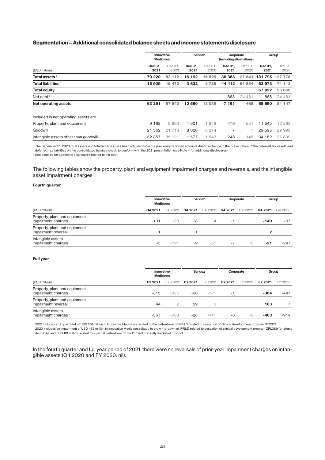### **Segmentation – Additional consolidated balance sheets and income statements disclosure**

|                                            |                 | Innovative<br><b>Medicines</b> |                 | <b>Sandoz</b>   |                 | Corporate<br>(including eliminations) |                 | Group           |  |
|--------------------------------------------|-----------------|--------------------------------|-----------------|-----------------|-----------------|---------------------------------------|-----------------|-----------------|--|
| (USD millions)                             | Dec 31.<br>2021 | Dec 31.<br>2020                | Dec 31.<br>2021 | Dec 31.<br>2020 | Dec 31.<br>2021 | Dec 31.<br>2020                       | Dec 31,<br>2021 | Dec 31.<br>2020 |  |
| Total assets $^{\rm \scriptscriptstyle 1}$ | 79 220          | 83 112                         | 16 192          | 6 8 25          | 36 383          | 27 841                                | 131795          | 127 778         |  |
| Total liabilities <sup>1</sup>             | -15 929         | $-15472$                       | $-3632$         | $-3786$         | -44 412         | $-51854$                              | -63 973         | $-71112$        |  |
| <b>Total equity</b>                        |                 |                                |                 |                 |                 |                                       | 67822           | 56 666          |  |
| Net debt <sup>2</sup>                      |                 |                                |                 |                 | 868             | 24 481                                | 868             | 24 481          |  |
| Net operating assets                       | 63 291          | 67 640                         | 12 560          | 13 039          | $-7161$         | 468                                   | 68 690          | 81 147          |  |
| Included in net operating assets are:      |                 |                                |                 |                 |                 |                                       |                 |                 |  |
| Property, plant and equipment              | 9 1 6 8         | 9863                           | 1901            | 1849            | 476             | 551                                   | 11 545          | 12 263          |  |
| Goodwill                                   | 21 562          | 21718                          | 8026            | 8 2 7 4         | $\overline{7}$  | 7                                     | 29 5 9 5        | 29 999          |  |
| Intangible assets other than goodwill      | 32 357          | 35 121                         | 1577            | 543             | 248             | 145                                   | 34 182          | 36 809          |  |

<sup>1</sup> The December 31, 2020 total assets and total liabilities have been adjusted from the previously reported amounts due to a change in the presentation of the deferred tax assets and deferred tax liabilities on the consolidated balance sheet, to conform with the 2021 presentation (see Note 4 for additional disclosures).

<sup>2</sup> See page 59 for additional disclosures related to net debt.

The following tables show the property, plant and equipment impairment charges and reversals, and the intangible asset impairment charges:

#### **Fourth quarter**

|                                                      |         | Innovative<br><b>Medicines</b> |         | Sandoz  |         | Corporate |         | Group   |
|------------------------------------------------------|---------|--------------------------------|---------|---------|---------|-----------|---------|---------|
| (USD millions)                                       | Q4 2021 | Q4 2020                        | Q4 2021 | Q4 2020 | Q4 2021 | Q4 2020   | Q4 2021 | Q4 2020 |
| Property, plant and equipment<br>impairment charges  | $-131$  | $-33$                          | -8      | $-4$    | -1      |           | $-140$  | $-37$   |
| Property, plant and equipment<br>impairment reversal |         |                                |         |         |         |           | 2       |         |
| Intangible assets<br>impairment charges              | -5      | $-191$                         | -9      | -51     | -7      | -5        | -21     | $-247$  |

#### **Full year**

|                                                      |         | Innovative<br><b>Medicines</b> |         | Sandoz  |         | Corporate |         | Group   |
|------------------------------------------------------|---------|--------------------------------|---------|---------|---------|-----------|---------|---------|
| (USD millions)                                       | FY 2021 | FY 2020                        | FY 2021 | FY 2020 | FY 2021 | FY 2020   | FY 2021 | FY 2020 |
| Property, plant and equipment<br>impairment charges  | $-315$  | $-326$                         | -68     | $-121$  | -1      |           | $-384$  | $-447$  |
| Property, plant and equipment<br>impairment reversal | 44      | $\overline{c}$                 | 59      | 5       |         |           | 103     |         |
| Intangible assets<br>impairment charges <sup>1</sup> | $-367$  | $-768$                         | $-28$   | $-141$  | -8      | -5        | $-403$  | $-914$  |

<sup>1</sup> 2021 includes an impairment of USD 201 million in Innovative Medicines related to the write-down of IPR&D related to cessation of clinical development program GTX312. 2020 includes an impairment of USD 485 million in Innovative Medicines related to the write-down of IPR&D related to cessation of clinical development program ZPL389 for atopic dermatitis and USD 181 million related to a partial write-down of the *Votrient* currently marketed product.

In the fourth quarter and full year period of 2021, there were no reversals of prior-year impairment charges on intangible assets (Q4 2020 and FY 2020: nil).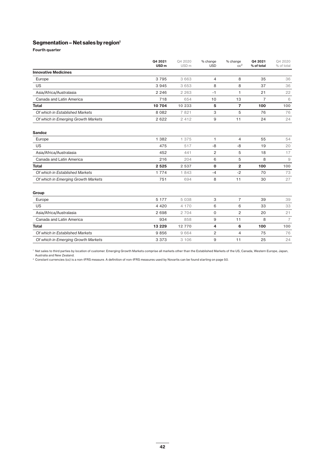### **Segmentation – Net sales by region1**

**Fourth quarter**

|                                     | Q4 2021<br>USD <sub>m</sub> | Q4 2020<br>USD <sub>m</sub> | % change<br><b>USD</b> | % change<br>cc <sup>2</sup> | Q4 2021<br>% of total | Q4 2020<br>% of total |
|-------------------------------------|-----------------------------|-----------------------------|------------------------|-----------------------------|-----------------------|-----------------------|
| <b>Innovative Medicines</b>         |                             |                             |                        |                             |                       |                       |
| Europe                              | 3795                        | 3 6 6 3                     | $\overline{4}$         | 8                           | 35                    | 36                    |
| <b>US</b>                           | 3945                        | 3 6 5 3                     | 8                      | 8                           | 37                    | 36                    |
| Asia/Africa/Australasia             | 2 2 4 6                     | 2 2 6 3                     | $-1$                   | 1                           | 21                    | 22                    |
| Canada and Latin America            | 718                         | 654                         | 10                     | 13                          | $\overline{7}$        | 6                     |
| <b>Total</b>                        | 10 704                      | 10 233                      | 5                      | $\overline{7}$              | 100                   | 100                   |
| Of which in Established Markets     | 8 0 8 2                     | 7 8 2 1                     | 3                      | 5                           | 76                    | 76                    |
| Of which in Emerging Growth Markets | 2 6 2 2                     | 2 4 1 2                     | 9                      | 11                          | 24                    | 24                    |
| <b>Sandoz</b>                       |                             |                             |                        |                             |                       |                       |
| Europe                              | 1 3 8 2                     | 1 375                       | 1                      | 4                           | 55                    | 54                    |
| <b>US</b>                           | 475                         | 517                         | -8                     | $-8$                        | 19                    | 20                    |
| Asia/Africa/Australasia             | 452                         | 441                         | 2                      | 5                           | 18                    | 17                    |
| Canada and Latin America            | 216                         | 204                         | 6                      | 5                           | 8                     | $\mathcal{G}$         |
| <b>Total</b>                        | 2 5 2 5                     | 2 5 3 7                     | 0                      | $\overline{2}$              | 100                   | 100                   |
| Of which in Established Markets     | 1 7 7 4                     | 1843                        | $-4$                   | $-2$                        | 70                    | 73                    |
| Of which in Emerging Growth Markets | 751                         | 694                         | 8                      | 11                          | 30                    | 27                    |
| Group                               |                             |                             |                        |                             |                       |                       |
| Europe                              | 5 1 7 7                     | 5 0 3 8                     | 3                      | $\overline{7}$              | 39                    | 39                    |
| <b>US</b>                           | 4 4 2 0                     | 4 170                       | 6                      | 6                           | 33                    | 33                    |
| Asia/Africa/Australasia             | 2 6 9 8                     | 2 7 0 4                     | 0                      | $\overline{2}$              | 20                    | 21                    |
| Canada and Latin America            | 934                         | 858                         | 9                      | 11                          | 8                     | $\overline{7}$        |
| <b>Total</b>                        | 13 2 29                     | 12770                       | 4                      | 6                           | 100                   | 100                   |
| Of which in Established Markets     | 9856                        | 9 6 6 4                     | 2                      | $\overline{4}$              | 75                    | 76                    |
| Of which in Emerging Growth Markets | 3 3 7 3                     | 3 106                       | 9                      | 11                          | 25                    | 24                    |

<sup>1</sup> Net sales to third parties by location of customer. Emerging Growth Markets comprise all markets other than the Established Markets of the US, Canada, Western Europe, Japan, Australia and New Zealand.

 $^{\rm 2}$  Constant currencies (cc) is a non-IFRS measure. A definition of non-IFRS measures used by Novartis can be found starting on page 50.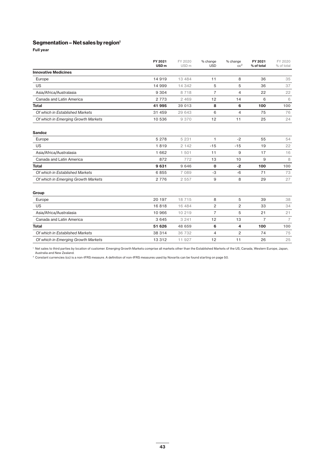### **Segmentation – Net sales by region1**

**Full year**

|                                     | FY 2021<br>USD <sub>m</sub> | FY 2020<br>USD <sub>m</sub> | % change<br><b>USD</b> | % change<br>cc <sup>2</sup> | FY 2021<br>% of total | FY 2020<br>% of total |
|-------------------------------------|-----------------------------|-----------------------------|------------------------|-----------------------------|-----------------------|-----------------------|
| <b>Innovative Medicines</b>         |                             |                             |                        |                             |                       |                       |
| Europe                              | 14 9 19                     | 13 4 8 4                    | 11                     | 8                           | 36                    | 35                    |
| <b>US</b>                           | 14 999                      | 14 342                      | 5                      | 5                           | 36                    | 37                    |
| Asia/Africa/Australasia             | 9 3 0 4                     | 8718                        | $\overline{7}$         | $\overline{4}$              | 22                    | 22                    |
| Canada and Latin America            | 2 7 7 3                     | 2 4 6 9                     | 12                     | 14                          | 6                     | 6                     |
| Total                               | 41 995                      | 39 013                      | 8                      | 6                           | 100                   | 100                   |
| Of which in Established Markets     | 31 459                      | 29 643                      | 6                      | $\overline{4}$              | 75                    | 76                    |
| Of which in Emerging Growth Markets | 10 536                      | 9 3 7 0                     | 12                     | 11                          | 25                    | 24                    |
| <b>Sandoz</b>                       |                             |                             |                        |                             |                       |                       |
| Europe                              | 5 2 7 8                     | 5 2 3 1                     | 1                      | $-2$                        | 55                    | 54                    |
| <b>US</b>                           | 1819                        | 2 1 4 2                     | $-15$                  | $-15$                       | 19                    | 22                    |
| Asia/Africa/Australasia             | 1 6 6 2                     | 1 501                       | 11                     | 9                           | 17                    | 16                    |
| Canada and Latin America            | 872                         | 772                         | 13                     | 10                          | 9                     | 8                     |
| <b>Total</b>                        | 9631                        | 9 6 4 6                     | $\mathbf 0$            | $-2$                        | 100                   | 100                   |
| Of which in Established Markets     | 6855                        | 7 0 8 9                     | $-3$                   | $-6$                        | 71                    | 73                    |
| Of which in Emerging Growth Markets | 2 7 7 6                     | 2 5 5 7                     | 9                      | 8                           | 29                    | 27                    |
| Group                               |                             |                             |                        |                             |                       |                       |
| Europe                              | 20 197                      | 18715                       | 8                      | 5                           | 39                    | 38                    |
| <b>US</b>                           | 16818                       | 16 484                      | 2                      | 2                           | 33                    | 34                    |
| Asia/Africa/Australasia             | 10 966                      | 10 219                      | $\overline{7}$         | 5                           | 21                    | 21                    |
| Canada and Latin America            | 3 6 4 5                     | 3 2 4 1                     | 12                     | 13                          | $\overline{7}$        | $\overline{7}$        |
| <b>Total</b>                        | 51 626                      | 48 659                      | 6                      | 4                           | 100                   | 100                   |
| Of which in Established Markets     | 38 314                      | 36 732                      | $\overline{4}$         | $\overline{2}$              | 74                    | 75                    |
| Of which in Emerging Growth Markets | 13 3 12                     | 11 927                      | 12                     | 11                          | 26                    | 25                    |

<sup>1</sup> Net sales to third parties by location of customer. Emerging Growth Markets comprise all markets other than the Established Markets of the US, Canada, Western Europe, Japan, Australia and New Zealand.

<sup>2</sup> Constant currencies (cc) is a non-IFRS measure. A definition of non-IFRS measures used by Novartis can be found starting on page 50.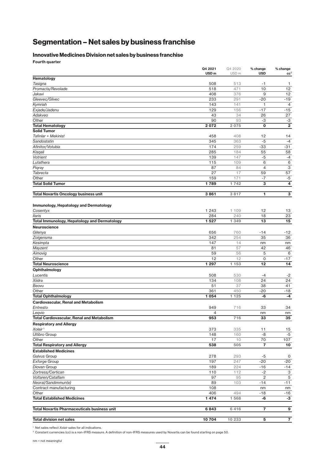## **Segmentation – Net sales by business franchise**

### **Innovative Medicines Division net sales by business franchise**

**Fourth quarter**

|                                                     | Q4 2021<br>USD <sub>m</sub> | Q4 2020<br>USD <sub>m</sub> | % change<br><b>USD</b> | % change<br>cc <sup>2</sup> |
|-----------------------------------------------------|-----------------------------|-----------------------------|------------------------|-----------------------------|
| Hematology                                          |                             |                             |                        |                             |
| Tasigna                                             | 508                         | 513                         | -1                     | $\mathbf{1}$                |
| Promacta/Revolade                                   | 518                         | 471                         | 10                     | 12                          |
| Jakavi                                              | 408                         | 376                         | 9                      | 12                          |
| Gleevec/Glivec                                      | 233                         | 291                         | $-20$                  | $-19$                       |
| Kymriah                                             | 143                         | 141                         | $\mathbf{1}$           | $\overline{4}$              |
| Exjade/Jadenu                                       | 129                         | 156                         | $-17$                  | $-15$                       |
| Adakveo                                             | 43                          | 34                          | 26                     | 27                          |
| Other                                               | 90                          | 93                          | -3                     | $-3$                        |
| <b>Total Hematology</b>                             | 2 0 7 2                     | 2 0 7 5                     | $\mathbf 0$            | $\overline{2}$              |
| <b>Solid Tumor</b>                                  |                             |                             |                        |                             |
| Tafinlar + Mekinist                                 | 458                         | 408                         | 12                     | 14                          |
| Sandostatin                                         | 345                         | 363                         | $-5$                   | $-4$                        |
| Afinitor/Votubia                                    | 174<br>285                  | 259<br>184                  | $-33$<br>55            | -31<br>58                   |
| Kisqali<br>Votrient                                 | 139                         | 147                         | $-5$                   | $-4$                        |
| Lutathera                                           | 115                         | 109                         | 6                      | 6                           |
| Pigray                                              | 87                          | 84                          | 4                      | 3                           |
| Tabrecta                                            | 27                          | 17                          | 59                     | 57                          |
| Other                                               | 159                         | 171                         | $-7$                   | $-5$                        |
| <b>Total Solid Tumor</b>                            | 1789                        | 1742                        | $\overline{3}$         | $\overline{4}$              |
|                                                     |                             |                             |                        |                             |
| <b>Total Novartis Oncology business unit</b>        | 3861                        | 3817                        | 1                      | 3                           |
| <b>Immunology, Hepatology and Dermatology</b>       |                             |                             |                        |                             |
| Cosentyx                                            | 1 2 4 3                     | 1 109                       | 12                     | 13                          |
| <b>Ilaris</b>                                       | 284                         | 240                         | 18                     | 23                          |
| <b>Total Immunology, Hepatology and Dermatology</b> | 1 527                       | 1 349                       | 13                     | 15                          |
| Neuroscience                                        |                             |                             |                        |                             |
| Gilenya                                             | 656                         | 760                         | $-14$                  | -12                         |
| Zolgensma                                           | 342                         | 254                         | 35                     | 36                          |
| Kesimpta                                            | 147                         | 14                          | nm                     | nm                          |
| Mayzent                                             | 81                          | 57                          | 42                     | 46                          |
| Aimovig                                             | 59                          | 56                          | 5                      | 6                           |
| Other                                               | 12                          | 12                          | $\mathbf 0$            | $-17$                       |
| <b>Total Neuroscience</b>                           | 1 2 9 7                     | 1 153                       | 12                     | 14                          |
| Ophthalmology                                       |                             |                             |                        |                             |
| Lucentis                                            | 508                         | 530                         | -4                     | $-2$                        |
| Xiidra                                              | 134                         | 108                         | 24                     | 24                          |
| Beovu                                               | 51                          | 37                          | 38                     | 41                          |
| Other                                               | 361                         | 450                         | $-20$                  | $-18$                       |
| <b>Total Ophthalmology</b>                          | 1 0 5 4                     | 125<br>1.                   | -6                     | $-4$                        |
| <b>Cardiovascular, Renal and Metabolism</b>         |                             |                             |                        |                             |
| Entresto                                            | 949                         | 716                         | 33                     | 34                          |
| Leqvio                                              | 4                           |                             | nm                     | nm                          |
| <b>Total Cardiovascular, Renal and Metabolism</b>   | 953                         | $716$                       | 33                     | 35                          |
| <b>Respiratory and Allergy</b>                      |                             |                             |                        |                             |
| Xolair <sup>1</sup>                                 | 373                         | 335                         | 11                     | 15                          |
| <b>Ultibro Group</b>                                | 148                         | 160                         | -8                     | $-5$                        |
| Other                                               | 17                          | 10                          | 70                     | 107                         |
| <b>Total Respiratory and Allergy</b>                | 538                         | 505                         | $\overline{7}$         | 10                          |
| <b>Established Medicines</b>                        |                             |                             |                        |                             |
| Galvus Group                                        | 278                         | 293                         | $-5$                   | 0                           |
| <b>Exforge Group</b>                                | 197                         | 247                         | $-20$                  | $-20$                       |
| Diovan Group                                        | 189                         | 224                         | $-16$                  | $-14$                       |
| Zortress/Certican                                   | 110                         | 112                         | $-2$                   | 3                           |
| Voltaren/Cataflam                                   | 97                          | 95                          | $\overline{c}$         | $\,$ 5 $\,$                 |
| Neoral/Sandimmun(e)                                 | 89                          | 103                         | $-14$                  | $-11$                       |
| Contract manufacturing                              | 108                         |                             | nm                     | nm                          |
| Other<br><b>Total Established Medicines</b>         | 406                         | 494                         | $-18$                  | $-16$<br>$-3$               |
|                                                     | 1474                        | 1568                        | -6                     |                             |
| <b>Total Novartis Pharmaceuticals business unit</b> | 6843                        | 6416                        | $\overline{7}$         | 9                           |
| <b>Total division net sales</b>                     | 10 704                      | 10 233                      | $\overline{5}$         | $\overline{\overline{\ } }$ |
|                                                     |                             |                             |                        |                             |

<sup>1</sup> Net sales reflect *Xolair* sales for all indications.

<sup>2</sup> Constant currencies (cc) is a non-IFRS measure. A definition of non-IFRS measures used by Novartis can be found starting on page 50.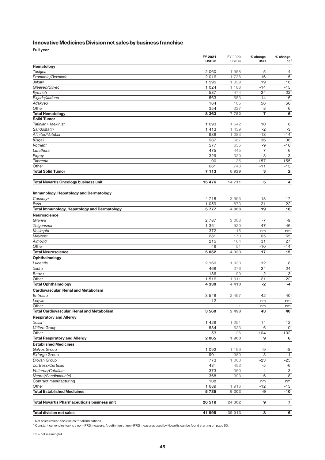### **Innovative Medicines Division net sales by business franchise**

**Full year**

|                                                     | FY 2021<br>USD <sub>m</sub> | FY 2020<br>USD <sub>m</sub> | % change<br><b>USD</b>  | % change                |
|-----------------------------------------------------|-----------------------------|-----------------------------|-------------------------|-------------------------|
| Hematology                                          |                             |                             |                         | cc <sup>2</sup>         |
| Tasigna                                             | 2 0 6 0                     | 1958                        | 5                       | 4                       |
| Promacta/Revolade                                   | 2016                        | 1738                        | 16                      | 15                      |
| Jakavi                                              | 1 5 9 5                     | 1 339                       | 19                      | 16                      |
| Gleevec/Glivec                                      | 1 0 2 4                     | 1 188                       | $-14$                   | $-15$                   |
| Kymriah                                             | 587                         | 474                         | 24                      | 22                      |
| Exjade/Jadenu                                       | 563                         | 653                         | $-14$                   | $-16$                   |
| Adakveo                                             | 164                         | 105                         | 56                      | 56                      |
| Other                                               | 354                         | 327                         | 8                       | 6                       |
| <b>Total Hematology</b>                             | 8 3 6 3                     | 7 7 8 2                     | $\overline{\mathbf{7}}$ | $\overline{6}$          |
| <b>Solid Tumor</b>                                  |                             |                             |                         | 8                       |
| Tafinlar + Mekinist<br>Sandostatin                  | 1 693<br>1 4 1 3            | 1 542<br>1 4 3 9            | 10<br>$-2$              | $-3$                    |
| Afinitor/Votubia                                    | 938                         | 1 0 8 3                     | $-13$                   | $-14$                   |
| Kisqali                                             | 937                         | 687                         | 36                      | 36                      |
| Votrient                                            | 577                         | 635                         | -9                      | $-10$                   |
| Lutathera                                           | 475                         | 445                         | $\overline{7}$          | 6                       |
| Pigray                                              | 329                         | 320                         | 3                       | 3                       |
| Tabrecta                                            | 90                          | 35                          | 157                     | 155                     |
| Other                                               | 661                         | 743                         | $-11$                   | $-13$                   |
| <b>Total Solid Tumor</b>                            | 7 1 1 3                     | 6929                        | 3                       | $\overline{\mathbf{2}}$ |
|                                                     |                             |                             |                         |                         |
| <b>Total Novartis Oncology business unit</b>        | 15 476                      | 14711                       | 5                       | 4                       |
|                                                     |                             |                             |                         |                         |
| <b>Immunology, Hepatology and Dermatology</b>       |                             |                             |                         |                         |
| Cosentyx                                            | 4718                        | 3 9 9 5                     | 18                      | 17                      |
| <b>Ilaris</b>                                       | 1 0 5 9                     | 873                         | 21                      | 22                      |
| <b>Total Immunology, Hepatology and Dermatology</b> | 5777                        | 4868                        | 19                      | 18                      |
| Neuroscience                                        |                             |                             |                         |                         |
| Gilenya                                             | 2 7 8 7                     | 3 0 0 3                     | $-7$                    | -9                      |
| Zolgensma                                           | 1 3 5 1                     | 920                         | 47                      | 46                      |
| Kesimpta                                            | 372<br>281                  | 15<br>170                   | nm<br>65                | nm                      |
| Mayzent<br>Aimovig                                  | 215                         | 164                         | 31                      | 65<br>27                |
| Other                                               | 46                          | 51                          | $-10$                   | $-14$                   |
| <b>Total Neuroscience</b>                           | 5 0 5 2                     | 4 3 2 3                     | 17                      | 15                      |
| Ophthalmology                                       |                             |                             |                         |                         |
| Lucentis                                            | 2 160                       | 1933                        | 12                      | 8                       |
| Xiidra                                              | 468                         | 376                         | 24                      | 24                      |
| Beovu                                               | 186                         | 190                         | $-2$                    | $-3$                    |
| Other                                               | 1516                        | 1911                        | $-21$                   | $-22$                   |
| <b>Total Ophthalmology</b>                          | 4 3 3 0                     | 4 4 1 0                     | -2                      | $-4$                    |
| <b>Cardiovascular, Renal and Metabolism</b>         |                             |                             |                         |                         |
| Entresto                                            | 3 5 4 8                     | 2 497                       | 42                      | 40                      |
| Leqvio                                              | 12                          |                             | nm                      | nm                      |
| Other                                               |                             | 1                           | nm                      | nm                      |
| <b>Total Cardiovascular, Renal and Metabolism</b>   | 3560                        | 2 4 9 8                     | 43                      | 40                      |
| <b>Respiratory and Allergy</b>                      |                             |                             |                         |                         |
| Xolair <sup>1</sup>                                 | 1 4 2 8                     | 1 251                       | 14                      | 12                      |
| <b>Ultibro Group</b>                                | 584                         | 623                         | $-6$                    | $-10$                   |
| Other                                               | 53                          | 26                          | 104                     | 102                     |
| <b>Total Respiratory and Allergy</b>                | 2065                        | 1 900                       | 9                       | 6                       |
| <b>Established Medicines</b>                        |                             |                             |                         |                         |
| Galvus Group                                        | 1 0 9 2                     | 1 199                       | -9                      | -8                      |
| Exforge Group<br>Diovan Group                       | 901<br>773                  | 980<br>1 0 0 3              | -8<br>-23               | $-11$<br>$-25$          |
| Zortress/Certican                                   | 431                         | 452                         | $-5$                    | $-6$                    |
| Voltaren/Cataflam                                   | 373                         | 360                         | 4                       | 3                       |
| Neoral/Sandimmun(e)                                 | 368                         | 393                         | $-6$                    | $-8$                    |
| Contract manufacturing                              | 108                         |                             | nm                      | nm                      |
| Other                                               | 1 689                       | 1916                        | $-12$                   | $-13$                   |
| <b>Total Established Medicines</b>                  | 5 7 3 5                     | 6 3 0 3                     | -9                      | $-10$                   |
|                                                     |                             |                             |                         |                         |
| <b>Total Novartis Pharmaceuticals business unit</b> | 26 519                      | 24 302                      | 9                       | $\overline{7}$          |
|                                                     |                             |                             |                         |                         |
| <b>Total division net sales</b>                     | 41 995                      | 39 013                      | 8                       | 6                       |

<sup>1</sup> Net sales reflect *Xolair* sales for all indications.

 $^{\rm 2}$  Constant currencies (cc) is a non-IFRS measure. A definition of non-IFRS measures used by Novartis can be found starting on page 50.

nm = not meaningful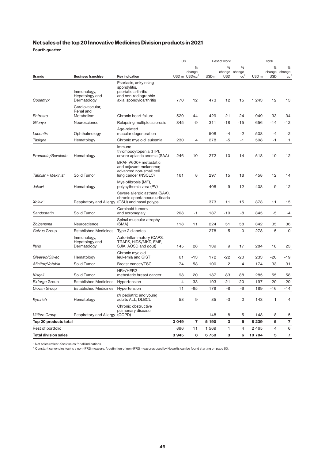### **Net sales of the top 20 Innovative Medicines Division products in 2021**

**Fourth quarter**

|                             |                                              |                                                                                                                  |         | US                                                   | Rest of world    |                           |                                | <b>Total</b>     |                           |                                |
|-----------------------------|----------------------------------------------|------------------------------------------------------------------------------------------------------------------|---------|------------------------------------------------------|------------------|---------------------------|--------------------------------|------------------|---------------------------|--------------------------------|
| <b>Brands</b>               | <b>Business franchise</b>                    | Key indication                                                                                                   |         | $\frac{0}{0}$<br>change<br>USD m USD/cc <sup>2</sup> | USD <sub>m</sub> | %<br>change<br><b>USD</b> | %<br>change<br>cc <sup>2</sup> | USD <sub>m</sub> | %<br>change<br><b>USD</b> | %<br>change<br>cc <sup>2</sup> |
| Cosentyx                    | Immunology,<br>Hepatology and<br>Dermatology | Psoriasis, ankylosing<br>spondylitis,<br>psoriatic arthritis<br>and non-radiographic<br>axial spondyloarthritis  | 770     | 12                                                   | 473              | 12                        | 15                             | 1 2 4 3          | 12                        | 13                             |
| Entresto                    | Cardiovascular,<br>Renal and<br>Metabolism   | Chronic heart failure                                                                                            | 520     | 44                                                   | 429              | 21                        | 24                             | 949              | 33                        | 34                             |
| Gilenya                     | Neuroscience                                 | Relapsing multiple sclerosis                                                                                     | 345     | -9                                                   | 311              | $-18$                     | $-15$                          | 656              | $-14$                     | $-12$                          |
| Lucentis                    | Ophthalmology                                | Age-related<br>macular degeneration                                                                              |         |                                                      | 508              | $-4$                      | $-2$                           | 508              | $-4$                      | $-2$                           |
| Tasigna                     | Hematology                                   | Chronic myeloid leukemia                                                                                         | 230     | 4                                                    | 278              | $-5$                      | $-1$                           | 508              | $-1$                      | $\mathbf{1}$                   |
| Promacta/Revolade           | Hematology                                   | Immune<br>thrombocytopenia (ITP),<br>severe aplastic anemia (SAA)                                                | 246     | 10                                                   | 272              | 10                        | 14                             | 518              | 10                        | 12                             |
| Tafinlar + Mekinist         | Solid Tumor                                  | BRAF V600+ metastatic<br>and adjuvant melanoma;<br>advanced non-small cell<br>lung cancer (NSCLC)                | 161     | 8                                                    | 297              | 15                        | 18                             | 458              | 12                        | 14                             |
| Jakavi                      | Hematology                                   | Myelofibrosis (MF),<br>polycythemia vera (PV)                                                                    |         |                                                      | 408              | 9                         | 12                             | 408              | 9                         | 12                             |
| Xolair <sup>1</sup>         |                                              | Severe allergic asthma (SAA).<br>chronic spontaneous urticaria<br>Respiratory and Allergy (CSU) and nasal polyps |         |                                                      | 373              | 11                        | 15                             | 373              | 11                        | 15                             |
| Sandostatin                 | Solid Tumor                                  | Carcinoid tumors<br>and acromegaly                                                                               | 208     | -1                                                   | 137              | $-10$                     | -8                             | 345              | $-5$                      | $-4$                           |
| Zolgensma                   | Neuroscience                                 | Spinal muscular atrophy<br>(SMA)                                                                                 | 118     | 11                                                   | 224              | 51                        | 58                             | 342              | 35                        | 36                             |
| Galvus Group                | <b>Established Medicines</b>                 | Type 2 diabetes                                                                                                  |         |                                                      | 278              | $-5$                      | $\mathbf 0$                    | 278              | $-5$                      | $\mathbf 0$                    |
| <b>Ilaris</b>               | Immunology,<br>Hepatology and<br>Dermatology | Auto-inflammatory (CAPS,<br>TRAPS, HIDS/MKD, FMF,<br>SJIA, AOSD and gout)                                        | 145     | 28                                                   | 139              | 9                         | 17                             | 284              | 18                        | 23                             |
| Gleevec/Glivec              | Hematology                                   | Chronic myeloid<br>leukemia and GIST                                                                             | 61      | $-13$                                                | 172              | $-22$                     | $-20$                          | 233              | -20                       | -19                            |
| Afinitor/Votubia            | Solid Tumor                                  | Breast cancer/TSC                                                                                                | 74      | $-53$                                                | 100              | $-2$                      | 4                              | 174              | -33                       | -31                            |
| Kisqali                     | Solid Tumor                                  | HR+/HER2-<br>metastatic breast cancer                                                                            | 98      | 20                                                   | 187              | 83                        | 88                             | 285              | 55                        | 58                             |
| Exforge Group               | <b>Established Medicines</b>                 | Hypertension                                                                                                     | 4       | 33                                                   | 193              | $-21$                     | $-20$                          | 197              | $-20$                     | $-20$                          |
| Diovan Group                | <b>Established Medicines</b>                 | Hypertension                                                                                                     | 11      | $-65$                                                | 178              | -8                        | $-6$                           | 189              | $-16$                     | $-14$                          |
| Kymriah                     | Hematology                                   | r/r pediatric and young<br>adults ALL, DLBCL                                                                     | 58      | 9                                                    | 85               | -3                        | 0                              | 143              | 1                         | 4                              |
| <b>Ultibro Group</b>        | Respiratory and Allergy (COPD)               | Chronic obstructive<br>pulmonary disease                                                                         |         |                                                      | 148              | -8                        | -5                             | 148              | -8                        | -5                             |
| Top 20 products total       |                                              |                                                                                                                  | 3 0 4 9 | $\overline{7}$                                       | 5 190            | 3                         | 6                              | 8 2 3 9          | 5                         | $\overline{7}$                 |
| Rest of portfolio           |                                              |                                                                                                                  | 896     | 11                                                   | 1 5 6 9          | $\mathbf{1}$              | $\overline{4}$                 | 2 4 6 5          | $\overline{4}$            | 6                              |
| <b>Total division sales</b> |                                              |                                                                                                                  | 3945    | 8                                                    | 6759             | 3                         | 6                              | 10704            | 5                         | $\overline{7}$                 |

<sup>1</sup> Net sales reflect *Xolair* sales for all indications.

 $^{\rm 2}$  Constant currencies (cc) is a non-IFRS measure. A definition of non-IFRS measures used by Novartis can be found starting on page 50.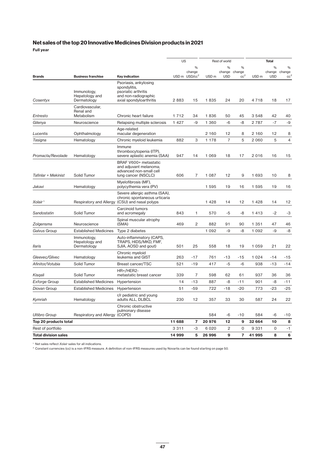### **Net sales of the top 20 Innovative Medicines Division products in 2021**

**Full year**

|                             |                                              |                                                                                                                 |        | <b>US</b>                                            | Rest of world    |                           |                                | <b>Total</b>     |                           |                                |
|-----------------------------|----------------------------------------------|-----------------------------------------------------------------------------------------------------------------|--------|------------------------------------------------------|------------------|---------------------------|--------------------------------|------------------|---------------------------|--------------------------------|
| <b>Brands</b>               | <b>Business franchise</b>                    | <b>Key indication</b>                                                                                           |        | $\frac{0}{0}$<br>change<br>USD m USD/cc <sup>2</sup> | USD <sub>m</sub> | %<br>change<br><b>USD</b> | %<br>change<br>cc <sup>2</sup> | USD <sub>m</sub> | %<br>change<br><b>USD</b> | %<br>change<br>cc <sup>2</sup> |
| Cosentyx                    | Immunology,<br>Hepatology and<br>Dermatology | Psoriasis, ankylosing<br>spondylitis,<br>psoriatic arthritis<br>and non-radiographic<br>axial spondyloarthritis | 2883   | 15                                                   | 1835             | 24                        | 20                             | 4718             | 18                        | 17                             |
| Entresto                    | Cardiovascular,<br>Renal and<br>Metabolism   | Chronic heart failure                                                                                           | 1712   | 34                                                   | 1836             | 50                        | 45                             | 3 5 4 8          | 42                        | 40                             |
| Gilenya                     | Neuroscience                                 | Relapsing multiple sclerosis                                                                                    | 1427   | -9                                                   | 1 3 6 0          | $-6$                      | -8                             | 2 7 8 7          | $-7$                      | $-9$                           |
| Lucentis                    | Ophthalmology                                | Age-related<br>macular degeneration                                                                             |        |                                                      | 2 160            | 12                        | 8                              | 2 1 6 0          | 12                        | 8                              |
| Tasigna                     | Hematology                                   | Chronic myeloid leukemia                                                                                        | 882    | 3                                                    | 1 1 7 8          | $\overline{7}$            | 5                              | 2060             | 5                         | $\overline{4}$                 |
| Promacta/Revolade           | Hematology                                   | Immune<br>thrombocytopenia (ITP),<br>severe aplastic anemia (SAA)                                               | 947    | 14                                                   | 1 0 6 9          | 18                        | 17                             | 2016             | 16                        | 15                             |
| Tafinlar + Mekinist         | Solid Tumor                                  | BRAF V600+ metastatic<br>and adjuvant melanoma;<br>advanced non-small cell<br>lung cancer (NSCLC)               | 606    | $\overline{7}$                                       | 1 0 8 7          | 12                        | 9                              | 1 6 9 3          | 10                        | 8                              |
| Jakavi                      | Hematology                                   | Myelofibrosis (MF),<br>polycythemia vera (PV)                                                                   |        |                                                      | 1 5 9 5          | 19                        | 16                             | 1 5 9 5          | 19                        | 16                             |
| Xolair <sup>1</sup>         | Respiratory and Allergy                      | Severe allergic asthma (SAA),<br>chronic spontaneous urticaria<br>(CSU) and nasal polyps                        |        |                                                      | 1 4 2 8          | 14                        | 12                             | 1428             | 14                        | 12                             |
| Sandostatin                 | Solid Tumor                                  | Carcinoid tumors<br>and acromegaly                                                                              | 843    | 1                                                    | 570              | $-5$                      | -8                             | 1413             | $-2$                      | $-3$                           |
| Zolgensma                   | Neuroscience                                 | Spinal muscular atrophy<br>(SMA)                                                                                | 469    | $\overline{c}$                                       | 882              | 91                        | 90                             | 1 3 5 1          | 47                        | 46                             |
| Galvus Group                | <b>Established Medicines</b>                 | Type 2 diabetes                                                                                                 |        |                                                      | 1 0 9 2          | -9                        | -8                             | 1 0 9 2          | $-9$                      | -8                             |
| <b>Ilaris</b>               | Immunology,<br>Hepatology and<br>Dermatology | Auto-inflammatory (CAPS,<br>TRAPS, HIDS/MKD, FMF.<br>SJIA, AOSD and gout)                                       | 501    | 25                                                   | 558              | 18                        | 19                             | 1 0 5 9          | 21                        | 22                             |
| Gleevec/Glivec              | Hematology                                   | Chronic myeloid<br>leukemia and GIST                                                                            | 263    | $-17$                                                | 761              | $-13$                     | $-15$                          | 1 0 2 4          | -14                       | -15                            |
| Afinitor/Votubia            | Solid Tumor                                  | Breast cancer/TSC                                                                                               | 521    | $-19$                                                | 417              | $-5$                      | $-6$                           | 938              | $-13$                     | $-14$                          |
| Kisgali                     | Solid Tumor                                  | HR+/HER2-<br>metastatic breast cancer                                                                           | 339    | 7                                                    | 598              | 62                        | 61                             | 937              | 36                        | 36                             |
| Exforge Group               | <b>Established Medicines</b>                 | Hypertension                                                                                                    | 14     | $-13$                                                | 887              | $-8$                      | $-11$                          | 901              | $-8$                      | -11                            |
| Diovan Group                | <b>Established Medicines</b>                 | Hypertension                                                                                                    | 51     | $-59$                                                | 722              | $-18$                     | $-20$                          | 773              | $-23$                     | $-25$                          |
| Kymriah                     | Hematology                                   | r/r pediatric and young<br>adults ALL, DLBCL                                                                    | 230    | 12                                                   | 357              | 33                        | 30                             | 587              | 24                        | 22                             |
| <b>Ultibro Group</b>        | Respiratory and Allergy (COPD)               | Chronic obstructive<br>pulmonary disease                                                                        |        |                                                      | 584              | -6                        | $-10$                          | 584              | -6                        | $-10$                          |
| Top 20 products total       |                                              |                                                                                                                 | 11 688 | $\overline{7}$                                       | 20 976           | 12                        | 9                              | 32 664           | 10                        | 8                              |
| Rest of portfolio           |                                              |                                                                                                                 | 3311   | -3                                                   | 6 0 2 0          | $\overline{\mathbf{c}}$   | $\mathbf 0$                    | 9 3 3 1          | $\mathbf 0$               | $-1$                           |
| <b>Total division sales</b> |                                              |                                                                                                                 | 14 999 | 5                                                    | 26 996           | 9                         | $\overline{7}$                 | 41 995           | 8                         | 6                              |

<sup>1</sup> Net sales reflect *Xolair* sales for all indications.

 $^{\rm 2}$  Constant currencies (cc) is a non-IFRS measure. A definition of non-IFRS measures used by Novartis can be found starting on page 50.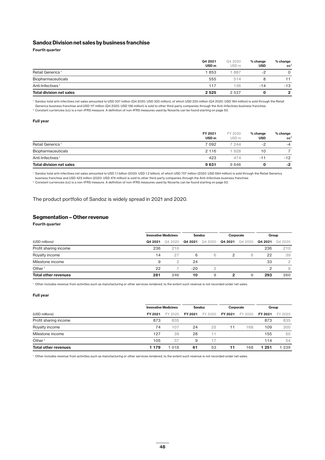#### **Sandoz Division net sales by business franchise**

**Fourth quarter**

|                                 | Q4 2021<br>USD <sub>m</sub> | Q4 2020<br>USD <sub>m</sub> | % change<br><b>USD</b> | % change<br>cc <sup>2</sup> |
|---------------------------------|-----------------------------|-----------------------------|------------------------|-----------------------------|
| Retail Generics <sup>1</sup>    | 1853                        | 887                         | $-2$                   | 0                           |
| Biopharmaceuticals              | 555                         | 514                         |                        |                             |
| Anti-Infectives <sup>1</sup>    | 117                         | 136                         | $-14$                  | $-13$                       |
| <b>Total division net sales</b> | 2 5 2 5                     | 2 5 3 7                     | O                      | 2                           |

<sup>1</sup> Sandoz total anti-infectives net sales amounted to USD 337 million (Q4 2020: USD 320 million), of which USD 220 million (Q4 2020: USD 184 million) is sold through the Retail Generics business franchise and USD 117 million (Q4 2020: USD 136 million) is sold to other third-party companies through the Anti-Infectives business franchise.

<sup>2</sup> Constant currencies (cc) is a non-IFRS measure. A definition of non-IFRS measures used by Novartis can be found starting on page 50.

#### **Full year**

|                                 | FY 2021<br>USD <sub>m</sub> | FY 2020<br>USD <sub>m</sub> | % change<br><b>USD</b> | % change<br>cc <sup>2</sup> |
|---------------------------------|-----------------------------|-----------------------------|------------------------|-----------------------------|
| Retail Generics <sup>1</sup>    | 7 0 9 2                     | 7 244                       | -2                     | $-4$                        |
| Biopharmaceuticals              | 2 1 1 6                     | 1928                        | 10                     |                             |
| Anti-Infectives <sup>1</sup>    | 423                         | 474                         | $-11$                  | $-12$                       |
| <b>Total division net sales</b> | 9631                        | 9 6 4 6                     |                        | -2                          |

<sup>1</sup> Sandoz total anti-infectives net sales amounted to USD 1.1 billion (2020: USD 1.2 billion), of which USD 707 million (2020: USD 694 million) is sold through the Retail Generics business franchise and USD 423 million (2020: USD 474 million) is sold to other third-party companies through the Anti-Infectives business franchise.

<sup>2</sup> Constant currencies (cc) is a non-IFRS measure. A definition of non-IFRS measures used by Novartis can be found starting on page 50.

The product portfolio of Sandoz is widely spread in 2021 and 2020.

#### **Segmentation – Other revenue**

**Fourth quarter**

|                             |         | <b>Innovative Medicines</b> |         | Sandoz  |         | Corporate |         | Group          |  |
|-----------------------------|---------|-----------------------------|---------|---------|---------|-----------|---------|----------------|--|
| (USD millions)              | Q4 2021 | Q4 2020                     | Q4 2021 | Q4 2020 | Q4 2021 | Q4 2020   | Q4 2021 | Q4 2020        |  |
| Profit sharing income       | 236     | 210                         |         |         |         |           | 236     | 210            |  |
| Royalty income              | 14      | 27                          | 6       | 6       | 2       | 6         | 22      | 39             |  |
| Milestone income            | 9       | っ                           | 24      |         |         |           | 33      | $\overline{c}$ |  |
| Other <sup>1</sup>          | 22      |                             | $-20$   |         |         |           | 2       | 9              |  |
| <b>Total other revenues</b> | 281     | 246                         | 10      | 8       | 2       | 6         | 293     | 260            |  |

<sup>1</sup> Other includes revenue from activities such as manufacturing or other services rendered, to the extent such revenue is not recorded under net sales.

#### **Full year**

|                             |         | <b>Innovative Medicines</b> |         | Sandoz  |         | Corporate |         | Group   |
|-----------------------------|---------|-----------------------------|---------|---------|---------|-----------|---------|---------|
| (USD millions)              | FY 2021 | FY 2020                     | FY 2021 | FY 2020 | FY 2021 | FY 2020   | FY 2021 | FY 2020 |
| Profit sharing income       | 873     | 835                         |         |         |         |           | 873     | 835     |
| Royalty income              | 74      | 107                         | 24      | 25      | 11      | 168       | 109     | 300     |
| Milestone income            | 127     | 39                          | 28      | 11      |         |           | 155     | 50      |
| Other <sup>1</sup>          | 105     | 37                          | 9       | 17      |         |           | 114     | 54      |
| <b>Total other revenues</b> | 1 1 7 9 | 018                         | 61      | 53      | 11      | 168       | 251     | 239     |

<sup>1</sup> Other includes revenue from activities such as manufacturing or other services rendered, to the extent such revenue is not recorded under net sales.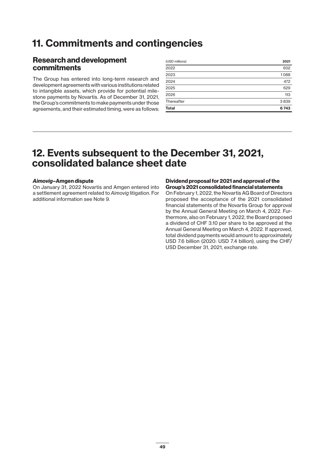## **11. Commitments and contingencies**

## **Research and development commitments**

The Group has entered into long-term research and development agreements with various institutions related to intangible assets, which provide for potential milestone payments by Novartis. As of December 31, 2021, the Group's commitments to make payments under those agreements, and their estimated timing, were as follows:

| (USD millions) | 2021 |
|----------------|------|
| 2022           | 602  |
| 2023           | 1088 |
| 2024           | 472  |
| 2025           | 629  |
| 2026           | 113  |
| Thereafter     | 3839 |
| <b>Total</b>   | 6743 |

## **12. Events subsequent to the December 31, 2021, consolidated balance sheet date**

### *Aimovig***–Amgen dispute**

On January 31, 2022 Novartis and Amgen entered into a settlement agreement related to *Aimovig* litigation. For additional information see Note 9.

#### **Dividend proposal for 2021 and approval of the Group's 2021 consolidated financial statements**

On February 1, 2022, the Novartis AG Board of Directors proposed the acceptance of the 2021 consolidated financial statements of the Novartis Group for approval by the Annual General Meeting on March 4, 2022. Furthermore, also on February 1, 2022, the Board proposed a dividend of CHF 3.10 per share to be approved at the Annual General Meeting on March 4, 2022. If approved, total dividend payments would amount to approximately USD 7.6 billion (2020: USD 7.4 billion), using the CHF/ USD December 31, 2021, exchange rate.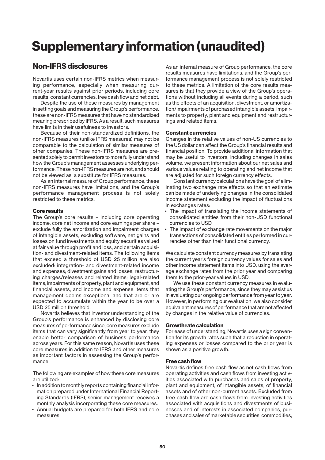# **Supplementary information (unaudited)**

## **Non-IFRS disclosures**

Novartis uses certain non-IFRS metrics when measuring performance, especially when measuring current-year results against prior periods, including core results, constant currencies, free cash flow and net debt.

Despite the use of these measures by management in setting goals and measuring the Group's performance, these are non-IFRS measures that have no standardized meaning prescribed by IFRS. As a result, such measures have limits in their usefulness to investors.

Because of their non-standardized definitions, the non-IFRS measures (unlike IFRS measures) may not be comparable to the calculation of similar measures of other companies. These non-IFRS measures are presented solely to permit investors to more fully understand how the Group's management assesses underlying performance. These non-IFRS measures are not, and should not be viewed as, a substitute for IFRS measures.

As an internal measure of Group performance, these non-IFRS measures have limitations, and the Group's performance management process is not solely restricted to these metrics.

### **Core results**

The Group's core results – including core operating income, core net income and core earnings per share – exclude fully the amortization and impairment charges of intangible assets, excluding software, net gains and losses on fund investments and equity securities valued at fair value through profit and loss, and certain acquisition- and divestment-related items. The following items that exceed a threshold of USD 25 million are also excluded: integration- and divestment-related income and expenses; divestment gains and losses; restructuring charges/releases and related items; legal-related items; impairments of property, plant and equipment, and financial assets, and income and expense items that management deems exceptional and that are or are expected to accumulate within the year to be over a USD 25 million threshold.

Novartis believes that investor understanding of the Group's performance is enhanced by disclosing core measures of performance since, core measures exclude items that can vary significantly from year to year, they enable better comparison of business performance across years. For this same reason, Novartis uses these core measures in addition to IFRS and other measures as important factors in assessing the Group's performance.

The following are examples of how these core measures are utilized:

- In addition to monthly reports containing financial information prepared under International Financial Reporting Standards (IFRS), senior management receives a monthly analysis incorporating these core measures.
- Annual budgets are prepared for both IFRS and core measures.

As an internal measure of Group performance, the core results measures have limitations, and the Group's performance management process is not solely restricted to these metrics. A limitation of the core results measures is that they provide a view of the Group's operations without including all events during a period, such as the effects of an acquisition, divestment, or amortization/impairments of purchased intangible assets, impairments to property, plant and equipment and restructurings and related items.

### **Constant currencies**

Changes in the relative values of non-US currencies to the US dollar can affect the Group's financial results and financial position. To provide additional information that may be useful to investors, including changes in sales volume, we present information about our net sales and various values relating to operating and net income that are adjusted for such foreign currency effects.

Constant currency calculations have the goal of eliminating two exchange rate effects so that an estimate can be made of underlying changes in the consolidated income statement excluding the impact of fluctuations in exchanges rates:

- The impact of translating the income statements of consolidated entities from their non-USD functional currencies to USD
- The impact of exchange rate movements on the major transactions of consolidated entities performed in currencies other than their functional currency.

We calculate constant currency measures by translating the current year's foreign currency values for sales and other income statement items into USD, using the average exchange rates from the prior year and comparing them to the prior-year values in USD.

We use these constant currency measures in evaluating the Group's performance, since they may assist us in evaluating our ongoing performance from year to year. However, in performing our evaluation, we also consider equivalent measures of performance that are not affected by changes in the relative value of currencies.

### **Growth rate calculation**

For ease of understanding, Novartis uses a sign convention for its growth rates such that a reduction in operating expenses or losses compared to the prior year is shown as a positive growth.

#### **Free cash flow**

Novartis defines free cash flow as net cash flows from operating activities and cash flows from investing activities associated with purchases and sales of property, plant and equipment, of intangible assets, of financial assets and of other non-current assets. Excluded from free cash flow are cash flows from investing activities associated with acquisitions and divestments of businesses and of interests in associated companies, purchases and sales of marketable securities, commodities,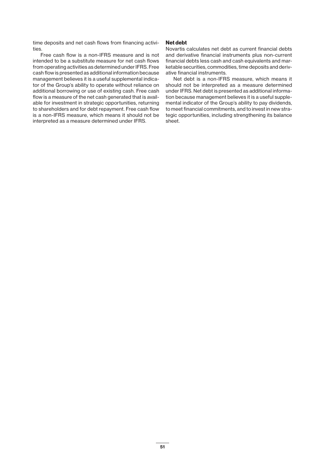time deposits and net cash flows from financing activities.

Free cash flow is a non-IFRS measure and is not intended to be a substitute measure for net cash flows from operating activities as determined under IFRS. Free cash flow is presented as additional information because management believes it is a useful supplemental indicator of the Group's ability to operate without reliance on additional borrowing or use of existing cash. Free cash flow is a measure of the net cash generated that is available for investment in strategic opportunities, returning to shareholders and for debt repayment. Free cash flow is a non-IFRS measure, which means it should not be interpreted as a measure determined under IFRS.

#### **Net debt**

Novartis calculates net debt as current financial debts and derivative financial instruments plus non-current financial debts less cash and cash equivalents and marketable securities, commodities, time deposits and derivative financial instruments.

Net debt is a non-IFRS measure, which means it should not be interpreted as a measure determined under IFRS. Net debt is presented as additional information because management believes it is a useful supplemental indicator of the Group's ability to pay dividends, to meet financial commitments, and to invest in new strategic opportunities, including strengthening its balance sheet.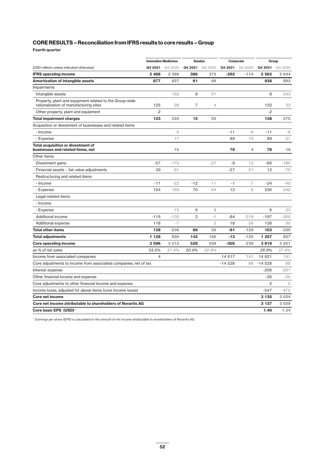**Fourth quarter**

|                                                                                                   | <b>Innovative Medicines</b> |         | <b>Sandoz</b>  |                | Corporate |         | Group          |         |
|---------------------------------------------------------------------------------------------------|-----------------------------|---------|----------------|----------------|-----------|---------|----------------|---------|
| (USD millions unless indicated otherwise)                                                         | Q4 2021                     | Q4 2020 | Q4 2021        | Q4 2020        | Q4 2021   | Q4 2020 | Q4 2021        | Q4 2020 |
| <b>IFRS operating income</b>                                                                      | 2468                        | 2 3 8 6 | 386            | 372            | $-292$    | $-114$  | 2562           | 2 6 4 4 |
| Amortization of intangible assets                                                                 | 877                         | 827     | 61             | 66             |           |         | 938            | 893     |
| Impairments                                                                                       |                             |         |                |                |           |         |                |         |
| Intangible assets                                                                                 |                             | 192     | 8              | 51             |           |         | 8              | 243     |
| Property, plant and equipment related to the Group-wide<br>rationalization of manufacturing sites | 125                         | 28      | $\overline{7}$ | $\overline{4}$ |           |         | 132            | 32      |
| Other property, plant and equipment                                                               | $-2$                        |         |                |                |           |         | $-2$           |         |
| <b>Total impairment charges</b>                                                                   | 123                         | 220     | 15             | 55             |           |         | 138            | 275     |
| Acquisition or divestment of businesses and related items                                         |                             |         |                |                |           |         |                |         |
| - Income                                                                                          |                             | $-2$    |                |                | $-11$     | $-6$    | $-11$          | -8      |
| - Expense                                                                                         |                             | 17      |                |                | 89        | 10      | 89             | 27      |
| Total acquisition or divestment of<br>businesses and related items, net                           |                             | 15      |                |                | 78        | 4       | 78             | 19      |
| Other items                                                                                       |                             |         |                |                |           |         |                |         |
| Divestment gains                                                                                  | $-57$                       | $-170$  |                | $-27$          | -9        | 12      | $-66$          | $-185$  |
| Financial assets - fair value adjustments                                                         | 39                          | $-91$   |                |                | $-27$     | 21      | 12             | $-70$   |
| Restructuring and related items                                                                   |                             |         |                |                |           |         |                |         |
| - Income                                                                                          | $-11$                       | $-22$   | $-12$          | $-11$          | $-1$      | $-7$    | $-24$          | -40     |
| - Expense                                                                                         | 154                         | 169     | 70             | 64             | 12        | 9       | 236            | 242     |
| Legal-related items                                                                               |                             |         |                |                |           |         |                |         |
| - Income                                                                                          |                             |         |                |                |           |         |                |         |
| - Expense                                                                                         |                             | 15      | 6              | 8              |           |         | 6              | 23      |
| <b>Additional income</b>                                                                          | $-115$                      | $-130$  | $\overline{c}$ | $-1$           | $-84$     | $-219$  | $-197$         | $-350$  |
| Additional expense                                                                                | 118                         | $-7$    |                | $\overline{2}$ | 18        | 55      | 136            | 50      |
| <b>Total other items</b>                                                                          | 128                         | $-236$  | 66             | 35             | -91       | $-129$  | 103            | $-330$  |
| Total adjustments                                                                                 | 1 1 2 8                     | 826     | 142            | 156            | $-13$     | $-125$  | 1 257          | 857     |
| <b>Core operating income</b>                                                                      | 3596                        | 3 2 1 2 | 528            | 528            | $-305$    | $-239$  | 3819           | 3501    |
| as % of net sales                                                                                 | 33.6%                       | 31.4%   | 20.9%          | 20.8%          |           |         | 28.9%          | 27.4%   |
| Income from associated companies                                                                  | $\overline{4}$              |         |                |                | 14 617    | 141     | 14 621         | 141     |
| Core adjustments to income from associated companies, net of tax                                  |                             |         |                |                | $-14528$  | 88      | $-14528$       | 88      |
| Interest expense                                                                                  |                             |         |                |                |           |         | $-206$         | $-201$  |
| Other financial income and expense                                                                |                             |         |                |                |           |         | $-26$          | $-25$   |
| Core adjustments to other financial income and expense                                            |                             |         |                |                |           |         | $\overline{c}$ | 5       |
| Income taxes, adjusted for above items (core income taxes)                                        |                             |         |                |                |           |         | $-547$         | $-475$  |
| Core net income                                                                                   |                             |         |                |                |           |         | 3 1 3 5        | 3 0 3 4 |
| Core net income attributable to shareholders of Novartis AG                                       |                             |         |                |                |           |         | 3 1 3 7        | 3 0 2 9 |
| Core basic EPS (USD) <sup>1</sup>                                                                 |                             |         |                |                |           |         | 1.40           | 1.34    |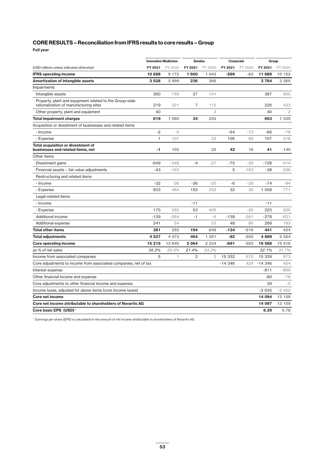**Full year**

|                                                                                                   | <b>Innovative Medicines</b> |         | <b>Sandoz</b> |                | Corporate |         | Group    |                |
|---------------------------------------------------------------------------------------------------|-----------------------------|---------|---------------|----------------|-----------|---------|----------|----------------|
| (USD millions unless indicated otherwise)                                                         | FY 2021                     | FY 2020 | FY 2021       | FY 2020        | FY 2021   | FY 2020 | FY 2021  | FY 2020        |
| <b>IFRS operating income</b>                                                                      | 10 688                      | 9 1 7 2 | 1600          | 1 043          | $-599$    | $-63$   | 11 689   | 10 152         |
| <b>Amortization of intangible assets</b>                                                          | 3528                        | 2999    | 236           | 366            |           |         | 3764     | 3 3 6 5        |
| Impairments                                                                                       |                             |         |               |                |           |         |          |                |
| Intangible assets                                                                                 | 360                         | 759     | 27            | 141            |           |         | 387      | 900            |
| Property, plant and equipment related to the Group-wide<br>rationalization of manufacturing sites | 219                         | 321     | 7             | 112            |           |         | 226      | 433            |
| Other property, plant and equipment                                                               | 40                          |         |               | $\overline{2}$ |           |         | 40       | $\overline{c}$ |
| <b>Total impairment charges</b>                                                                   | 619                         | 1 0 8 0 | 34            | 255            |           |         | 653      | 1 3 3 5        |
| Acquisition or divestment of businesses and related items                                         |                             |         |               |                |           |         |          |                |
| - Income                                                                                          | $-2$                        | $-5$    |               |                | $-64$     | $-73$   | $-66$    | $-78$          |
| - Expense                                                                                         | $\mathbf{1}$                | 107     |               | 22             | 106       | 89      | 107      | 218            |
| Total acquisition or divestment of<br>businesses and related items, net                           | -1                          | 102     |               | 22             | 42        | 16      | 41       | 140            |
| Other items                                                                                       |                             |         |               |                |           |         |          |                |
| Divestment gains                                                                                  | $-649$                      | $-348$  | $-4$          | $-27$          | $-75$     | $-39$   | $-728$   | $-414$         |
| Financial assets - fair value adjustments                                                         | $-43$                       | $-153$  |               |                | 5         | $-183$  | $-38$    | $-336$         |
| Restructuring and related items                                                                   |                             |         |               |                |           |         |          |                |
| - Income                                                                                          | $-32$                       | $-36$   | $-36$         | $-30$          | $-6$      | $-28$   | $-74$    | $-94$          |
| - Expense                                                                                         | 833                         | 484     | 193           | 252            | 32        | 35      | 1 0 5 8  | 771            |
| Legal-related items                                                                               |                             |         |               |                |           |         |          |                |
| - Income                                                                                          |                             |         | $-11$         |                |           |         | $-11$    |                |
| - Expense                                                                                         | 170                         | 555     | 53            | 406            |           | $-26$   | 223      | 935            |
| Additional income                                                                                 | $-139$                      | $-264$  | $-1$          | $-6$           | $-138$    | $-361$  | $-278$   | $-631$         |
| Additional expense                                                                                | 241                         | 54      |               | 53             | 48        | 86      | 289      | 193            |
| <b>Total other items</b>                                                                          | 381                         | 292     | 194           | 648            | $-134$    | $-516$  | 441      | 424            |
| <b>Total adjustments</b>                                                                          | 4527                        | 4 4 7 3 | 464           | 1 2 9 1        | -92       | $-500$  | 4899     | 5 2 6 4        |
| <b>Core operating income</b>                                                                      | 15 215                      | 13 645  | 2064          | 2 3 3 4        | $-691$    | $-563$  | 16 588   | 15 4 16        |
| as % of net sales                                                                                 | 36.2%                       | 35.0%   | 21.4%         | 24.2%          |           |         | 32.1%    | 31.7%          |
| Income from associated companies                                                                  | 5                           | 1       | 2             | $\overline{2}$ | 15 332    | 670     | 15 339   | 673            |
| Core adjustments to income from associated companies, net of tax                                  |                             |         |               |                | $-14346$  | 424     | $-14346$ | 424            |
| Interest expense                                                                                  |                             |         |               |                |           |         | $-811$   | $-869$         |
| Other financial income and expense                                                                |                             |         |               |                |           |         | $-80$    | $-78$          |
| Core adjustments to other financial income and expense                                            |                             |         |               |                |           |         | 39       | $-5$           |
| Income taxes, adjusted for above items (core income taxes)                                        |                             |         |               |                |           |         | $-2635$  | $-2403$        |
| Core net income                                                                                   |                             |         |               |                |           |         | 14 094   | 13 158         |
| Core net income attributable to shareholders of Novartis AG                                       |                             |         |               |                |           |         | 14 097   | 13 159         |
| Core basic EPS (USD) <sup>1</sup>                                                                 |                             |         |               |                |           |         | 6.29     | 5.78           |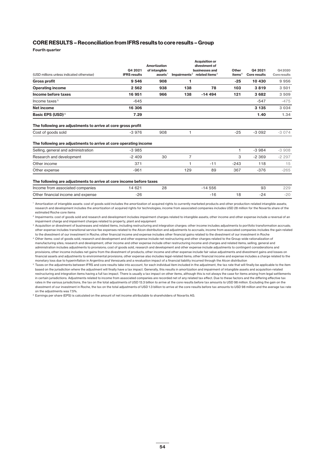**Fourth quarter**

|                                                                                                                                                                                                |                     | Amortization  |                | <b>Acquisition or</b><br>divestment of              |           |                     |              |
|------------------------------------------------------------------------------------------------------------------------------------------------------------------------------------------------|---------------------|---------------|----------------|-----------------------------------------------------|-----------|---------------------|--------------|
|                                                                                                                                                                                                | Q4 2021             | of intangible |                | businesses and                                      | Other     | Q4 2021             | Q4 2020      |
| (USD millions unless indicated otherwise)                                                                                                                                                      | <b>IFRS results</b> | assets $1$    |                | Impairments <sup>2</sup> related items <sup>3</sup> | items $4$ | <b>Core results</b> | Core results |
| <b>Gross profit</b>                                                                                                                                                                            | 9546                | 908           | 1              |                                                     | $-25$     | 10 430              | 9956         |
| <b>Operating income</b>                                                                                                                                                                        | 2 5 6 2             | 938           | 138            | 78                                                  | 103       | 3819                | 3501         |
| Income before taxes                                                                                                                                                                            | 16 951              | 966           | 138            | $-14494$                                            | 121       | 3682                | 3 5 0 9      |
| Income taxes <sup>5</sup>                                                                                                                                                                      | $-645$              |               |                |                                                     |           | $-547$              | $-475$       |
| <b>Net income</b>                                                                                                                                                                              | 16 306              |               |                |                                                     |           | 3 1 3 5             | 3 0 3 4      |
| <b>Basic EPS (USD)<sup>6</sup></b>                                                                                                                                                             | 7.29                |               |                |                                                     |           | 1.40                | 1.34         |
| Cost of goods sold                                                                                                                                                                             | $-3976$             | 908           | 1              |                                                     | $-25$     | $-3092$             | $-3074$      |
| The following are adjustments to arrive at core operating income                                                                                                                               |                     |               |                |                                                     |           |                     |              |
| Selling, general and administration                                                                                                                                                            | $-3985$             |               |                |                                                     | 1         | $-3984$             | $-3908$      |
| Research and development                                                                                                                                                                       | $-2409$             | 30            | $\overline{7}$ |                                                     | 3         | $-2.369$            | $-2297$      |
| Other income                                                                                                                                                                                   | 371                 |               |                | $-11$                                               | $-243$    | 118                 | 15           |
| Other expense                                                                                                                                                                                  | $-961$              |               | 129            | 89                                                  | 367       | $-376$              | $-265$       |
| The following are adjustments to arrive at core income before taxes                                                                                                                            |                     |               |                |                                                     |           |                     |              |
| Income from associated companies                                                                                                                                                               | 14 621              | 28            |                | $-14556$                                            |           | 93                  | 229          |
| Other financial income and expense                                                                                                                                                             | $-26$               |               |                | $-16$                                               | 18        | $-24$               | $-20$        |
| <sup>1</sup> Amortization of intangible assets: cost of goods sold includes the amortization of acquired rights to currently marketed products and other production-related intangible assets: |                     |               |                |                                                     |           |                     |              |

**Acquisition or** 

<sup>1</sup> Amortization of intangible assets: cost of goods sold includes the amortization of acquired rights to currently marketed products and other production-related intangible assets; research and development includes the amortization of acquired rights for technologies; income from associated companies includes USD 28 million for the Novartis share of the estimated Roche core items

<sup>2</sup> Impairments: cost of goods sold and research and development includes impairment charges related to intangible assets; other income and other expense include a reversal of an impairment charge and impairment charges related to property, plant and equipment

<sup>3</sup> Acquisition or divestment of businesses and related items, including restructuring and integration charges: other income includes adjustments to portfolio transformation accruals; other expense includes transitional service fee expenses related to the Alcon distribution and adjustments to accruals; income from associated companies includes the gain related to the divestment of our investment in Roche; other financial income and expense includes other financial gains related to the divestment of our investment in Roche

<sup>4</sup> Other items: cost of goods sold, research and development and other expense include net restructuring and other charges related to the Group-wide rationalization of manufacturing sites; research and development, other income and other expense include other restructuring income and charges and related items; selling, general and administration includes adjustments to provisions; cost of goods sold, research and development and other expense include adjustments to contingent considerations and provisions; other income includes net gains from the divestment of products; other income and other expense include fair value adjustments and divestment gains and losses on financial assets and adjustments to environmental provisions; other expense also includes legal-related items; other financial income and expense includes a charge related to the monetary loss due to hyperinflation in Argentina and Venezuela and a revaluation impact of a financial liability incurred through the Alcon distribution

<sup>5</sup> Taxes on the adjustments between IFRS and core results take into account, for each individual item included in the adjustment, the tax rate that will finally be applicable to the item based on the jurisdiction where the adjustment will finally have a tax impact. Generally, this results in amortization and impairment of intangible assets and acquisition-related restructuring and integration items having a full tax impact. There is usually a tax impact on other items, although this is not always the case for items arising from legal settlements in certain jurisdictions. Adjustments related to income from associated companies are recorded net of any related tax effect. Due to these factors and the differing effective tax rates in the various jurisdictions, the tax on the total adjustments of USD 13.3 billion to arrive at the core results before tax amounts to USD 98 million. Excluding the gain on the divestment of our investment in Roche, the tax on the total adjustments of USD 1.3 billion to arrive at the core results before tax amounts to USD 98 million and the average tax rate on the adjustments was 7.5%.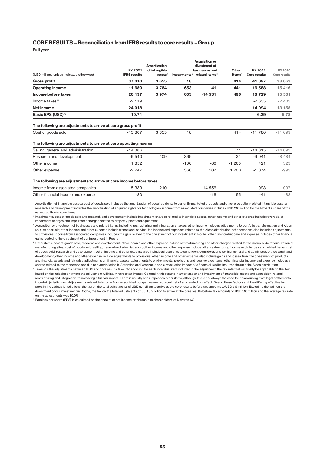**Full year**

|                                                                                    | FY 2021             | <b>Amortization</b><br>of intangible |        | Acquisition or<br>divestment of<br>businesses and   | Other     | FY 2021             | FY 2020      |
|------------------------------------------------------------------------------------|---------------------|--------------------------------------|--------|-----------------------------------------------------|-----------|---------------------|--------------|
| (USD millions unless indicated otherwise)                                          | <b>IFRS results</b> | ases <sup>1</sup>                    |        | Impairments <sup>2</sup> related items <sup>3</sup> | items $4$ | <b>Core results</b> | Core results |
| <b>Gross profit</b>                                                                | 37 010              | 3655                                 | 18     |                                                     | 414       | 41 097              | 38 663       |
| <b>Operating income</b>                                                            | 11 689              | 3764                                 | 653    | 41                                                  | 441       | 16 588              | 15 416       |
| Income before taxes                                                                | 26 137              | 3974                                 | 653    | $-14531$                                            | 496       | 16729               | 15 561       |
| Income taxes <sup>5</sup>                                                          | $-2119$             |                                      |        |                                                     |           | $-2635$             | $-2403$      |
| <b>Net income</b>                                                                  | 24 018              |                                      |        |                                                     |           | 14 094              | 13 158       |
| <b>Basic EPS (USD)<sup>6</sup></b>                                                 | 10.71               |                                      |        |                                                     |           | 6.29                | 5.78         |
| The following are adjustments to arrive at core gross profit<br>Cost of goods sold | $-15867$            | 3 6 5 5                              | 18     |                                                     | 414       | $-11780$            | $-11099$     |
| The following are adjustments to arrive at core operating income                   |                     |                                      |        |                                                     |           |                     |              |
| Selling, general and administration                                                | $-14886$            |                                      |        |                                                     | 71        | $-14815$            | $-14093$     |
| Research and development                                                           | $-9540$             | 109                                  | 369    |                                                     | 21        | $-9041$             | $-8484$      |
| Other income                                                                       | 1852                |                                      | $-100$ | -66                                                 | $-1265$   | 421                 | 323          |
| Other expense                                                                      | $-2747$             |                                      | 366    | 107                                                 | 1 200     | $-1074$             | $-993$       |
| The following are adjustments to arrive at core income before taxes                |                     |                                      |        |                                                     |           |                     |              |
| Income from associated companies                                                   | 15 339              | 210                                  |        | $-14556$                                            |           | 993                 | 1 0 9 7      |
| Other financial income and expense                                                 | -80                 |                                      |        | $-16$                                               | 55        | $-41$               | $-83$        |

**Acquisition or** 

<sup>1</sup> Amortization of intangible assets: cost of goods sold includes the amortization of acquired rights to currently marketed products and other production-related intangible assets; research and development includes the amortization of acquired rights for technologies; income from associated companies includes USD 210 million for the Novartis share of the estimated Roche core items

<sup>2</sup> Impairments: cost of goods sold and research and development include impairment charges related to intangible assets; other income and other expense include reversals of impairment charges and impairment charges related to property, plant and equipment

<sup>3</sup> Acquisition or divestment of businesses and related items, including restructuring and integration charges: other income includes adjustments to portfolio transformation and Alcon spin-off accruals; other income and other expense include transitional service-fee income and expenses related to the Alcon distribution; other expense also includes adjustments to provisions; income from associated companies includes the gain related to the divestment of our investment in Roche; other financial income and expense includes other financial gains related to the divestment of our investment in Roche

<sup>4</sup> Other items: cost of goods sold, research and development, other income and other expense include net restructuring and other charges related to the Group-wide rationalization of manufacturing sites; cost of goods sold, selling, general and administration, other income and other expense include other restructuring income and charges and related items; cost of goods sold, research and development, other income and other expense also include adjustments to contingent considerations; selling, general and administration, research and development, other income and other expense include adjustments to provisions; other income and other expense also include gains and losses from the divestment of products and financial assets and fair value adjustments on financial assets, adjustments to environmental provisions and legal-related items; other financial income and expense includes a charge related to the monetary loss due to hyperinflation in Argentina and Venezuela and a revaluation impact of a financial liability incurred through the Alcon distribution

<sup>5</sup> Taxes on the adjustments between IFRS and core results take into account, for each individual item included in the adjustment, the tax rate that will finally be applicable to the item based on the jurisdiction where the adjustment will finally have a tax impact. Generally, this results in amortization and impairment of intangible assets and acquisition-related restructuring and integration items having a full tax impact. There is usually a tax impact on other items, although this is not always the case for items arising from legal settlements in certain jurisdictions. Adjustments related to income from associated companies are recorded net of any related tax effect. Due to these factors and the differing effective tax rates in the various jurisdictions, the tax on the total adjustments of USD 9.4 billion to arrive at the core results before tax amounts to USD 516 million. Excluding the gain on the divestment of our investment in Roche, the tax on the total adjustments of USD 5.2 billion to arrive at the core results before tax amounts to USD 516 million and the average tax rate on the adjustments was 10.0%.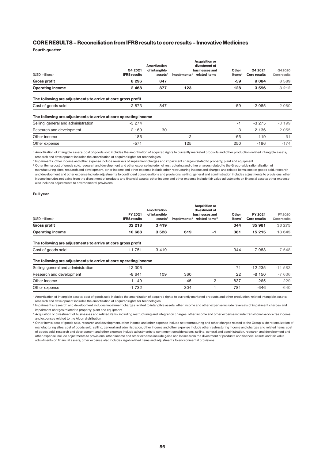### **CORE RESULTS – Reconciliation from IFRS results to core results – Innovative Medicines**

**Fourth quarter** 

| (USD millions)                                                   | Q4 2021<br><b>IFRS results</b> | <b>Amortization</b><br>of intangible<br>assets <sup>1</sup> | <b>Acquisition or</b><br>divestment of<br>businesses and<br>Impairments <sup>2</sup><br>related items | Other<br>items $^3$ | Q4 2021<br>Core results | Q4 20 20<br>Core results |
|------------------------------------------------------------------|--------------------------------|-------------------------------------------------------------|-------------------------------------------------------------------------------------------------------|---------------------|-------------------------|--------------------------|
| <b>Gross profit</b>                                              | 8 2 9 6                        | 847                                                         |                                                                                                       | -59                 | 9 0 8 4                 | 8 5 8 9                  |
| <b>Operating income</b>                                          | 2 4 6 8                        | 877                                                         | 123                                                                                                   | 128                 | 3 5 9 6                 | 3 2 1 2                  |
| The following are adjustments to arrive at core gross profit     |                                |                                                             |                                                                                                       |                     |                         |                          |
| Cost of goods sold                                               | $-2873$                        | 847                                                         |                                                                                                       | -59                 | $-2085$                 | $-2080$                  |
| The following are adjustments to arrive at core operating income |                                |                                                             |                                                                                                       |                     |                         |                          |
| Selling, general and administration                              | $-3274$                        |                                                             |                                                                                                       | $-1$                | $-3275$                 | $-3199$                  |
| Research and development                                         | $-2169$                        | 30                                                          |                                                                                                       | З                   | $-2136$                 | $-2055$                  |
| Other income                                                     | 186                            |                                                             | $-2$                                                                                                  | -65                 | 119                     | 51                       |
| Other expense                                                    | $-571$                         |                                                             | 125                                                                                                   | 250                 | $-196$                  | $-174$                   |

<sup>1</sup> Amortization of intangible assets: cost of goods sold includes the amortization of acquired rights to currently marketed products and other production-related intangible assets; research and development includes the amortization of acquired rights for technologies

<sup>2</sup> Impairments: other income and other expense include reversals of impairment charges and impairment charges related to property, plant and equipment

<sup>3</sup> Other items: cost of goods sold, research and development and other expense include net restructuring and other charges related to the Group-wide rationalization of manufacturing sites; research and development, other income and other expense include other restructuring income and charges and related items; cost of goods sold, research and development and other expense include adjustments to contingent considerations and provisions; selling, general and administration includes adjustments to provisions; other income includes net gains from the divestment of products and financial assets; other income and other expense include fair value adjustments on financial assets; other expense also includes adjustments to environmental provisions

#### **Full year**

| (USD millions)                                                                     | FY 2021<br><b>IFRS results</b> | Amortization<br>of intangible<br>ases <sup>1</sup> |     | <b>Acquisition or</b><br>divestment of<br>businesses and<br>Impairments <sup>2</sup> related items <sup>3</sup> | Other<br>items $4$ | FY 2021<br>Core results | FY 2020<br>Core results |
|------------------------------------------------------------------------------------|--------------------------------|----------------------------------------------------|-----|-----------------------------------------------------------------------------------------------------------------|--------------------|-------------------------|-------------------------|
| <b>Gross profit</b>                                                                | 32 218                         | 3419                                               |     |                                                                                                                 | 344                | 35 981                  | 33 275                  |
| <b>Operating income</b>                                                            | 10 688                         | 3528                                               | 619 | $-1$                                                                                                            | 381                | 15 215                  | 13 645                  |
| The following are adjustments to arrive at core gross profit<br>Cost of goods sold | $-11751$                       | 3419                                               |     |                                                                                                                 | 344                | $-7988$                 | $-7548$                 |
| The following are adjustments to arrive at core operating income                   |                                |                                                    |     |                                                                                                                 |                    |                         |                         |
| Selling, general and administration                                                | $-12306$                       |                                                    |     |                                                                                                                 | 71                 | $-12235$                | $-11.583$               |
| Research and development                                                           | $-8641$                        | 109                                                | 360 |                                                                                                                 | 22                 | $-8150$                 | $-7636$                 |

Other expense 2004 1 2010 1991 1992 1993 1994 1 2010 1994 1994 1995 1994 1994 1994 1995 1996 1997 1998 1999 19

<sup>1</sup> Amortization of intangible assets: cost of goods sold includes the amortization of acquired rights to currently marketed products and other production-related intangible assets; research and development includes the amortization of acquired rights for technologies

**Other income 1 149 1149 -45 -2 -837 -265** 229

<sup>2</sup> Impairments: research and development includes impairment charges related to intangible assets; other income and other expense include reversals of impairment charges and impairment charges related to property, plant and equipment

<sup>3</sup> Acquisition or divestment of businesses and related items, including restructuring and integration charges: other income and other expense include transitional service fee income and expenses related to the Alcon distribution

<sup>4</sup> Other items: cost of goods sold, research and development, other income and other expense include net restructuring and other charges related to the Group-wide rationalization of manufacturing sites; cost of goods sold, selling, general and administration, other income and other expense include other restructuring income and charges and related items; cost of goods sold, research and development and other expense include adjustments to contingent considerations; selling, general and administration, research and development and other expense include adjustments to provisions; other income and other expense include gains and losses from the divestment of products and financial assets and fair value adjustments on financial assets; other expense also includes legal-related items and adjustments to environmental provisions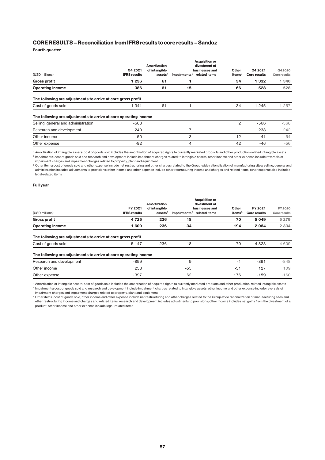**Fourth quarter** 

| (USD millions)                                                   | Q4 2021<br><b>IFRS results</b> | <b>Amortization</b><br>of intangible<br>ases <sup>1</sup> | Impairments <sup>2</sup> | <b>Acquisition or</b><br>divestment of<br>businesses and<br>related items | Other<br>items $3$ | Q4 2021<br><b>Core results</b> | Q4 2020<br>Core results |
|------------------------------------------------------------------|--------------------------------|-----------------------------------------------------------|--------------------------|---------------------------------------------------------------------------|--------------------|--------------------------------|-------------------------|
| <b>Gross profit</b>                                              | 1 2 3 6                        | 61                                                        |                          |                                                                           | 34                 | 1 332                          | 1 340                   |
| <b>Operating income</b>                                          | 386                            | 61                                                        | 15                       |                                                                           | 66                 | 528                            | 528                     |
| The following are adjustments to arrive at core gross profit     |                                |                                                           |                          |                                                                           |                    |                                |                         |
| Cost of goods sold                                               | $-1.341$                       | 61                                                        |                          |                                                                           | 34                 | $-1245$                        | $-1257$                 |
| The following are adjustments to arrive at core operating income |                                |                                                           |                          |                                                                           |                    |                                |                         |
| Selling, general and administration                              | $-568$                         |                                                           |                          |                                                                           | 2                  | $-566$                         | $-568$                  |
| Research and development                                         | $-240$                         |                                                           | 7                        |                                                                           |                    | $-233$                         | $-242$                  |
| Other income                                                     | 50                             |                                                           | 3                        |                                                                           | $-12$              | 41                             | 54                      |
| Other expense                                                    | $-92$                          |                                                           | 4                        |                                                                           | 42                 | -46                            | -56                     |
|                                                                  |                                |                                                           |                          |                                                                           |                    |                                |                         |

<sup>1</sup> Amortization of intangible assets: cost of goods sold includes the amortization of acquired rights to currently marketed products and other production-related intangible assets <sup>2</sup> Impairments: cost of goods sold and research and development include impairment charges related to intangible assets; other income and other expense include reversals of impairment charges and impairment charges related to property, plant and equipment

<sup>3</sup> Other items: cost of goods sold and other expense include net restructuring and other charges related to the Group-wide rationalization of manufacturing sites; selling, general and administration includes adjustments to provisions; other income and other expense include other restructuring income and charges and related items; other expense also includes legal-related items

#### **Full year**

| (USD millions)                                                   | FY 2021<br><b>IFRS results</b> | Amortization<br>of intangible<br>$ases$ <sup>1</sup> | Impairments <sup>2</sup> | <b>Acquisition or</b><br>divestment of<br>businesses and<br>related items | Other<br>items $3$ | FY 2021<br>Core results | FY 2020<br>Core results |
|------------------------------------------------------------------|--------------------------------|------------------------------------------------------|--------------------------|---------------------------------------------------------------------------|--------------------|-------------------------|-------------------------|
| <b>Gross profit</b>                                              | 4 7 2 5                        | 236                                                  | 18                       |                                                                           | 70                 | 5 0 4 9                 | 5 2 7 9                 |
| <b>Operating income</b>                                          | 1 600                          | 236                                                  | 34                       |                                                                           | 194                | 2 0 6 4                 | 2 3 3 4                 |
| The following are adjustments to arrive at core gross profit     |                                |                                                      |                          |                                                                           |                    |                         |                         |
| Cost of goods sold                                               | $-5147$                        | 236                                                  | 18                       |                                                                           | 70                 | $-4823$                 | $-4609$                 |
| The following are adjustments to arrive at core operating income |                                |                                                      |                          |                                                                           |                    |                         |                         |
| Research and development                                         | $-899$                         |                                                      | 9                        |                                                                           | $-1$               | $-891$                  | $-848$                  |
| Other income                                                     | 233                            |                                                      | -55                      |                                                                           | $-51$              | 127                     | 109                     |
| Other expense                                                    | $-397$                         |                                                      | 62                       |                                                                           | 176                | $-159$                  | $-160$                  |

<sup>1</sup> Amortization of intangible assets: cost of goods sold includes the amortization of acquired rights to currently marketed products and other production-related intangible assets <sup>2</sup> Impairments: cost of goods sold and research and development include impairment charges related to intangible assets; other income and other expense include reversals of

impairment charges and impairment charges related to property, plant and equipment

<sup>3</sup> Other items: cost of goods sold, other income and other expense include net restructuring and other charges related to the Group-wide rationalization of manufacturing sites and other restructuring income and charges and related items; research and development includes adjustments to provisions; other income includes net gains from the divestment of a product; other income and other expense include legal-related items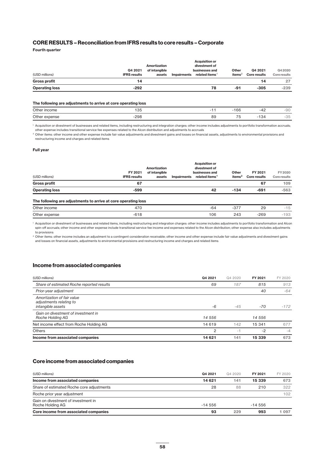**Fourth quarter** 

|                       |                     |               |             | <b>Acquisition or</b>      |                    |                     |              |
|-----------------------|---------------------|---------------|-------------|----------------------------|--------------------|---------------------|--------------|
|                       |                     | Amortization  |             | divestment of              |                    |                     |              |
|                       | Q4 2021             | of intangible |             | businesses and             | Other              | Q4 2021             | Q4 20 20     |
| (USD millions)        | <b>IFRS results</b> | assets        | Impairments | related items <sup>1</sup> | items <sup>2</sup> | <b>Core results</b> | Core results |
| <b>Gross profit</b>   | 14                  |               |             |                            |                    | 14                  | 27           |
| <b>Operating loss</b> | -292                |               |             | 78                         | -91                | $-305$              | $-239$       |

#### **The following are adjustments to arrive at core operating loss**

| Other<br>: income     | $\Omega$<br>1 J J |          | $\sim$<br>$\sim$                | - -<br>╍  | nn<br>$ \cup$<br>ิ∪∪ |
|-----------------------|-------------------|----------|---------------------------------|-----------|----------------------|
| Other<br>expense<br>. | $-298$            | oc<br>၀၁ | $\overline{\phantom{a}}$<br>___ | $-10 - 7$ | $\sim$ $-$<br>◡◡     |

<sup>1</sup> Acquisition or divestment of businesses and related items, including restructuring and integration charges: other income includes adjustments to portfolio transformation accruals; other expense includes transitional service fee expenses related to the Alcon distribution and adjustments to accruals

<sup>2</sup> Other items: other income and other expense include fair value adjustments and divestment gains and losses on financial assets, adjustments to environmental provisions and restructuring income and charges and related items

#### **Full year**

| (USD millions)<br><b>Gross profit</b> | <b>IFRS results</b><br>67 | assets | <b>Impairments</b> | related items <sup>1</sup> | items <sup>2</sup> | <b>Core results</b><br>67 | Core results<br>109 |
|---------------------------------------|---------------------------|--------|--------------------|----------------------------|--------------------|---------------------------|---------------------|
| <b>Operating loss</b>                 | $-599$                    |        |                    | 42                         | $-134$             | $-691$                    | $-563$              |

#### **The following are adjustments to arrive at core operating loss**

| Other<br>ncome   | $\cdot$ $ \cdot$<br>⊶<br>$\cdots$ | $\sim$<br>ັ | $\sim$ $\sim$ $\sim$<br>∼ | nr<br>∠ສ | $\sim$<br>$\check{ }$  |
|------------------|-----------------------------------|-------------|---------------------------|----------|------------------------|
| Other<br>expense | <b>010</b>                        | 106<br>___  | 24 <sub>1</sub><br>-70    | 269      | $\sim$ $\sim$<br>1 J U |

<sup>1</sup> Acquisition or divestment of businesses and related items, including restructuring and integration charges: other income includes adjustments to portfolio transformation and Alcon spin-off accruals; other income and other expense include transitional service fee income and expenses related to the Alcon distribution; other expense also includes adjustments to provisions

<sup>2</sup> Other items: other income includes an adjustment to a contingent consideration receivable; other income and other expense include fair value adjustments and divestment gains and losses on financial assets, adjustments to environmental provisions and restructuring income and charges and related items

#### **Income from associated companies**

| (USD millions)                                                                    | Q4 2021        | Q4 2020                  | FY 2021 | FY 2020 |
|-----------------------------------------------------------------------------------|----------------|--------------------------|---------|---------|
| Share of estimated Roche reported results                                         | 69             | 187                      | 815     | 913     |
| Prior-year adjustment                                                             |                |                          | 40      | $-64$   |
| Amortization of fair value<br>adjustments relating to<br><i>intangible assets</i> | -6             | $-45$                    | -70     | $-172$  |
| Gain on divestment of investment in<br>Roche Holding AG                           | 14 556         |                          | 14 556  |         |
| Net income effect from Roche Holding AG                                           | 14 619         | 142                      | 15 341  | 677     |
| Others                                                                            | $\overline{2}$ | $\overline{\phantom{a}}$ | $-2$    | $-4$    |
| Income from associated companies                                                  | 14 621         | 141                      | 15 339  | 673     |

### **Core income from associated companies**

| (USD millions)                                          | Q4 2021   | Q4 2020 | FY 2021   | FY 2020 |
|---------------------------------------------------------|-----------|---------|-----------|---------|
| Income from associated companies                        | 14 621    | 141     | 15 339    | 673     |
| Share of estimated Roche core adjustments               | 28        | 88      | 210       | 322     |
| Roche prior year adjustment                             |           |         |           | 102     |
| Gain on divestment of investment in<br>Roche Holding AG | $-14.556$ |         | $-14.556$ |         |
| Core income from associated companies                   | 93        | 229     | 993       | 097     |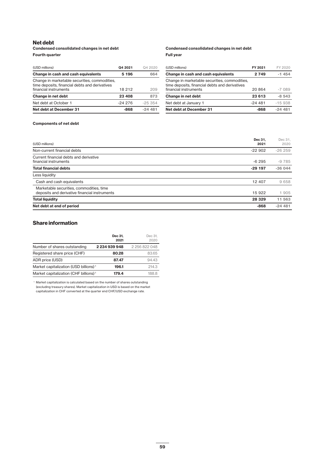### **Net debt**

### **Condensed consolidated changes in net debt Fourth quarter**

|                  | Condensed consolidated changes in net debt |
|------------------|--------------------------------------------|
| <b>Full vear</b> |                                            |

| (USD millions)                                                                                  | Q4 2021  | Q4 2020   |
|-------------------------------------------------------------------------------------------------|----------|-----------|
| Change in cash and cash equivalents                                                             | 5 196    | 664       |
| Change in marketable securities, commodities,<br>time deposits, financial debts and derivatives |          |           |
| financial instruments                                                                           | 18 212   | 209       |
| Change in net debt                                                                              | 23 408   | 873       |
| Net debt at October 1                                                                           | $-24276$ | $-25.354$ |
| Net debt at December 31                                                                         | -868     | $-24481$  |

| (USD millions)                                                                                  | FY 2021  | FY 2020  |
|-------------------------------------------------------------------------------------------------|----------|----------|
| Change in cash and cash equivalents                                                             | 2 7 4 9  | $-1454$  |
| Change in marketable securities, commodities,<br>time deposits, financial debts and derivatives |          |          |
| financial instruments                                                                           | 20864    | $-7089$  |
| Change in net debt                                                                              | 23 613   | $-8,543$ |
| Net debt at January 1                                                                           | $-24481$ | $-15938$ |
| Net debt at December 31                                                                         | $-868$   | $-24481$ |

### **Components of net debt**

| (USD millions)                                                                            | Dec 31.<br>2021 | Dec 31,<br>2020 |
|-------------------------------------------------------------------------------------------|-----------------|-----------------|
| Non-current financial debts                                                               | $-22902$        | $-26259$        |
| Current financial debts and derivative<br>financial instruments                           | $-6295$         | $-9785$         |
| <b>Total financial debts</b>                                                              | $-29197$        | $-36044$        |
| Less liquidity                                                                            |                 |                 |
| Cash and cash equivalents                                                                 | 12 407          | 9 6 5 8         |
| Marketable securities, commodities, time<br>deposits and derivative financial instruments | 15 922          | 1 905           |
| <b>Total liquidity</b>                                                                    | 28 3 29         | 11 563          |
| Net debt at end of period                                                                 | $-868$          | $-24481$        |

### **Share information**

|                                                   | Dec 31.<br>2021 | Dec 31.<br>2020 |
|---------------------------------------------------|-----------------|-----------------|
| Number of shares outstanding                      | 2 234 939 948   | 2 256 822 048   |
| Registered share price (CHF)                      | 80.28           | 83.65           |
| ADR price (USD)                                   | 87.47           | 9443            |
| Market capitalization (USD billions) <sup>1</sup> | 196.1           | 214.3           |
| Market capitalization (CHF billions) <sup>1</sup> | 179.4           | 1888            |

<sup>1</sup> Market capitalization is calculated based on the number of shares outstanding (excluding treasury shares). Market capitalization in USD is based on the market capitalization in CHF converted at the quarter end CHF/USD exchange rate.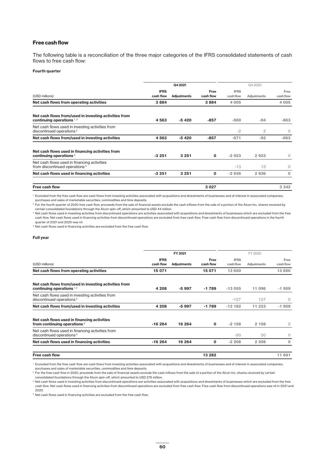### **Free cash flow**

The following table is a reconciliation of the three major categories of the IFRS consolidated statements of cash flows to free cash flow:

#### **Fourth quarter**

|                                                                                          |             | Q4 2021     |             |             | Q4 2020            |           |  |
|------------------------------------------------------------------------------------------|-------------|-------------|-------------|-------------|--------------------|-----------|--|
|                                                                                          | <b>IFRS</b> |             | Free        | <b>IFRS</b> |                    | Free      |  |
| (USD millions)                                                                           | cash flow   | Adjustments | cash flow   | cash flow   | <b>Adjustments</b> | cash flow |  |
| Net cash flows from operating activities                                                 | 3884        |             | 3884        | 4 0 0 5     |                    | 4 0 0 5   |  |
| Net cash flows from/used in investing activities from<br>continuing operations $1, 2$    | 4563        | $-5420$     | $-857$      | $-569$      | $-94$              | $-663$    |  |
| Net cash flows used in investing activities from<br>discontinued operations <sup>3</sup> |             |             |             | $-2$        | $\mathbf{2}$       | $\circ$   |  |
| Net cash flows from/used in investing activities                                         | 4563        | $-5420$     | $-857$      | $-571$      | $-92$              | $-663$    |  |
| Net cash flows used in financing activities from<br>continuing operations $4$            | $-3251$     | 3 2 5 1     | $\mathbf 0$ | $-2923$     | 2923               | $\Omega$  |  |
| Net cash flows used in financing activities<br>from discontinued operations <sup>3</sup> |             |             |             | $-13$       | 13                 | 0         |  |
| Net cash flows used in financing activities                                              | $-3251$     | 3 2 5 1     | 0           | $-2936$     | 2936               | $\circ$   |  |
| <b>Free cash flow</b>                                                                    |             |             | 3 0 2 7     |             |                    | 3 3 4 2   |  |

<sup>1</sup> Excluded from the free cash flow are cash flows from investing activities associated with acquisitions and divestments of businesses and of interest in associated companies, purchases and sales of marketable securities, commodities and time deposits.

<sup>2</sup> For the fourth quarter of 2020 free cash flow, proceeds from the sale of financial assets exclude the cash inflows from the sale of a portion of the Alcon Inc. shares received by certain consolidated foundations through the Alcon spin-off, which amounted to USD 44 million.

<sup>3</sup> Net cash flows used in investing activities from discontinued operations are activities associated with acquisitions and divestments of businesses which are excluded from the free cash flow. Net cash flows used in financing activities from discontinued operations are excluded from free cash flow. Free cash flow from discontinued operations in the fourth quarter of 2021 and 2020 was nil.

<sup>4</sup> Net cash flows used in financing activities are excluded from the free cash flow.

#### **Full year**

|                                                                                          |                          | FY 2021     |                   |                          | FY 2020            |                   |  |  |
|------------------------------------------------------------------------------------------|--------------------------|-------------|-------------------|--------------------------|--------------------|-------------------|--|--|
| (USD millions)                                                                           | <b>IFRS</b><br>cash flow | Adjustments | Free<br>cash flow | <b>IFRS</b><br>cash flow | <b>Adjustments</b> | Free<br>cash flow |  |  |
| Net cash flows from operating activities                                                 | 15 071                   |             | 15 071            | 13 650                   |                    | 13 650            |  |  |
| Net cash flows from/used in investing activities from<br>continuing operations $1,2$     | 4 208                    | -5 997      | -1789             | $-13055$                 | 11 096             | $-1959$           |  |  |
| Net cash flows used in investing activities from<br>discontinued operations <sup>3</sup> |                          |             |                   | $-127$                   | 127                | $\Omega$          |  |  |
| Net cash flows from/used in investing activities                                         | 4 208                    | -5 997      | -1789             | $-13182$                 | 11 223             | $-1959$           |  |  |
| Net cash flows used in financing activities<br>from continuing operations <sup>4</sup>   | $-16264$                 | 16 264      | 0                 | $-2158$                  | 2 158              | $\Omega$          |  |  |
| Net cash flows used in financing activities from<br>discontinued operations <sup>3</sup> |                          |             |                   | $-50$                    | 50                 | $\Omega$          |  |  |
| Net cash flows used in financing activities                                              | $-16264$                 | 16 264      | 0                 | $-2208$                  | 2 2 0 8            | $\Omega$          |  |  |
| <b>Free cash flow</b>                                                                    |                          |             | 13 28 2           |                          |                    | 11 691            |  |  |

<sup>1</sup> Excluded from the free cash flow are cash flows from investing activities associated with acquisitions and divestments of businesses and of interest in associated companies,

purchases and sales of marketable securities, commodities and time deposits.

 $^2$  For the free cash flow in 2020, proceeds from the sale of financial assets exclude the cash inflows from the sale of a portion of the Alcon Inc. shares received by certain

consolidated foundations through the Alcon spin-off, which amounted to USD 276 million. <sup>3</sup> Net cash flows used in investing activities from discontinued operations are activities associated with acquisitions and divestments of businesses which are excluded from the free cash flow. Net cash flows used in financing activities from discontinued operations are excluded from free cash flow. Free cash flow from discontinued operations was nil in 2021 and 2020.

<sup>4</sup> Net cash flows used in financing activities are excluded from the free cash flow.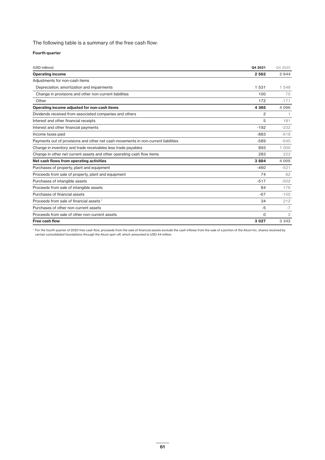The following table is a summary of the free cash flow:

### **Fourth quarter**

| (USD millions)                                                                     | Q4 2021        | Q4 2020        |
|------------------------------------------------------------------------------------|----------------|----------------|
| <b>Operating income</b>                                                            | 2 5 6 2        | 2 644          |
| Adjustments for non-cash items                                                     |                |                |
| Depreciation, amortization and impairments                                         | 1 5 3 1        | 1 548          |
| Change in provisions and other non-current liabilities                             | 100            | 75             |
| Other                                                                              | 172            | $-171$         |
| Operating income adjusted for non-cash items                                       | 4 3 6 5        | 4 0 9 6        |
| Dividends received from associated companies and others                            | $\overline{2}$ |                |
| Interest and other financial receipts                                              | 5              | 181            |
| Interest and other financial payments                                              | $-192$         | $-232$         |
| Income taxes paid                                                                  | $-883$         | $-618$         |
| Payments out of provisions and other net cash movements in non-current liabilities | $-589$         | $-645$         |
| Change in inventory and trade receivables less trade payables                      | 893            | 1 000          |
| Change in other net current assets and other operating cash flow items             | 283            | 222            |
| Net cash flows from operating activities                                           | 3884           | 4 0 0 5        |
| Purchases of property, plant and equipment                                         | $-460$         | $-521$         |
| Proceeds from sale of property, plant and equipment                                | 74             | 82             |
| Purchases of intangible assets                                                     | $-517$         | $-502$         |
| Proceeds from sale of intangible assets                                            | 84             | 176            |
| Purchases of financial assets                                                      | $-67$          | $-105$         |
| Proceeds from sale of financial assets <sup>1</sup>                                | 34             | 212            |
| Purchases of other non-current assets                                              | $-5$           | $-7$           |
| Proceeds from sale of other non-current assets                                     | $\Omega$       | $\overline{2}$ |
| Free cash flow                                                                     | 3 0 2 7        | 3 3 4 2        |

<sup>1</sup> For the fourth quarter of 2020 free cash flow, proceeds from the sale of financial assets exclude the cash inflows from the sale of a portion of the Alcon Inc. shares received by certain consolidated foundations through the Alcon spin-off, which amounted to USD 44 million.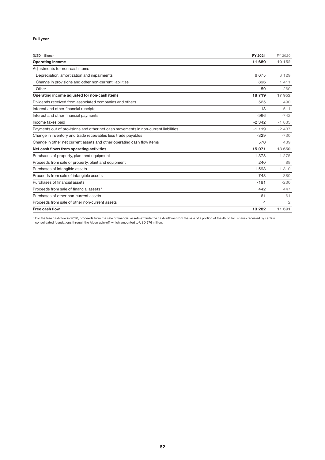### **Full year**

| (USD millions)                                                                     | FY 2021  | FY 2020        |
|------------------------------------------------------------------------------------|----------|----------------|
| <b>Operating income</b>                                                            | 11 689   | 10 152         |
| Adjustments for non-cash items                                                     |          |                |
| Depreciation, amortization and impairments                                         | 6075     | 6 1 2 9        |
| Change in provisions and other non-current liabilities                             | 896      | 1411           |
| Other                                                                              | 59       | 260            |
| Operating income adjusted for non-cash items                                       | 18719    | 17 952         |
| Dividends received from associated companies and others                            | 525      | 490            |
| Interest and other financial receipts                                              | 13       | 511            |
| Interest and other financial payments                                              | $-966$   | $-742$         |
| Income taxes paid                                                                  | $-2.342$ | $-1833$        |
| Payments out of provisions and other net cash movements in non-current liabilities | $-1119$  | $-2437$        |
| Change in inventory and trade receivables less trade payables                      | $-329$   | $-730$         |
| Change in other net current assets and other operating cash flow items             | 570      | 439            |
| Net cash flows from operating activities                                           | 15 071   | 13 650         |
| Purchases of property, plant and equipment                                         | $-1.378$ | $-1275$        |
| Proceeds from sale of property, plant and equipment                                | 240      | 88             |
| Purchases of intangible assets                                                     | $-1.593$ | $-1310$        |
| Proceeds from sale of intangible assets                                            | 748      | 380            |
| Purchases of financial assets                                                      | $-191$   | $-230$         |
| Proceeds from sale of financial assets <sup>1</sup>                                | 442      | 447            |
| Purchases of other non-current assets                                              | $-61$    | $-61$          |
| Proceeds from sale of other non-current assets                                     | 4        | $\mathfrak{D}$ |
| Free cash flow                                                                     | 13 28 2  | 11 691         |

<sup>1</sup> For the free cash flow in 2020, proceeds from the sale of financial assets exclude the cash inflows from the sale of a portion of the Alcon Inc. shares received by certain consolidated foundations through the Alcon spin-off, which amounted to USD 276 million.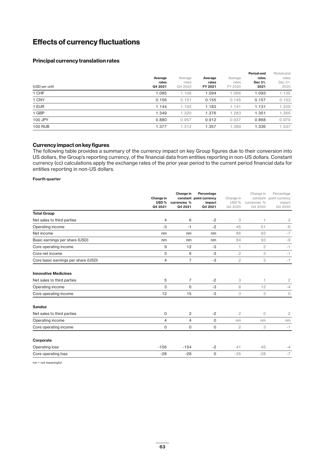## **Effects of currency fluctuations**

### **Principal currency translation rates**

| (USD per unit) | Average<br>rates<br>Q4 2021 | Average<br>rates<br>Q4 2020 | Average<br>rates<br>FY 2021 | Average<br>rates<br>FY 2020 | Period-end<br>rates<br>Dec 31.<br>2021 | Period-end<br>rates<br>Dec 31,<br>2020 |
|----------------|-----------------------------|-----------------------------|-----------------------------|-----------------------------|----------------------------------------|----------------------------------------|
| 1 CHF          | 1.085                       | 1.106                       | 1.094                       | 1.066                       | 1.093                                  | 1.135                                  |
| 1 CNY          | 0.156                       | 0.151                       | 0.155                       | 0.145                       | 0.157                                  | 0.153                                  |
| 1 EUR          | 1.144                       | 1.192                       | 1.183                       | 1.141                       | 1.131                                  | 1.229                                  |
| 1 GBP          | 1.349                       | 1.320                       | 1.376                       | 1.283                       | 1.351                                  | 1.365                                  |
| 100 JPY        | 0.880                       | 0.957                       | 0.912                       | 0.937                       | 0.868                                  | 0.970                                  |
| <b>100 RUB</b> | 1.377                       | 1.312                       | 1.357                       | 1.389                       | 1.336                                  | 1.337                                  |

### **Currency impact on key figures**

The following table provides a summary of the currency impact on key Group figures due to their conversion into US dollars, the Group's reporting currency, of the financial data from entities reporting in non-US dollars. Constant currency (cc) calculations apply the exchange rates of the prior year period to the current period financial data for entities reporting in non-US dollars.

#### **Fourth quarter**

|                                     | Change in<br>USD%<br>Q4 2021 | Change in<br>currencies %<br>Q4 2021 | Percentage<br>constant point currency<br>impact<br>Q4 2021 | Change in<br>USD %<br>Q4 2020 | Change in<br>constant<br>currencies %<br>Q4 2020 | Percentage<br>point currency<br>impact<br>Q4 2020 |
|-------------------------------------|------------------------------|--------------------------------------|------------------------------------------------------------|-------------------------------|--------------------------------------------------|---------------------------------------------------|
| <b>Total Group</b>                  |                              |                                      |                                                            |                               |                                                  |                                                   |
| Net sales to third parties          | 4                            | 6                                    | $-2$                                                       | 3                             | 1                                                | $\mathbf{2}$                                      |
| Operating income                    | $-3$                         | $-1$                                 | $-2$                                                       | 45                            | 51                                               | -6                                                |
| Net income                          | nm                           | nm                                   | nm                                                         | 86                            | 93                                               | $-7$                                              |
| Basic earnings per share (USD)      | nm                           | nm                                   | nm                                                         | 84                            | 93                                               | -9                                                |
| Core operating income               | 9                            | 12                                   | $-3$                                                       | 1                             | $\mathbf{2}$                                     | $-1$                                              |
| Core net income                     | 3                            | 6                                    | -3                                                         | $\mathbf{2}$                  | 3                                                | $-1$                                              |
| Core basic earnings per share (USD) | 4                            | $\overline{7}$                       | -3                                                         | $\overline{c}$                | 3                                                | $-1$                                              |
| <b>Innovative Medicines</b>         |                              |                                      |                                                            |                               |                                                  |                                                   |
| Net sales to third parties          | 5                            | $\overline{7}$                       | $-2$                                                       | 3                             | 1                                                | $\overline{c}$                                    |
| Operating income                    | 3                            | 6                                    | -3                                                         | 8                             | 12                                               | $-4$                                              |
| Core operating income               | 12                           | 15                                   | -3                                                         | 3                             | 3                                                | $\circlearrowright$                               |
| Sandoz                              |                              |                                      |                                                            |                               |                                                  |                                                   |
| Net sales to third parties          | 0                            | 2                                    | $-2$                                                       | $\overline{c}$                | 0                                                | $\mathbf{2}$                                      |
| Operating income                    | $\overline{4}$               | $\overline{4}$                       | 0                                                          | nm                            | nm                                               | nm                                                |
| Core operating income               | 0                            | $\mathbf 0$                          | 0                                                          | $\overline{2}$                | 3                                                | $-1$                                              |
| Corporate                           |                              |                                      |                                                            |                               |                                                  |                                                   |
| Operating loss                      | $-156$                       | $-154$                               | $-2$                                                       | 41                            | 45                                               | $-4$                                              |
| Core operating loss                 | $-28$                        | $-28$                                | 0                                                          | $-35$                         | $-28$                                            | $-7$                                              |

nm = not meaningful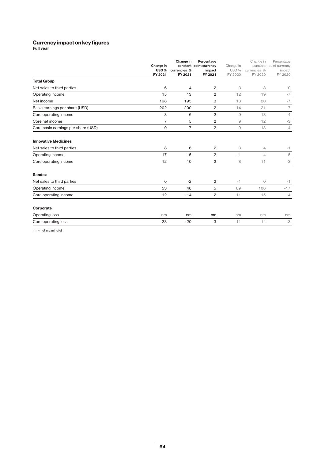### **Currency impact on key figures**

**Full year**

|                                     | Change in<br>USD% | Change in<br>currencies % | Percentage<br>constant point currency<br>impact | Change in<br>USD % | Change in<br>constant<br>currencies % | Percentage<br>point currency<br>impact |
|-------------------------------------|-------------------|---------------------------|-------------------------------------------------|--------------------|---------------------------------------|----------------------------------------|
|                                     | FY 2021           | FY 2021                   | FY 2021                                         | FY 2020            | FY 2020                               | FY 2020                                |
| <b>Total Group</b>                  |                   |                           |                                                 |                    |                                       |                                        |
| Net sales to third parties          | 6                 | $\overline{4}$            | $\overline{c}$                                  | 3                  | 3                                     | $\circ$                                |
| Operating income                    | 15                | 13                        | $\overline{c}$                                  | 12                 | 19                                    | $-7$                                   |
| Net income                          | 198               | 195                       | 3                                               | 13                 | 20                                    | $-7$                                   |
| Basic earnings per share (USD)      | 202               | 200                       | $\overline{c}$                                  | 14                 | 21                                    | $-7$                                   |
| Core operating income               | 8                 | 6                         | $\overline{c}$                                  | $\mathcal{Q}$      | 13                                    | $-4$                                   |
| Core net income                     | $\overline{7}$    | 5                         | $\overline{c}$                                  | 9                  | 12                                    | $-3$                                   |
| Core basic earnings per share (USD) | 9                 | $\overline{7}$            | 2                                               | 9                  | 13                                    | $-4$                                   |
| <b>Innovative Medicines</b>         |                   |                           |                                                 |                    |                                       |                                        |
| Net sales to third parties          | 8                 | 6                         | $\overline{c}$                                  | 3                  | $\overline{4}$                        | $-1$                                   |
| Operating income                    | 17                | 15                        | $\overline{c}$                                  | $-1$               | $\overline{4}$                        | $-5$                                   |
| Core operating income               | 12                | 10                        | $\overline{c}$                                  | 8                  | 11                                    | $-3$                                   |
| <b>Sandoz</b>                       |                   |                           |                                                 |                    |                                       |                                        |
| Net sales to third parties          | $\mathbf 0$       | $-2$                      | $\mathbf{2}$                                    | $-1$               | $\Omega$                              | $-1$                                   |
| Operating income                    | 53                | 48                        | 5                                               | 89                 | 106                                   | $-17$                                  |
| Core operating income               | $-12$             | $-14$                     | $\overline{c}$                                  | 11                 | 15                                    | $-4$                                   |
| Corporate                           |                   |                           |                                                 |                    |                                       |                                        |
| Operating loss                      | nm                | nm                        | nm                                              | nm                 | nm                                    | nm                                     |
| Core operating loss                 | $-23$             | $-20$                     | $-3$                                            | 11                 | 14                                    | $-3$                                   |

nm = not meaningful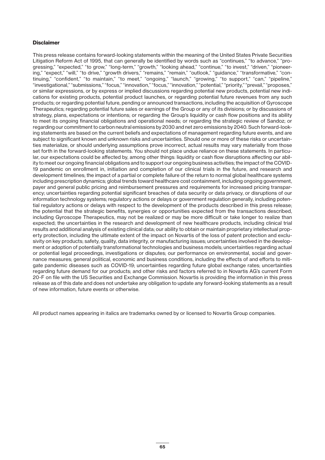### **Disclaimer**

This press release contains forward-looking statements within the meaning of the United States Private Securities Litigation Reform Act of 1995, that can generally be identified by words such as "continues," "to advance," "progressing," "expected," "to grow," "long-term," "growth," "looking ahead," "continue," "to invest," "driven," "pioneering," "expect," "will," "to drive," "growth drivers," "remains," "remain," "outlook," "guidance," "transformative," "continuing," "confident," "to maintain," "to meet," "ongoing," "launch," "growing," "to support," "can," "pipeline," "investigational," "submissions," "focus," "innovation," "focus," "innovation," "potential," "priority," "prevail," "proposes," or similar expressions, or by express or implied discussions regarding potential new products, potential new indications for existing products, potential product launches, or regarding potential future revenues from any such products; or regarding potential future, pending or announced transactions, including the acquisition of Gyroscope Therapeutics; regarding potential future sales or earnings of the Group or any of its divisions; or by discussions of strategy, plans, expectations or intentions; or regarding the Group's liquidity or cash flow positions and its ability to meet its ongoing financial obligations and operational needs; or regarding the strategic review of Sandoz; or regarding our commitment to carbon neutral emissions by 2030 and net zero emissions by 2040. Such forward-looking statements are based on the current beliefs and expectations of management regarding future events, and are subject to significant known and unknown risks and uncertainties. Should one or more of these risks or uncertainties materialize, or should underlying assumptions prove incorrect, actual results may vary materially from those set forth in the forward-looking statements. You should not place undue reliance on these statements. In particular, our expectations could be affected by, among other things: liquidity or cash flow disruptions affecting our ability to meet our ongoing financial obligations and to support our ongoing business activities; the impact of the COVID-19 pandemic on enrollment in, initiation and completion of our clinical trials in the future, and research and development timelines; the impact of a partial or complete failure of the return to normal global healthcare systems including prescription dynamics; global trends toward healthcare cost containment, including ongoing government, payer and general public pricing and reimbursement pressures and requirements for increased pricing transparency; uncertainties regarding potential significant breaches of data security or data privacy, or disruptions of our information technology systems; regulatory actions or delays or government regulation generally, including potential regulatory actions or delays with respect to the development of the products described in this press release; the potential that the strategic benefits, synergies or opportunities expected from the transactions described, including Gyroscope Therapeutics, may not be realized or may be more difficult or take longer to realize than expected; the uncertainties in the research and development of new healthcare products, including clinical trial results and additional analysis of existing clinical data; our ability to obtain or maintain proprietary intellectual property protection, including the ultimate extent of the impact on Novartis of the loss of patent protection and exclusivity on key products; safety, quality, data integrity, or manufacturing issues; uncertainties involved in the development or adoption of potentially transformational technologies and business models; uncertainties regarding actual or potential legal proceedings, investigations or disputes; our performance on environmental, social and governance measures; general political, economic and business conditions, including the effects of and efforts to mitigate pandemic diseases such as COVID-19; uncertainties regarding future global exchange rates; uncertainties regarding future demand for our products; and other risks and factors referred to in Novartis AG's current Form 20-F on file with the US Securities and Exchange Commission. Novartis is providing the information in this press release as of this date and does not undertake any obligation to update any forward-looking statements as a result of new information, future events or otherwise.

All product names appearing in italics are trademarks owned by or licensed to Novartis Group companies.